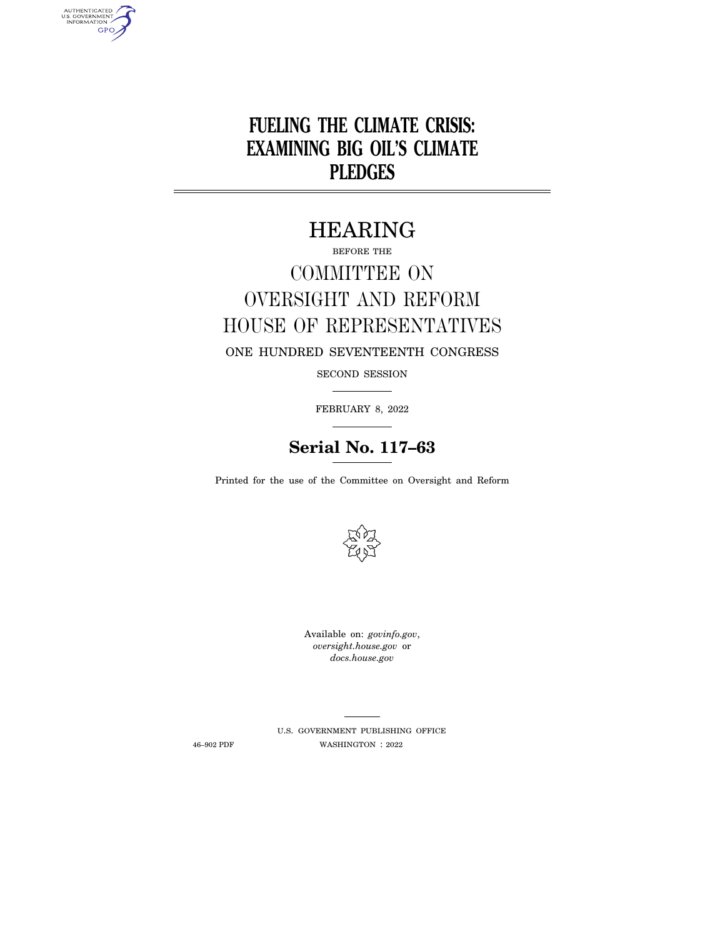# **FUELING THE CLIMATE CRISIS: EXAMINING BIG OIL'S CLIMATE PLEDGES**

## HEARING

# BEFORE THE COMMITTEE ON OVERSIGHT AND REFORM HOUSE OF REPRESENTATIVES ONE HUNDRED SEVENTEENTH CONGRESS

SECOND SESSION

FEBRUARY 8, 2022

## **Serial No. 117–63**

Printed for the use of the Committee on Oversight and Reform



Available on: *govinfo.gov*, *oversight.house.gov* or *docs.house.gov* 

AUTHENTICATED<br>U.S. GOVERNMENT<br>INFORMATION **GPO** 

> U.S. GOVERNMENT PUBLISHING OFFICE 46–902 PDF WASHINGTON : 2022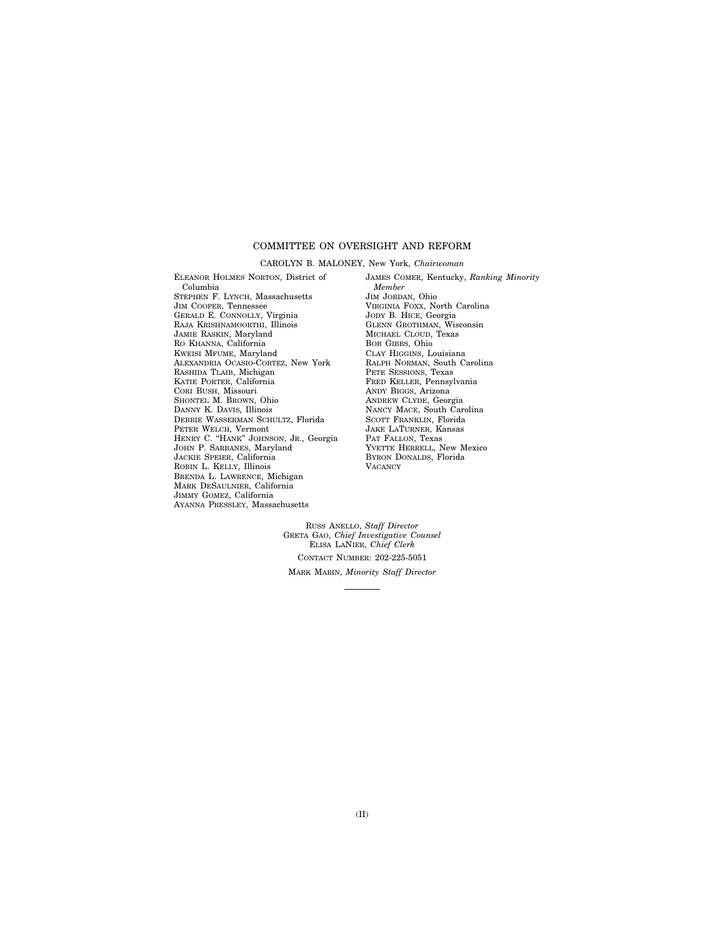#### COMMITTEE ON OVERSIGHT AND REFORM

#### CAROLYN B. MALONEY, New York, *Chairwoman*

ELEANOR HOLMES NORTON, District of Columbia STEPHEN F. LYNCH, Massachusetts JIM COOPER, Tennessee GERALD E. CONNOLLY, Virginia RAJA KRISHNAMOORTHI, Illinois JAMIE RASKIN, Maryland RO KHANNA, California KWEISI MFUME, Maryland ALEXANDRIA OCASIO-CORTEZ, New York RASHIDA TLAIB, Michigan KATIE PORTER, California CORI BUSH, Missouri SHONTEL M. BROWN, Ohio DANNY K. DAVIS, Illinois DEBBIE WASSERMAN SCHULTZ, Florida PETER WELCH, Vermont HENRY C. ''HANK'' JOHNSON, JR., Georgia JOHN P. SARBANES, Maryland JACKIE SPEIER, California ROBIN L. KELLY, Illinois BRENDA L. LAWRENCE, Michigan MARK DESAULNIER, California JIMMY GOMEZ, California AYANNA PRESSLEY, Massachusetts

JAMES COMER, Kentucky, *Ranking Minority Member*  JIM JORDAN, Ohio VIRGINIA FOXX, North Carolina JODY B. HICE, Georgia GLENN GROTHMAN, Wisconsin MICHAEL CLOUD, Texas BOB GIBBS, Ohio CLAY HIGGINS, Louisiana RALPH NORMAN, South Carolina PETE SESSIONS, Texas FRED KELLER, Pennsylvania ANDY BIGGS, Arizona ANDREW CLYDE, Georgia NANCY MACE, South Carolina SCOTT FRANKLIN, Florida JAKE LATURNER, Kansas PAT FALLON, Texas YVETTE HERRELL, New Mexico BYRON DONALDS, Florida **VACANCY** 

RUSS ANELLO, *Staff Director*  GRETA GAO, *Chief Investigative Counsel*  ELISA LANIER, *Chief Clerk*  CONTACT NUMBER: 202-225-5051 MARK MARIN, *Minority Staff Director*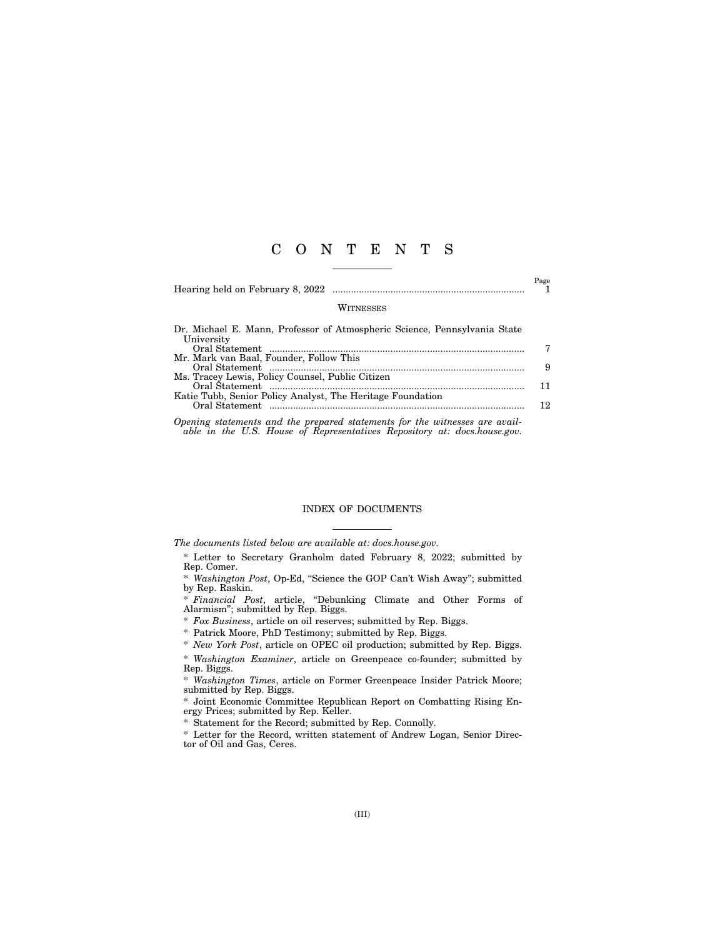### C O N T E N T S

|                                  | i age |
|----------------------------------|-------|
| Hearing held on February 8, 2022 |       |

#### **WITNESSES**

Page

| Dr. Michael E. Mann, Professor of Atmospheric Science, Pennsylvania State |     |
|---------------------------------------------------------------------------|-----|
| University                                                                |     |
|                                                                           |     |
| Mr. Mark van Baal, Founder, Follow This                                   |     |
|                                                                           |     |
| Ms. Tracey Lewis, Policy Counsel, Public Citizen                          |     |
|                                                                           | 11. |
| Katie Tubb, Senior Policy Analyst, The Heritage Foundation                |     |
|                                                                           | 12. |
|                                                                           |     |
|                                                                           |     |

*Opening statements and the prepared statements for the witnesses are available in the U.S. House of Representatives Repository at: docs.house.gov.* 

#### INDEX OF DOCUMENTS

*The documents listed below are available at: docs.house.gov.* 

\* Letter to Secretary Granholm dated February 8, 2022; submitted by Rep. Comer.

\* *Washington Post*, Op-Ed, ''Science the GOP Can't Wish Away''; submitted by Rep. Raskin.

\* *Financial Post*, article, ''Debunking Climate and Other Forms of Alarmism''; submitted by Rep. Biggs.

\* *Fox Business*, article on oil reserves; submitted by Rep. Biggs.

\* Patrick Moore, PhD Testimony; submitted by Rep. Biggs.

\* *New York Post*, article on OPEC oil production; submitted by Rep. Biggs.

\* *Washington Examiner*, article on Greenpeace co-founder; submitted by Rep. Biggs.

\* *Washington Times*, article on Former Greenpeace Insider Patrick Moore; submitted by Rep. Biggs.

\* Joint Economic Committee Republican Report on Combatting Rising Energy Prices; submitted by Rep. Keller.

\* Statement for the Record; submitted by Rep. Connolly.

\* Letter for the Record, written statement of Andrew Logan, Senior Director of Oil and Gas, Ceres.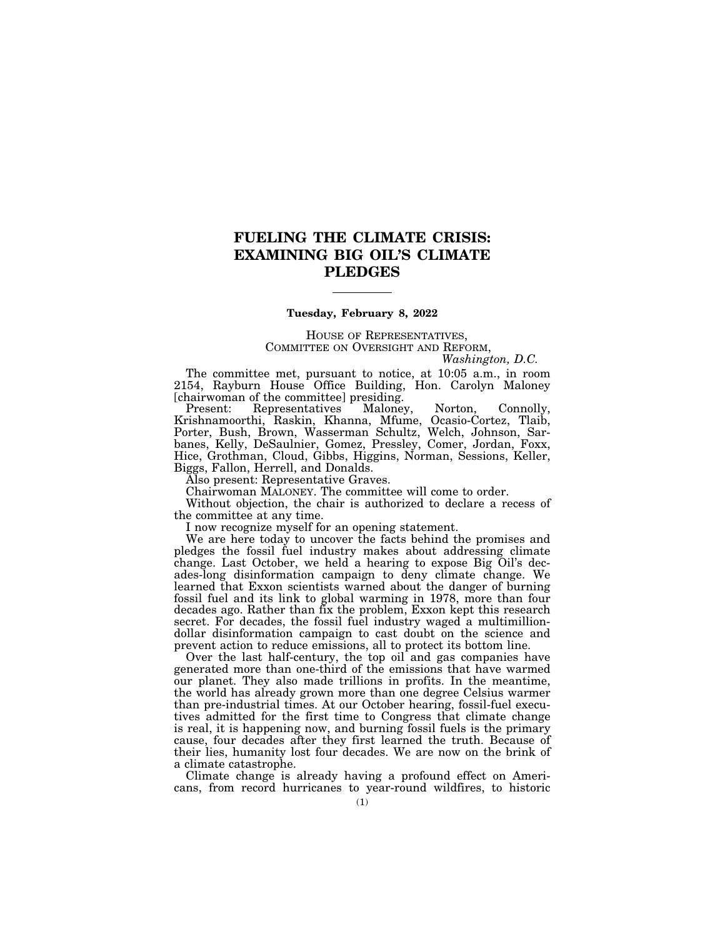### **FUELING THE CLIMATE CRISIS: EXAMINING BIG OIL'S CLIMATE PLEDGES**

#### **Tuesday, February 8, 2022**

#### HOUSE OF REPRESENTATIVES, COMMITTEE ON OVERSIGHT AND REFORM, *Washington, D.C.*

The committee met, pursuant to notice, at 10:05 a.m., in room 2154, Rayburn House Office Building, Hon. Carolyn Maloney [chairwoman of the committee] presiding.

Present: Representatives Maloney, Norton, Connolly, Krishnamoorthi, Raskin, Khanna, Mfume, Ocasio-Cortez, Tlaib, Porter, Bush, Brown, Wasserman Schultz, Welch, Johnson, Sarbanes, Kelly, DeSaulnier, Gomez, Pressley, Comer, Jordan, Foxx, Hice, Grothman, Cloud, Gibbs, Higgins, Norman, Sessions, Keller, Biggs, Fallon, Herrell, and Donalds.

Also present: Representative Graves.

Chairwoman MALONEY. The committee will come to order.

Without objection, the chair is authorized to declare a recess of the committee at any time.

I now recognize myself for an opening statement.

We are here today to uncover the facts behind the promises and pledges the fossil fuel industry makes about addressing climate change. Last October, we held a hearing to expose Big Oil's decades-long disinformation campaign to deny climate change. We learned that Exxon scientists warned about the danger of burning fossil fuel and its link to global warming in 1978, more than four decades ago. Rather than fix the problem, Exxon kept this research secret. For decades, the fossil fuel industry waged a multimilliondollar disinformation campaign to cast doubt on the science and prevent action to reduce emissions, all to protect its bottom line.

Over the last half-century, the top oil and gas companies have generated more than one-third of the emissions that have warmed our planet. They also made trillions in profits. In the meantime, the world has already grown more than one degree Celsius warmer than pre-industrial times. At our October hearing, fossil-fuel executives admitted for the first time to Congress that climate change is real, it is happening now, and burning fossil fuels is the primary cause, four decades after they first learned the truth. Because of their lies, humanity lost four decades. We are now on the brink of a climate catastrophe.

Climate change is already having a profound effect on Americans, from record hurricanes to year-round wildfires, to historic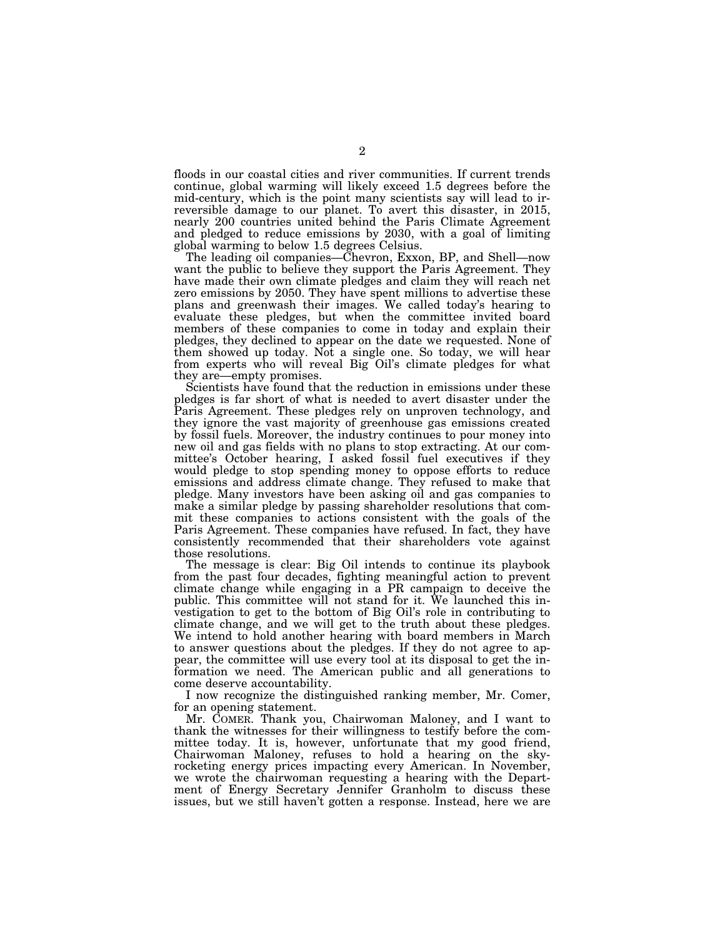floods in our coastal cities and river communities. If current trends continue, global warming will likely exceed 1.5 degrees before the mid-century, which is the point many scientists say will lead to irreversible damage to our planet. To avert this disaster, in 2015, nearly 200 countries united behind the Paris Climate Agreement and pledged to reduce emissions by 2030, with a goal of limiting global warming to below 1.5 degrees Celsius.

The leading oil companies—Chevron, Exxon, BP, and Shell—now want the public to believe they support the Paris Agreement. They have made their own climate pledges and claim they will reach net zero emissions by 2050. They have spent millions to advertise these plans and greenwash their images. We called today's hearing to evaluate these pledges, but when the committee invited board members of these companies to come in today and explain their pledges, they declined to appear on the date we requested. None of them showed up today. Not a single one. So today, we will hear from experts who will reveal Big Oil's climate pledges for what they are—empty promises.

Scientists have found that the reduction in emissions under these pledges is far short of what is needed to avert disaster under the Paris Agreement. These pledges rely on unproven technology, and they ignore the vast majority of greenhouse gas emissions created by fossil fuels. Moreover, the industry continues to pour money into new oil and gas fields with no plans to stop extracting. At our committee's October hearing, I asked fossil fuel executives if they would pledge to stop spending money to oppose efforts to reduce emissions and address climate change. They refused to make that pledge. Many investors have been asking oil and gas companies to make a similar pledge by passing shareholder resolutions that commit these companies to actions consistent with the goals of the Paris Agreement. These companies have refused. In fact, they have consistently recommended that their shareholders vote against those resolutions.

The message is clear: Big Oil intends to continue its playbook from the past four decades, fighting meaningful action to prevent climate change while engaging in a PR campaign to deceive the public. This committee will not stand for it. We launched this investigation to get to the bottom of Big Oil's role in contributing to climate change, and we will get to the truth about these pledges. We intend to hold another hearing with board members in March to answer questions about the pledges. If they do not agree to appear, the committee will use every tool at its disposal to get the information we need. The American public and all generations to come deserve accountability.

I now recognize the distinguished ranking member, Mr. Comer, for an opening statement.

Mr. COMER. Thank you, Chairwoman Maloney, and I want to thank the witnesses for their willingness to testify before the committee today. It is, however, unfortunate that my good friend, Chairwoman Maloney, refuses to hold a hearing on the skyrocketing energy prices impacting every American. In November, we wrote the chairwoman requesting a hearing with the Department of Energy Secretary Jennifer Granholm to discuss these issues, but we still haven't gotten a response. Instead, here we are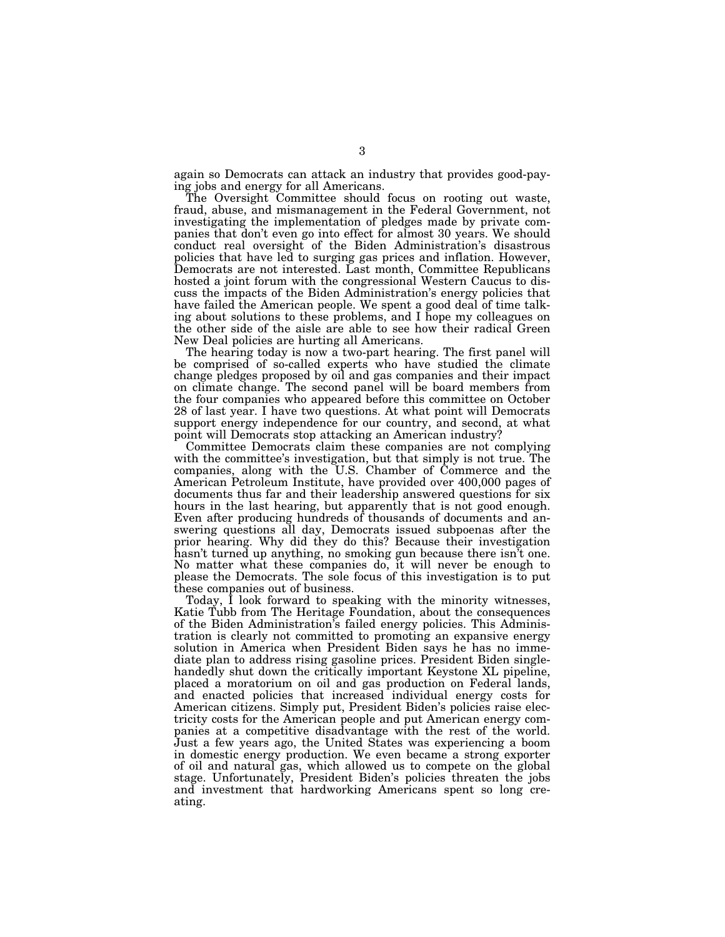again so Democrats can attack an industry that provides good-paying jobs and energy for all Americans.

The Oversight Committee should focus on rooting out waste, fraud, abuse, and mismanagement in the Federal Government, not investigating the implementation of pledges made by private companies that don't even go into effect for almost 30 years. We should conduct real oversight of the Biden Administration's disastrous policies that have led to surging gas prices and inflation. However, Democrats are not interested. Last month, Committee Republicans hosted a joint forum with the congressional Western Caucus to discuss the impacts of the Biden Administration's energy policies that have failed the American people. We spent a good deal of time talking about solutions to these problems, and I hope my colleagues on the other side of the aisle are able to see how their radical Green New Deal policies are hurting all Americans.

The hearing today is now a two-part hearing. The first panel will be comprised of so-called experts who have studied the climate change pledges proposed by oil and gas companies and their impact on climate change. The second panel will be board members from the four companies who appeared before this committee on October 28 of last year. I have two questions. At what point will Democrats support energy independence for our country, and second, at what point will Democrats stop attacking an American industry?

Committee Democrats claim these companies are not complying with the committee's investigation, but that simply is not true. The companies, along with the U.S. Chamber of Commerce and the American Petroleum Institute, have provided over 400,000 pages of documents thus far and their leadership answered questions for six hours in the last hearing, but apparently that is not good enough. Even after producing hundreds of thousands of documents and answering questions all day, Democrats issued subpoenas after the prior hearing. Why did they do this? Because their investigation hasn't turned up anything, no smoking gun because there isn't one. No matter what these companies do, it will never be enough to please the Democrats. The sole focus of this investigation is to put these companies out of business.

Today, I look forward to speaking with the minority witnesses, Katie Tubb from The Heritage Foundation, about the consequences of the Biden Administration's failed energy policies. This Administration is clearly not committed to promoting an expansive energy solution in America when President Biden says he has no immediate plan to address rising gasoline prices. President Biden singlehandedly shut down the critically important Keystone XL pipeline, placed a moratorium on oil and gas production on Federal lands, and enacted policies that increased individual energy costs for American citizens. Simply put, President Biden's policies raise electricity costs for the American people and put American energy companies at a competitive disadvantage with the rest of the world. Just a few years ago, the United States was experiencing a boom in domestic energy production. We even became a strong exporter of oil and natural gas, which allowed us to compete on the global stage. Unfortunately, President Biden's policies threaten the jobs and investment that hardworking Americans spent so long creating.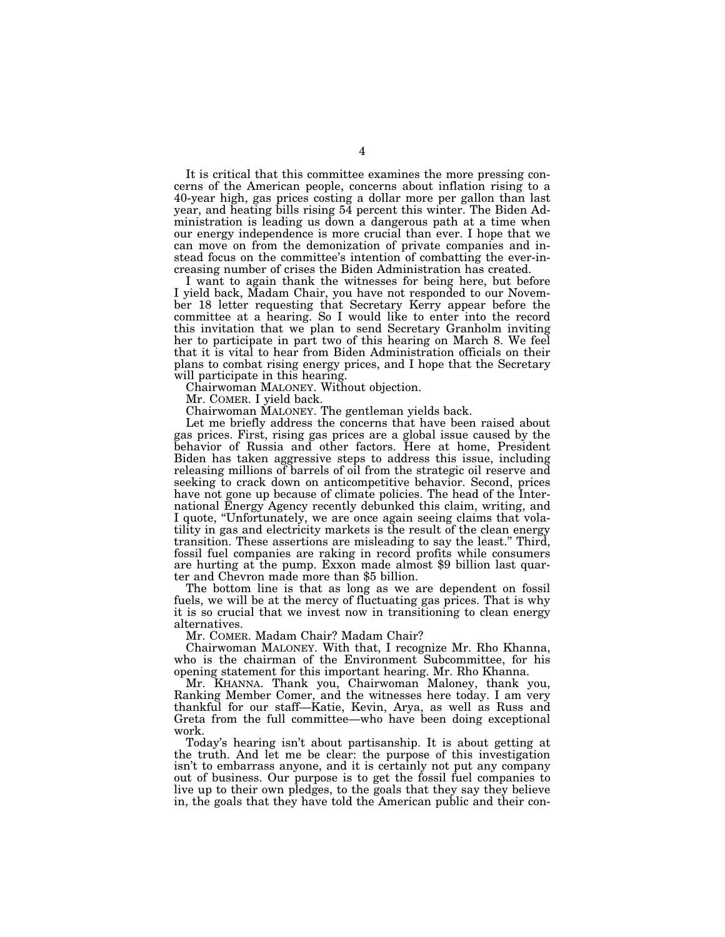It is critical that this committee examines the more pressing concerns of the American people, concerns about inflation rising to a 40-year high, gas prices costing a dollar more per gallon than last year, and heating bills rising 54 percent this winter. The Biden Administration is leading us down a dangerous path at a time when our energy independence is more crucial than ever. I hope that we can move on from the demonization of private companies and instead focus on the committee's intention of combatting the ever-increasing number of crises the Biden Administration has created.

I want to again thank the witnesses for being here, but before I yield back, Madam Chair, you have not responded to our November 18 letter requesting that Secretary Kerry appear before the committee at a hearing. So I would like to enter into the record this invitation that we plan to send Secretary Granholm inviting her to participate in part two of this hearing on March 8. We feel that it is vital to hear from Biden Administration officials on their plans to combat rising energy prices, and I hope that the Secretary will participate in this hearing.

Chairwoman MALONEY. Without objection.

Mr. COMER. I yield back.

Chairwoman MALONEY. The gentleman yields back.

Let me briefly address the concerns that have been raised about gas prices. First, rising gas prices are a global issue caused by the behavior of Russia and other factors. Here at home, President Biden has taken aggressive steps to address this issue, including releasing millions of barrels of oil from the strategic oil reserve and seeking to crack down on anticompetitive behavior. Second, prices have not gone up because of climate policies. The head of the International Energy Agency recently debunked this claim, writing, and I quote, ''Unfortunately, we are once again seeing claims that volatility in gas and electricity markets is the result of the clean energy transition. These assertions are misleading to say the least.'' Third, fossil fuel companies are raking in record profits while consumers are hurting at the pump. Exxon made almost \$9 billion last quarter and Chevron made more than \$5 billion.

The bottom line is that as long as we are dependent on fossil fuels, we will be at the mercy of fluctuating gas prices. That is why it is so crucial that we invest now in transitioning to clean energy alternatives.

Mr. COMER. Madam Chair? Madam Chair?

Chairwoman MALONEY. With that, I recognize Mr. Rho Khanna, who is the chairman of the Environment Subcommittee, for his opening statement for this important hearing. Mr. Rho Khanna.

Mr. KHANNA. Thank you, Chairwoman Maloney, thank you, Ranking Member Comer, and the witnesses here today. I am very thankful for our staff—Katie, Kevin, Arya, as well as Russ and Greta from the full committee—who have been doing exceptional work.

Today's hearing isn't about partisanship. It is about getting at the truth. And let me be clear: the purpose of this investigation isn't to embarrass anyone, and it is certainly not put any company out of business. Our purpose is to get the fossil fuel companies to live up to their own pledges, to the goals that they say they believe in, the goals that they have told the American public and their con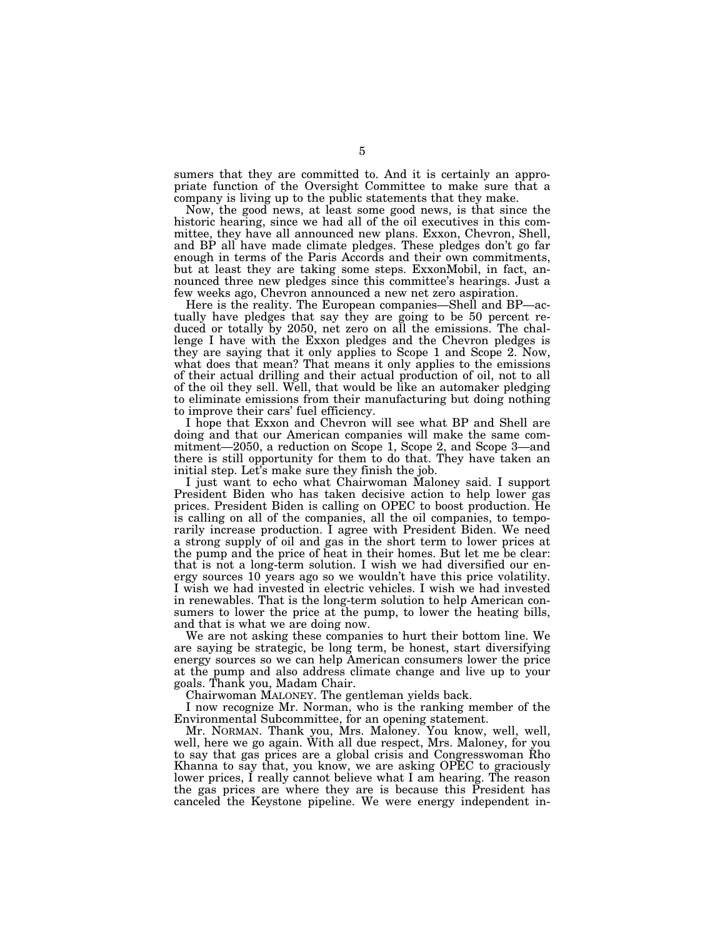sumers that they are committed to. And it is certainly an appropriate function of the Oversight Committee to make sure that a company is living up to the public statements that they make.

Now, the good news, at least some good news, is that since the historic hearing, since we had all of the oil executives in this committee, they have all announced new plans. Exxon, Chevron, Shell, and BP all have made climate pledges. These pledges don't go far enough in terms of the Paris Accords and their own commitments, but at least they are taking some steps. ExxonMobil, in fact, announced three new pledges since this committee's hearings. Just a few weeks ago, Chevron announced a new net zero aspiration.

Here is the reality. The European companies—Shell and BP—actually have pledges that say they are going to be 50 percent reduced or totally by 2050, net zero on all the emissions. The challenge I have with the Exxon pledges and the Chevron pledges is they are saying that it only applies to Scope 1 and Scope 2. Now, what does that mean? That means it only applies to the emissions of their actual drilling and their actual production of oil, not to all of the oil they sell. Well, that would be like an automaker pledging to eliminate emissions from their manufacturing but doing nothing to improve their cars' fuel efficiency.

I hope that Exxon and Chevron will see what BP and Shell are doing and that our American companies will make the same commitment—2050, a reduction on Scope 1, Scope 2, and Scope 3—and there is still opportunity for them to do that. They have taken an initial step. Let's make sure they finish the job.

I just want to echo what Chairwoman Maloney said. I support President Biden who has taken decisive action to help lower gas prices. President Biden is calling on OPEC to boost production. He is calling on all of the companies, all the oil companies, to temporarily increase production. I agree with President Biden. We need a strong supply of oil and gas in the short term to lower prices at the pump and the price of heat in their homes. But let me be clear: that is not a long-term solution. I wish we had diversified our energy sources 10 years ago so we wouldn't have this price volatility. I wish we had invested in electric vehicles. I wish we had invested in renewables. That is the long-term solution to help American consumers to lower the price at the pump, to lower the heating bills, and that is what we are doing now.

We are not asking these companies to hurt their bottom line. We are saying be strategic, be long term, be honest, start diversifying energy sources so we can help American consumers lower the price at the pump and also address climate change and live up to your goals. Thank you, Madam Chair.

Chairwoman MALONEY. The gentleman yields back.

I now recognize Mr. Norman, who is the ranking member of the Environmental Subcommittee, for an opening statement.

Mr. NORMAN. Thank you, Mrs. Maloney. You know, well, well, well, here we go again. With all due respect, Mrs. Maloney, for you to say that gas prices are a global crisis and Congresswoman Rho Khanna to say that, you know, we are asking OPEC to graciously lower prices, I really cannot believe what I am hearing. The reason the gas prices are where they are is because this President has canceled the Keystone pipeline. We were energy independent in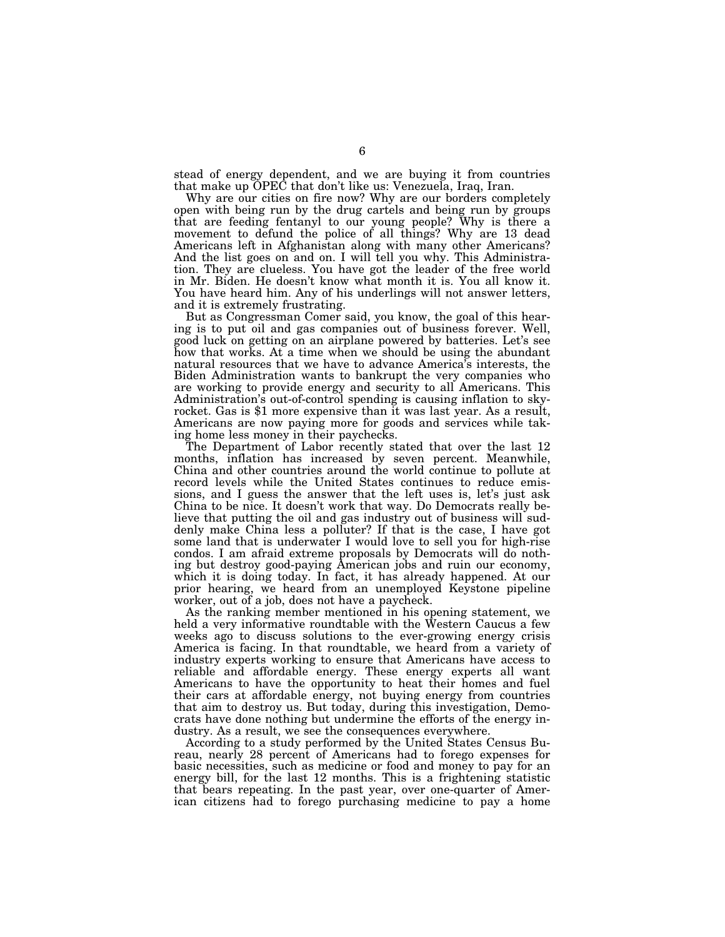stead of energy dependent, and we are buying it from countries that make up OPEC that don't like us: Venezuela, Iraq, Iran.

Why are our cities on fire now? Why are our borders completely open with being run by the drug cartels and being run by groups that are feeding fentanyl to our young people? Why is there a movement to defund the police of all things? Why are 13 dead Americans left in Afghanistan along with many other Americans? And the list goes on and on. I will tell you why. This Administration. They are clueless. You have got the leader of the free world in Mr. Biden. He doesn't know what month it is. You all know it. You have heard him. Any of his underlings will not answer letters, and it is extremely frustrating.

But as Congressman Comer said, you know, the goal of this hearing is to put oil and gas companies out of business forever. Well, good luck on getting on an airplane powered by batteries. Let's see how that works. At a time when we should be using the abundant natural resources that we have to advance America's interests, the Biden Administration wants to bankrupt the very companies who are working to provide energy and security to all Americans. This Administration's out-of-control spending is causing inflation to skyrocket. Gas is \$1 more expensive than it was last year. As a result, Americans are now paying more for goods and services while taking home less money in their paychecks.

The Department of Labor recently stated that over the last 12 months, inflation has increased by seven percent. Meanwhile, China and other countries around the world continue to pollute at record levels while the United States continues to reduce emissions, and I guess the answer that the left uses is, let's just ask China to be nice. It doesn't work that way. Do Democrats really believe that putting the oil and gas industry out of business will suddenly make China less a polluter? If that is the case, I have got some land that is underwater I would love to sell you for high-rise condos. I am afraid extreme proposals by Democrats will do nothing but destroy good-paying American jobs and ruin our economy, which it is doing today. In fact, it has already happened. At our prior hearing, we heard from an unemployed Keystone pipeline worker, out of a job, does not have a paycheck.

As the ranking member mentioned in his opening statement, we held a very informative roundtable with the Western Caucus a few weeks ago to discuss solutions to the ever-growing energy crisis America is facing. In that roundtable, we heard from a variety of industry experts working to ensure that Americans have access to reliable and affordable energy. These energy experts all want Americans to have the opportunity to heat their homes and fuel their cars at affordable energy, not buying energy from countries that aim to destroy us. But today, during this investigation, Democrats have done nothing but undermine the efforts of the energy industry. As a result, we see the consequences everywhere.

According to a study performed by the United States Census Bureau, nearly 28 percent of Americans had to forego expenses for basic necessities, such as medicine or food and money to pay for an energy bill, for the last 12 months. This is a frightening statistic that bears repeating. In the past year, over one-quarter of American citizens had to forego purchasing medicine to pay a home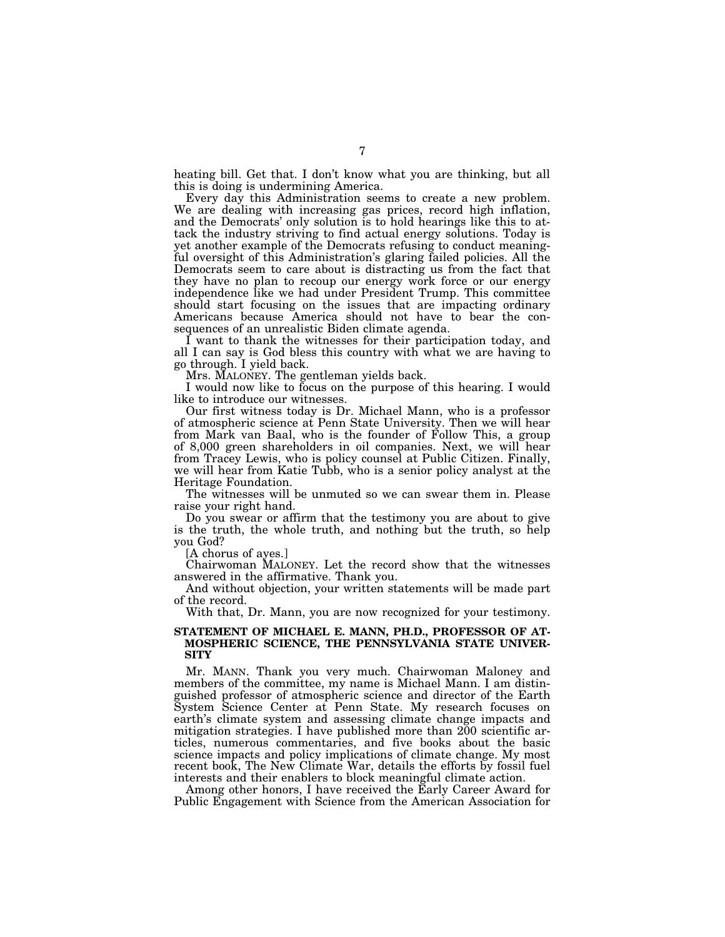heating bill. Get that. I don't know what you are thinking, but all this is doing is undermining America.

Every day this Administration seems to create a new problem. We are dealing with increasing gas prices, record high inflation, and the Democrats' only solution is to hold hearings like this to attack the industry striving to find actual energy solutions. Today is yet another example of the Democrats refusing to conduct meaningful oversight of this Administration's glaring failed policies. All the Democrats seem to care about is distracting us from the fact that they have no plan to recoup our energy work force or our energy independence like we had under President Trump. This committee should start focusing on the issues that are impacting ordinary Americans because America should not have to bear the consequences of an unrealistic Biden climate agenda.

I want to thank the witnesses for their participation today, and all I can say is God bless this country with what we are having to go through. I yield back.

Mrs. MALONEY. The gentleman yields back.

I would now like to focus on the purpose of this hearing. I would like to introduce our witnesses.

Our first witness today is Dr. Michael Mann, who is a professor of atmospheric science at Penn State University. Then we will hear from Mark van Baal, who is the founder of Follow This, a group of 8,000 green shareholders in oil companies. Next, we will hear from Tracey Lewis, who is policy counsel at Public Citizen. Finally, we will hear from Katie Tubb, who is a senior policy analyst at the Heritage Foundation.

The witnesses will be unmuted so we can swear them in. Please raise your right hand.

Do you swear or affirm that the testimony you are about to give is the truth, the whole truth, and nothing but the truth, so help you God?

[A chorus of ayes.]

Chairwoman MALONEY. Let the record show that the witnesses answered in the affirmative. Thank you.

And without objection, your written statements will be made part of the record.

With that, Dr. Mann, you are now recognized for your testimony.

#### **STATEMENT OF MICHAEL E. MANN, PH.D., PROFESSOR OF AT-MOSPHERIC SCIENCE, THE PENNSYLVANIA STATE UNIVER-SITY**

Mr. MANN. Thank you very much. Chairwoman Maloney and members of the committee, my name is Michael Mann. I am distinguished professor of atmospheric science and director of the Earth System Science Center at Penn State. My research focuses on earth's climate system and assessing climate change impacts and mitigation strategies. I have published more than 200 scientific articles, numerous commentaries, and five books about the basic science impacts and policy implications of climate change. My most recent book, The New Climate War, details the efforts by fossil fuel interests and their enablers to block meaningful climate action.

Among other honors, I have received the Early Career Award for Public Engagement with Science from the American Association for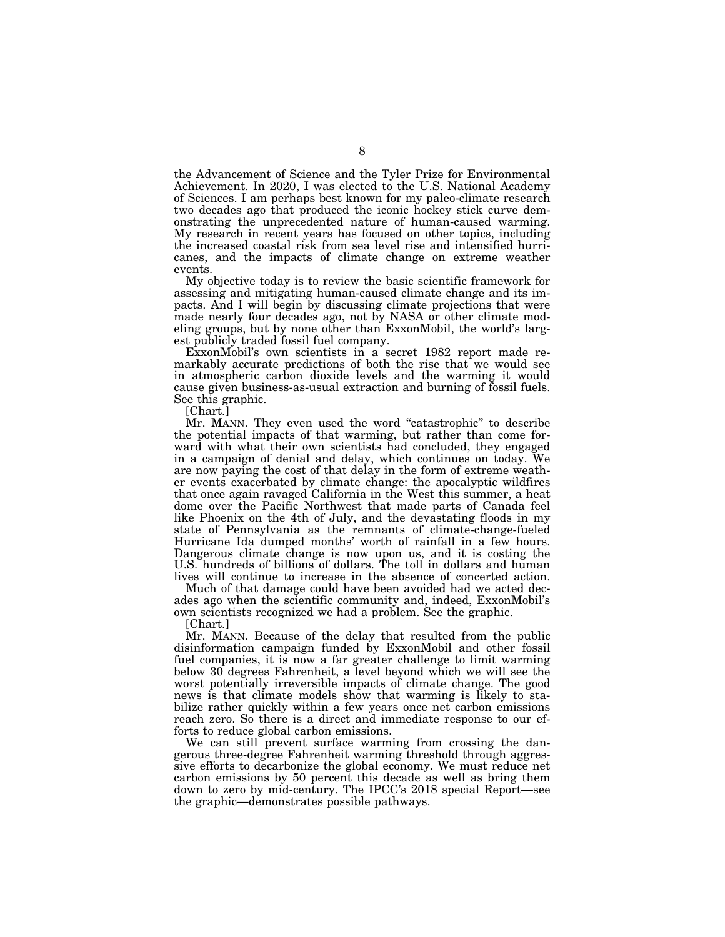the Advancement of Science and the Tyler Prize for Environmental Achievement. In 2020, I was elected to the U.S. National Academy of Sciences. I am perhaps best known for my paleo-climate research two decades ago that produced the iconic hockey stick curve demonstrating the unprecedented nature of human-caused warming. My research in recent years has focused on other topics, including the increased coastal risk from sea level rise and intensified hurricanes, and the impacts of climate change on extreme weather events.

My objective today is to review the basic scientific framework for assessing and mitigating human-caused climate change and its impacts. And I will begin by discussing climate projections that were made nearly four decades ago, not by NASA or other climate modeling groups, but by none other than ExxonMobil, the world's largest publicly traded fossil fuel company.

ExxonMobil's own scientists in a secret 1982 report made remarkably accurate predictions of both the rise that we would see in atmospheric carbon dioxide levels and the warming it would cause given business-as-usual extraction and burning of fossil fuels. See this graphic.

[Chart.]

Mr. MANN. They even used the word "catastrophic" to describe the potential impacts of that warming, but rather than come forward with what their own scientists had concluded, they engaged in a campaign of denial and delay, which continues on today. We are now paying the cost of that delay in the form of extreme weather events exacerbated by climate change: the apocalyptic wildfires that once again ravaged California in the West this summer, a heat dome over the Pacific Northwest that made parts of Canada feel like Phoenix on the 4th of July, and the devastating floods in my state of Pennsylvania as the remnants of climate-change-fueled Hurricane Ida dumped months' worth of rainfall in a few hours. Dangerous climate change is now upon us, and it is costing the U.S. hundreds of billions of dollars. The toll in dollars and human lives will continue to increase in the absence of concerted action.

Much of that damage could have been avoided had we acted decades ago when the scientific community and, indeed, ExxonMobil's own scientists recognized we had a problem. See the graphic.

[Chart.]

Mr. MANN. Because of the delay that resulted from the public disinformation campaign funded by ExxonMobil and other fossil fuel companies, it is now a far greater challenge to limit warming below 30 degrees Fahrenheit, a level beyond which we will see the worst potentially irreversible impacts of climate change. The good news is that climate models show that warming is likely to stabilize rather quickly within a few years once net carbon emissions reach zero. So there is a direct and immediate response to our efforts to reduce global carbon emissions.

We can still prevent surface warming from crossing the dangerous three-degree Fahrenheit warming threshold through aggressive efforts to decarbonize the global economy. We must reduce net carbon emissions by 50 percent this decade as well as bring them down to zero by mid-century. The IPCC's 2018 special Report—see the graphic—demonstrates possible pathways.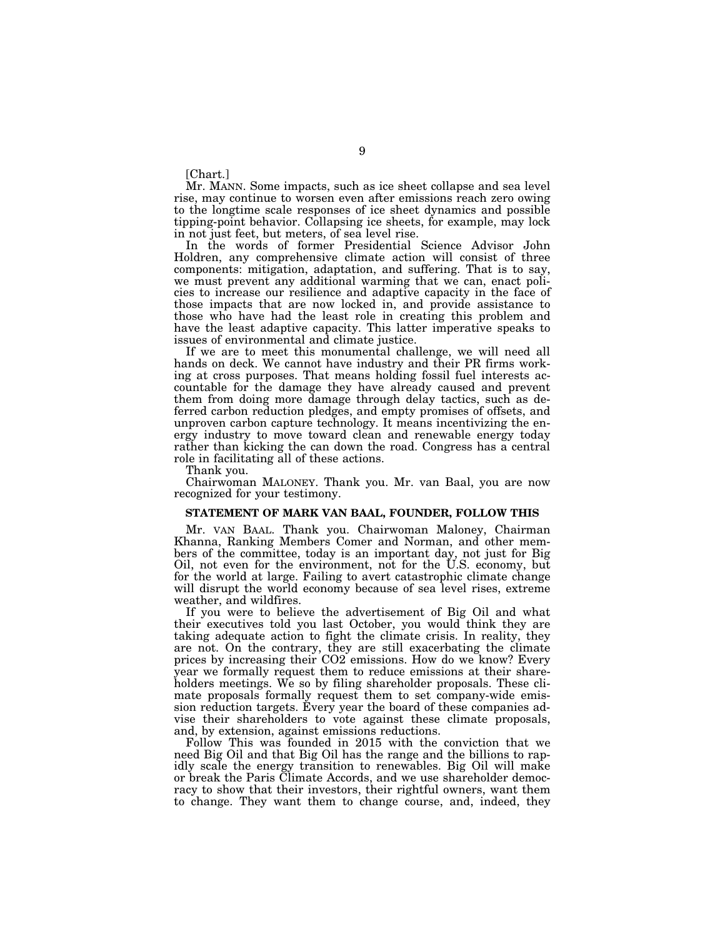[Chart.]

Mr. MANN. Some impacts, such as ice sheet collapse and sea level rise, may continue to worsen even after emissions reach zero owing to the longtime scale responses of ice sheet dynamics and possible tipping-point behavior. Collapsing ice sheets, for example, may lock in not just feet, but meters, of sea level rise.

In the words of former Presidential Science Advisor John Holdren, any comprehensive climate action will consist of three components: mitigation, adaptation, and suffering. That is to say, we must prevent any additional warming that we can, enact policies to increase our resilience and adaptive capacity in the face of those impacts that are now locked in, and provide assistance to those who have had the least role in creating this problem and have the least adaptive capacity. This latter imperative speaks to issues of environmental and climate justice.

If we are to meet this monumental challenge, we will need all hands on deck. We cannot have industry and their PR firms working at cross purposes. That means holding fossil fuel interests accountable for the damage they have already caused and prevent them from doing more damage through delay tactics, such as deferred carbon reduction pledges, and empty promises of offsets, and unproven carbon capture technology. It means incentivizing the energy industry to move toward clean and renewable energy today rather than kicking the can down the road. Congress has a central role in facilitating all of these actions.

Thank you.

Chairwoman MALONEY. Thank you. Mr. van Baal, you are now recognized for your testimony.

#### **STATEMENT OF MARK VAN BAAL, FOUNDER, FOLLOW THIS**

Mr. VAN BAAL. Thank you. Chairwoman Maloney, Chairman Khanna, Ranking Members Comer and Norman, and other members of the committee, today is an important day, not just for Big Oil, not even for the environment, not for the U.S. economy, but for the world at large. Failing to avert catastrophic climate change will disrupt the world economy because of sea level rises, extreme weather, and wildfires.

If you were to believe the advertisement of Big Oil and what their executives told you last October, you would think they are taking adequate action to fight the climate crisis. In reality, they are not. On the contrary, they are still exacerbating the climate prices by increasing their CO2 emissions. How do we know? Every year we formally request them to reduce emissions at their shareholders meetings. We so by filing shareholder proposals. These climate proposals formally request them to set company-wide emission reduction targets. Every year the board of these companies advise their shareholders to vote against these climate proposals, and, by extension, against emissions reductions.

Follow This was founded in 2015 with the conviction that we need Big Oil and that Big Oil has the range and the billions to rapidly scale the energy transition to renewables. Big Oil will make or break the Paris Climate Accords, and we use shareholder democracy to show that their investors, their rightful owners, want them to change. They want them to change course, and, indeed, they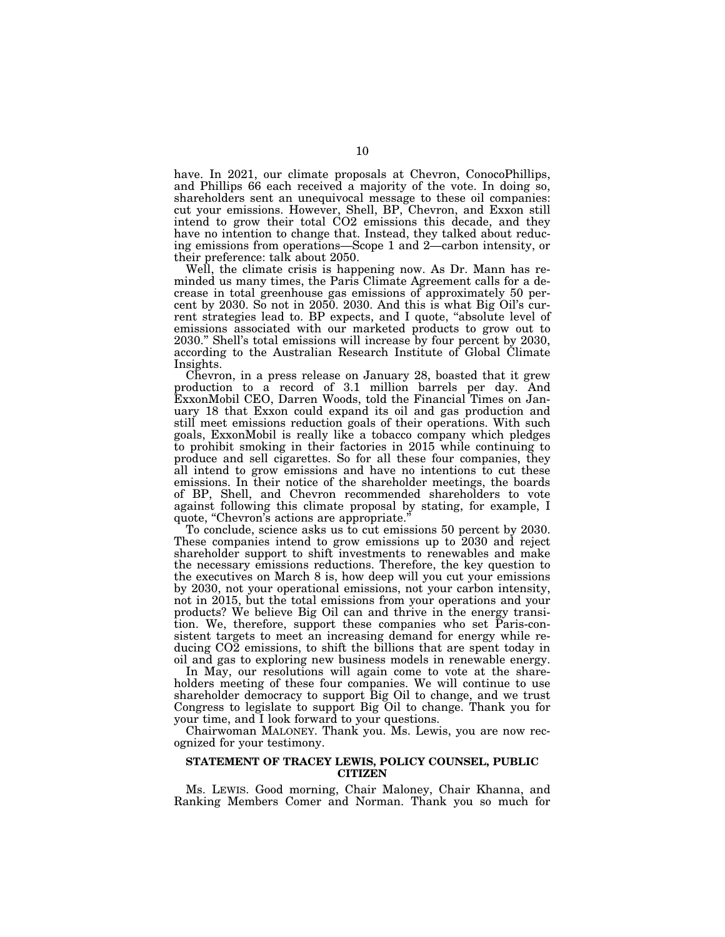have. In 2021, our climate proposals at Chevron, ConocoPhillips, and Phillips 66 each received a majority of the vote. In doing so, shareholders sent an unequivocal message to these oil companies: cut your emissions. However, Shell, BP, Chevron, and Exxon still intend to grow their total CO2 emissions this decade, and they have no intention to change that. Instead, they talked about reducing emissions from operations—Scope 1 and 2—carbon intensity, or their preference: talk about 2050.

Well, the climate crisis is happening now. As Dr. Mann has reminded us many times, the Paris Climate Agreement calls for a decrease in total greenhouse gas emissions of approximately 50 percent by 2030. So not in 2050. 2030. And this is what Big Oil's current strategies lead to. BP expects, and I quote, "absolute level of emissions associated with our marketed products to grow out to 2030.'' Shell's total emissions will increase by four percent by 2030, according to the Australian Research Institute of Global Climate Insights.

Chevron, in a press release on January 28, boasted that it grew production to a record of 3.1 million barrels per day. And ExxonMobil CEO, Darren Woods, told the Financial Times on January 18 that Exxon could expand its oil and gas production and still meet emissions reduction goals of their operations. With such goals, ExxonMobil is really like a tobacco company which pledges to prohibit smoking in their factories in 2015 while continuing to produce and sell cigarettes. So for all these four companies, they all intend to grow emissions and have no intentions to cut these emissions. In their notice of the shareholder meetings, the boards of BP, Shell, and Chevron recommended shareholders to vote against following this climate proposal by stating, for example, I quote, "Chevron's actions are appropriate.

To conclude, science asks us to cut emissions 50 percent by 2030. These companies intend to grow emissions up to 2030 and reject shareholder support to shift investments to renewables and make the necessary emissions reductions. Therefore, the key question to the executives on March 8 is, how deep will you cut your emissions by 2030, not your operational emissions, not your carbon intensity, not in 2015, but the total emissions from your operations and your products? We believe Big Oil can and thrive in the energy transition. We, therefore, support these companies who set Paris-consistent targets to meet an increasing demand for energy while reducing CO2 emissions, to shift the billions that are spent today in oil and gas to exploring new business models in renewable energy.

In May, our resolutions will again come to vote at the shareholders meeting of these four companies. We will continue to use shareholder democracy to support Big Oil to change, and we trust Congress to legislate to support Big Oil to change. Thank you for your time, and I look forward to your questions.

Chairwoman MALONEY. Thank you. Ms. Lewis, you are now recognized for your testimony.

#### **STATEMENT OF TRACEY LEWIS, POLICY COUNSEL, PUBLIC CITIZEN**

Ms. LEWIS. Good morning, Chair Maloney, Chair Khanna, and Ranking Members Comer and Norman. Thank you so much for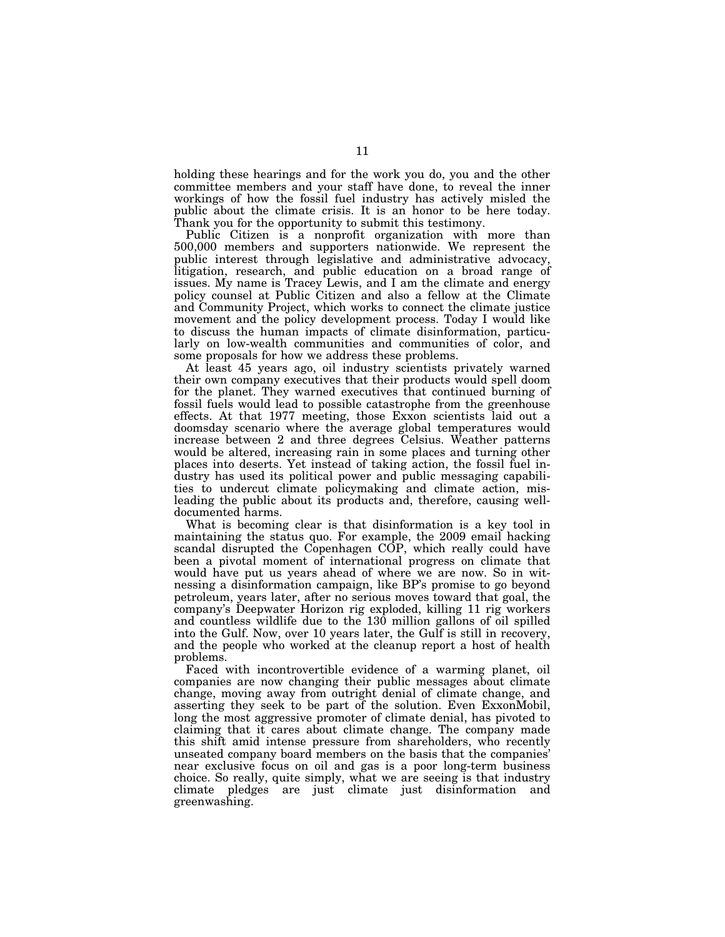holding these hearings and for the work you do, you and the other committee members and your staff have done, to reveal the inner workings of how the fossil fuel industry has actively misled the public about the climate crisis. It is an honor to be here today. Thank you for the opportunity to submit this testimony.

Public Citizen is a nonprofit organization with more than 500,000 members and supporters nationwide. We represent the public interest through legislative and administrative advocacy, litigation, research, and public education on a broad range of issues. My name is Tracey Lewis, and I am the climate and energy policy counsel at Public Citizen and also a fellow at the Climate and Community Project, which works to connect the climate justice movement and the policy development process. Today I would like to discuss the human impacts of climate disinformation, particularly on low-wealth communities and communities of color, and some proposals for how we address these problems.

At least 45 years ago, oil industry scientists privately warned their own company executives that their products would spell doom for the planet. They warned executives that continued burning of fossil fuels would lead to possible catastrophe from the greenhouse effects. At that 1977 meeting, those Exxon scientists laid out a doomsday scenario where the average global temperatures would increase between 2 and three degrees Celsius. Weather patterns would be altered, increasing rain in some places and turning other places into deserts. Yet instead of taking action, the fossil fuel industry has used its political power and public messaging capabilities to undercut climate policymaking and climate action, misleading the public about its products and, therefore, causing welldocumented harms.

What is becoming clear is that disinformation is a key tool in maintaining the status quo. For example, the 2009 email hacking scandal disrupted the Copenhagen COP, which really could have been a pivotal moment of international progress on climate that would have put us years ahead of where we are now. So in witnessing a disinformation campaign, like BP's promise to go beyond petroleum, years later, after no serious moves toward that goal, the company's Deepwater Horizon rig exploded, killing 11 rig workers and countless wildlife due to the 130 million gallons of oil spilled into the Gulf. Now, over 10 years later, the Gulf is still in recovery, and the people who worked at the cleanup report a host of health problems.

Faced with incontrovertible evidence of a warming planet, oil companies are now changing their public messages about climate change, moving away from outright denial of climate change, and asserting they seek to be part of the solution. Even ExxonMobil, long the most aggressive promoter of climate denial, has pivoted to claiming that it cares about climate change. The company made this shift amid intense pressure from shareholders, who recently unseated company board members on the basis that the companies' near exclusive focus on oil and gas is a poor long-term business choice. So really, quite simply, what we are seeing is that industry climate pledges are just climate just disinformation and greenwashing.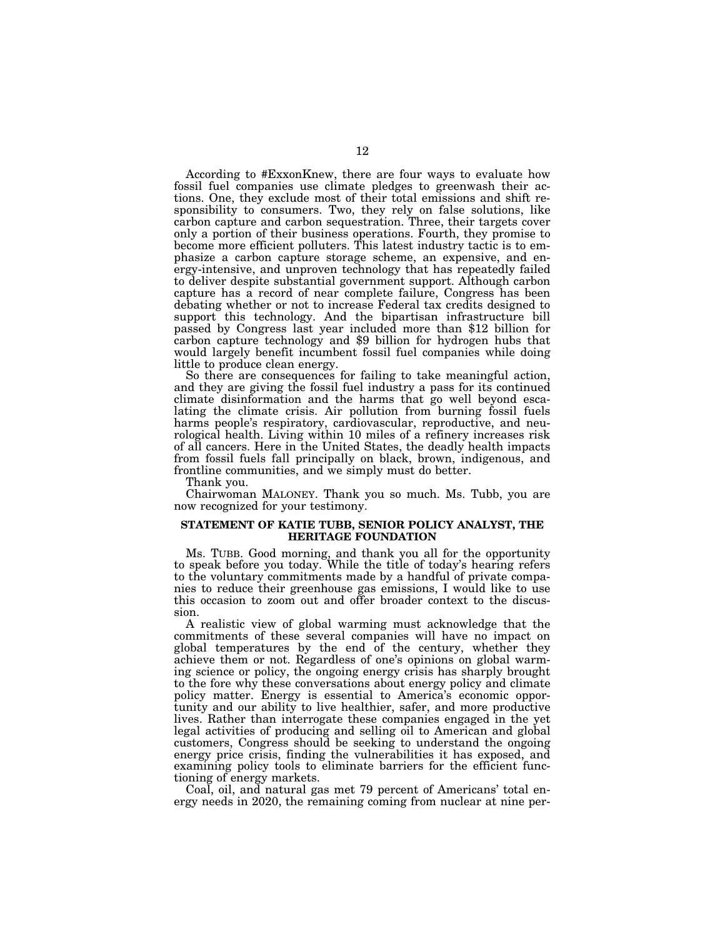According to #ExxonKnew, there are four ways to evaluate how fossil fuel companies use climate pledges to greenwash their actions. One, they exclude most of their total emissions and shift responsibility to consumers. Two, they rely on false solutions, like carbon capture and carbon sequestration. Three, their targets cover only a portion of their business operations. Fourth, they promise to become more efficient polluters. This latest industry tactic is to emphasize a carbon capture storage scheme, an expensive, and energy-intensive, and unproven technology that has repeatedly failed to deliver despite substantial government support. Although carbon capture has a record of near complete failure, Congress has been debating whether or not to increase Federal tax credits designed to support this technology. And the bipartisan infrastructure bill passed by Congress last year included more than \$12 billion for carbon capture technology and \$9 billion for hydrogen hubs that would largely benefit incumbent fossil fuel companies while doing little to produce clean energy.

So there are consequences for failing to take meaningful action, and they are giving the fossil fuel industry a pass for its continued climate disinformation and the harms that go well beyond escalating the climate crisis. Air pollution from burning fossil fuels harms people's respiratory, cardiovascular, reproductive, and neurological health. Living within 10 miles of a refinery increases risk of all cancers. Here in the United States, the deadly health impacts from fossil fuels fall principally on black, brown, indigenous, and frontline communities, and we simply must do better.

Thank you.

Chairwoman MALONEY. Thank you so much. Ms. Tubb, you are now recognized for your testimony.

#### **STATEMENT OF KATIE TUBB, SENIOR POLICY ANALYST, THE HERITAGE FOUNDATION**

Ms. TUBB. Good morning, and thank you all for the opportunity to speak before you today. While the title of today's hearing refers to the voluntary commitments made by a handful of private companies to reduce their greenhouse gas emissions, I would like to use this occasion to zoom out and offer broader context to the discussion.

A realistic view of global warming must acknowledge that the commitments of these several companies will have no impact on global temperatures by the end of the century, whether they achieve them or not. Regardless of one's opinions on global warming science or policy, the ongoing energy crisis has sharply brought to the fore why these conversations about energy policy and climate policy matter. Energy is essential to America's economic opportunity and our ability to live healthier, safer, and more productive lives. Rather than interrogate these companies engaged in the yet legal activities of producing and selling oil to American and global customers, Congress should be seeking to understand the ongoing energy price crisis, finding the vulnerabilities it has exposed, and examining policy tools to eliminate barriers for the efficient functioning of energy markets.

Coal, oil, and natural gas met 79 percent of Americans' total energy needs in 2020, the remaining coming from nuclear at nine per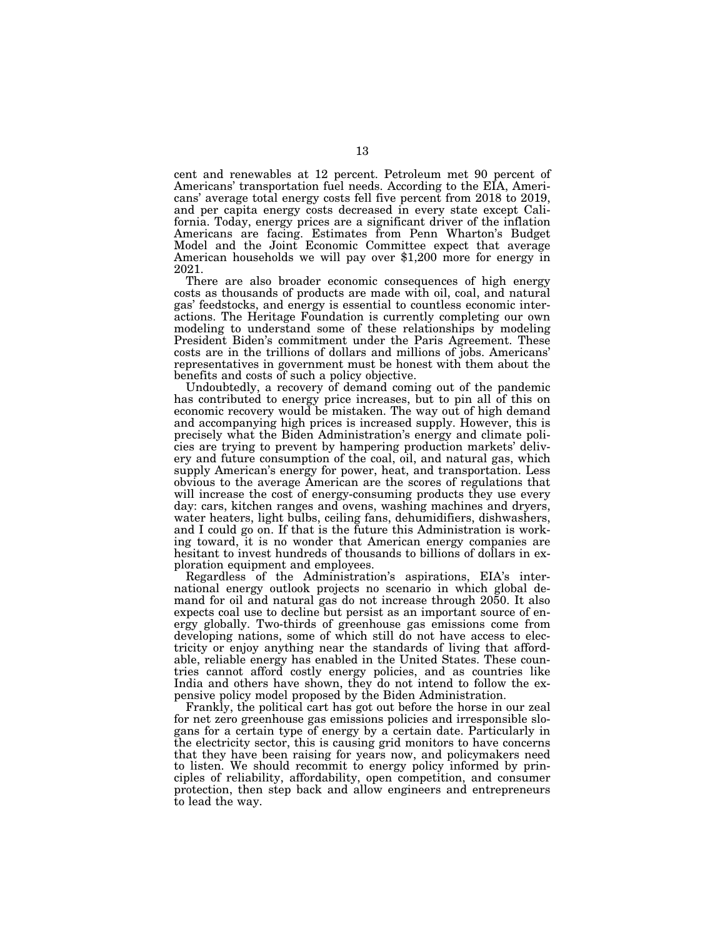cent and renewables at 12 percent. Petroleum met 90 percent of Americans' transportation fuel needs. According to the EIA, Americans' average total energy costs fell five percent from 2018 to 2019, and per capita energy costs decreased in every state except California. Today, energy prices are a significant driver of the inflation Americans are facing. Estimates from Penn Wharton's Budget Model and the Joint Economic Committee expect that average American households we will pay over \$1,200 more for energy in 2021.

There are also broader economic consequences of high energy costs as thousands of products are made with oil, coal, and natural gas' feedstocks, and energy is essential to countless economic interactions. The Heritage Foundation is currently completing our own modeling to understand some of these relationships by modeling President Biden's commitment under the Paris Agreement. These costs are in the trillions of dollars and millions of jobs. Americans' representatives in government must be honest with them about the benefits and costs of such a policy objective.

Undoubtedly, a recovery of demand coming out of the pandemic has contributed to energy price increases, but to pin all of this on economic recovery would be mistaken. The way out of high demand and accompanying high prices is increased supply. However, this is precisely what the Biden Administration's energy and climate policies are trying to prevent by hampering production markets' delivery and future consumption of the coal, oil, and natural gas, which supply American's energy for power, heat, and transportation. Less obvious to the average American are the scores of regulations that will increase the cost of energy-consuming products they use every day: cars, kitchen ranges and ovens, washing machines and dryers, water heaters, light bulbs, ceiling fans, dehumidifiers, dishwashers, and I could go on. If that is the future this Administration is working toward, it is no wonder that American energy companies are hesitant to invest hundreds of thousands to billions of dollars in exploration equipment and employees.

Regardless of the Administration's aspirations, EIA's international energy outlook projects no scenario in which global demand for oil and natural gas do not increase through 2050. It also expects coal use to decline but persist as an important source of energy globally. Two-thirds of greenhouse gas emissions come from developing nations, some of which still do not have access to electricity or enjoy anything near the standards of living that affordable, reliable energy has enabled in the United States. These countries cannot afford costly energy policies, and as countries like India and others have shown, they do not intend to follow the expensive policy model proposed by the Biden Administration.

Frankly, the political cart has got out before the horse in our zeal for net zero greenhouse gas emissions policies and irresponsible slogans for a certain type of energy by a certain date. Particularly in the electricity sector, this is causing grid monitors to have concerns that they have been raising for years now, and policymakers need to listen. We should recommit to energy policy informed by principles of reliability, affordability, open competition, and consumer protection, then step back and allow engineers and entrepreneurs to lead the way.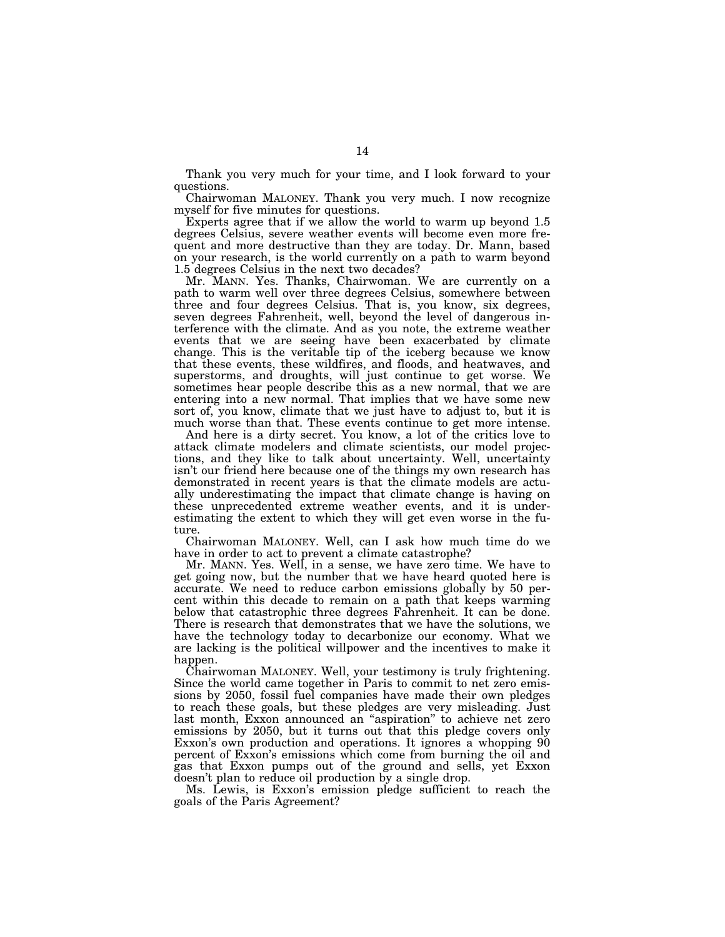Thank you very much for your time, and I look forward to your questions.

Chairwoman MALONEY. Thank you very much. I now recognize myself for five minutes for questions.

Experts agree that if we allow the world to warm up beyond 1.5 degrees Celsius, severe weather events will become even more frequent and more destructive than they are today. Dr. Mann, based on your research, is the world currently on a path to warm beyond 1.5 degrees Celsius in the next two decades?

Mr. MANN. Yes. Thanks, Chairwoman. We are currently on a path to warm well over three degrees Celsius, somewhere between three and four degrees Celsius. That is, you know, six degrees, seven degrees Fahrenheit, well, beyond the level of dangerous interference with the climate. And as you note, the extreme weather events that we are seeing have been exacerbated by climate change. This is the veritable tip of the iceberg because we know that these events, these wildfires, and floods, and heatwaves, and superstorms, and droughts, will just continue to get worse. We sometimes hear people describe this as a new normal, that we are entering into a new normal. That implies that we have some new sort of, you know, climate that we just have to adjust to, but it is much worse than that. These events continue to get more intense.

And here is a dirty secret. You know, a lot of the critics love to attack climate modelers and climate scientists, our model projections, and they like to talk about uncertainty. Well, uncertainty isn't our friend here because one of the things my own research has demonstrated in recent years is that the climate models are actually underestimating the impact that climate change is having on these unprecedented extreme weather events, and it is underestimating the extent to which they will get even worse in the future.

Chairwoman MALONEY. Well, can I ask how much time do we have in order to act to prevent a climate catastrophe?

Mr. MANN. Yes. Well, in a sense, we have zero time. We have to get going now, but the number that we have heard quoted here is accurate. We need to reduce carbon emissions globally by 50 percent within this decade to remain on a path that keeps warming below that catastrophic three degrees Fahrenheit. It can be done. There is research that demonstrates that we have the solutions, we have the technology today to decarbonize our economy. What we are lacking is the political willpower and the incentives to make it happen.

Chairwoman MALONEY. Well, your testimony is truly frightening. Since the world came together in Paris to commit to net zero emissions by 2050, fossil fuel companies have made their own pledges to reach these goals, but these pledges are very misleading. Just last month, Exxon announced an ''aspiration'' to achieve net zero emissions by 2050, but it turns out that this pledge covers only Exxon's own production and operations. It ignores a whopping 90 percent of Exxon's emissions which come from burning the oil and gas that Exxon pumps out of the ground and sells, yet Exxon doesn't plan to reduce oil production by a single drop.

Ms. Lewis, is Exxon's emission pledge sufficient to reach the goals of the Paris Agreement?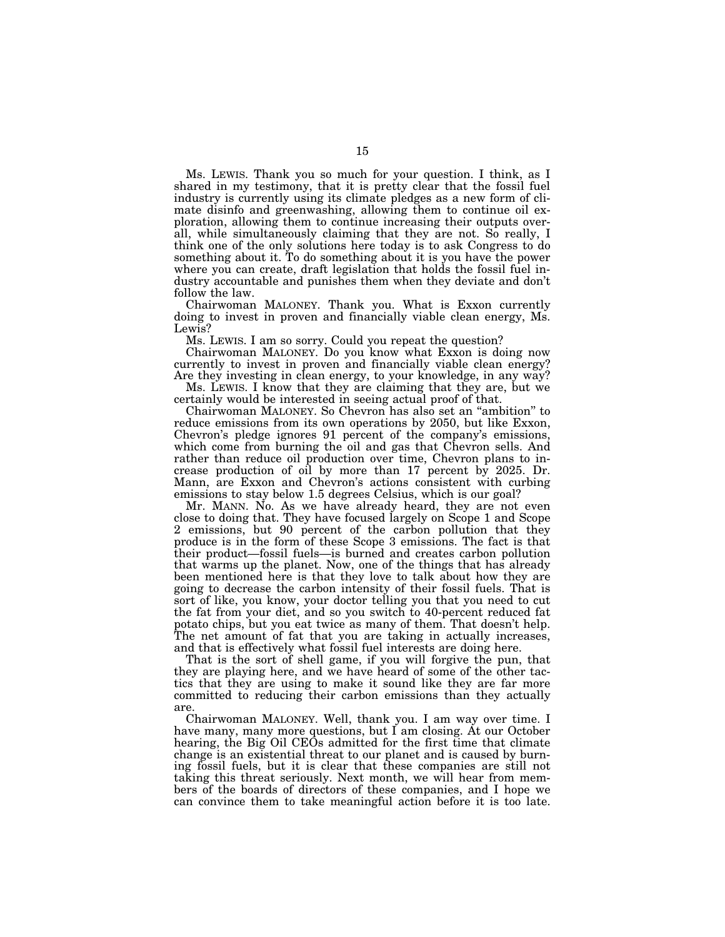Ms. LEWIS. Thank you so much for your question. I think, as I shared in my testimony, that it is pretty clear that the fossil fuel industry is currently using its climate pledges as a new form of climate disinfo and greenwashing, allowing them to continue oil exploration, allowing them to continue increasing their outputs overall, while simultaneously claiming that they are not. So really, I think one of the only solutions here today is to ask Congress to do something about it. To do something about it is you have the power where you can create, draft legislation that holds the fossil fuel industry accountable and punishes them when they deviate and don't follow the law.

Chairwoman MALONEY. Thank you. What is Exxon currently doing to invest in proven and financially viable clean energy, Ms. Lewis?

Ms. LEWIS. I am so sorry. Could you repeat the question?

Chairwoman MALONEY. Do you know what Exxon is doing now currently to invest in proven and financially viable clean energy? Are they investing in clean energy, to your knowledge, in any way?

Ms. LEWIS. I know that they are claiming that they are, but we certainly would be interested in seeing actual proof of that.

Chairwoman MALONEY. So Chevron has also set an ''ambition'' to reduce emissions from its own operations by 2050, but like Exxon, Chevron's pledge ignores 91 percent of the company's emissions, which come from burning the oil and gas that Chevron sells. And rather than reduce oil production over time, Chevron plans to increase production of oil by more than 17 percent by 2025. Dr. Mann, are Exxon and Chevron's actions consistent with curbing emissions to stay below 1.5 degrees Celsius, which is our goal?

Mr. MANN. No. As we have already heard, they are not even close to doing that. They have focused largely on Scope 1 and Scope 2 emissions, but 90 percent of the carbon pollution that they produce is in the form of these Scope 3 emissions. The fact is that their product—fossil fuels—is burned and creates carbon pollution that warms up the planet. Now, one of the things that has already been mentioned here is that they love to talk about how they are going to decrease the carbon intensity of their fossil fuels. That is sort of like, you know, your doctor telling you that you need to cut the fat from your diet, and so you switch to 40-percent reduced fat potato chips, but you eat twice as many of them. That doesn't help. The net amount of fat that you are taking in actually increases, and that is effectively what fossil fuel interests are doing here.

That is the sort of shell game, if you will forgive the pun, that they are playing here, and we have heard of some of the other tactics that they are using to make it sound like they are far more committed to reducing their carbon emissions than they actually are.

Chairwoman MALONEY. Well, thank you. I am way over time. I have many, many more questions, but I am closing. At our October hearing, the Big Oil CEOs admitted for the first time that climate change is an existential threat to our planet and is caused by burning fossil fuels, but it is clear that these companies are still not taking this threat seriously. Next month, we will hear from members of the boards of directors of these companies, and I hope we can convince them to take meaningful action before it is too late.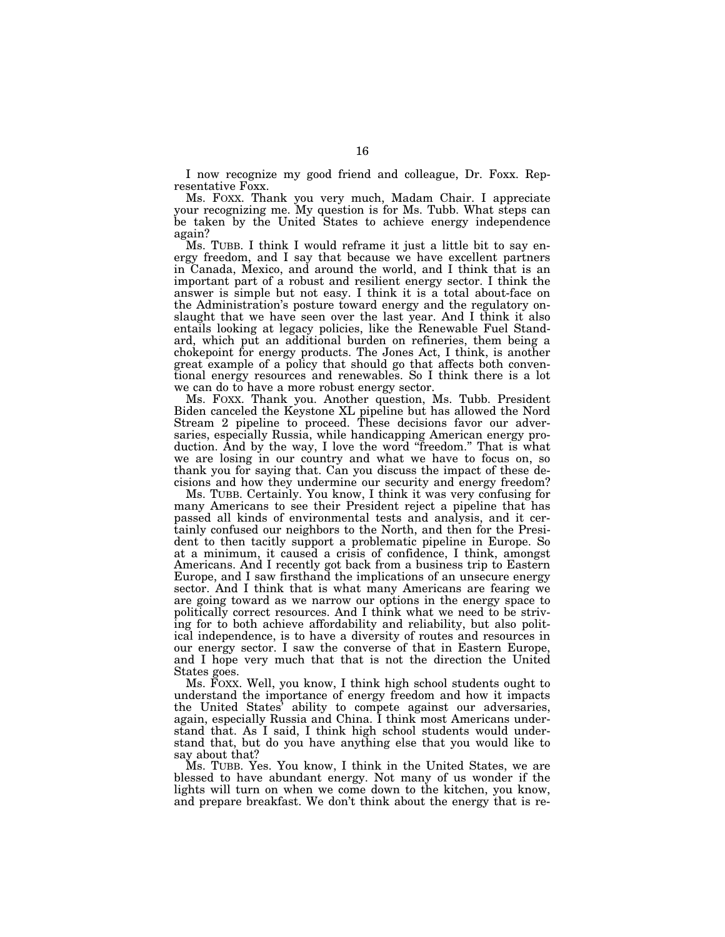I now recognize my good friend and colleague, Dr. Foxx. Representative Foxx.

Ms. FOXX. Thank you very much, Madam Chair. I appreciate your recognizing me. My question is for Ms. Tubb. What steps can be taken by the United States to achieve energy independence again?

Ms. TUBB. I think I would reframe it just a little bit to say energy freedom, and I say that because we have excellent partners in Canada, Mexico, and around the world, and I think that is an important part of a robust and resilient energy sector. I think the answer is simple but not easy. I think it is a total about-face on the Administration's posture toward energy and the regulatory onslaught that we have seen over the last year. And I think it also entails looking at legacy policies, like the Renewable Fuel Standard, which put an additional burden on refineries, them being a chokepoint for energy products. The Jones Act, I think, is another great example of a policy that should go that affects both conventional energy resources and renewables. So I think there is a lot we can do to have a more robust energy sector.

Ms. FOXX. Thank you. Another question, Ms. Tubb. President Biden canceled the Keystone XL pipeline but has allowed the Nord Stream 2 pipeline to proceed. These decisions favor our adversaries, especially Russia, while handicapping American energy production. And by the way, I love the word ''freedom.'' That is what we are losing in our country and what we have to focus on, so thank you for saying that. Can you discuss the impact of these decisions and how they undermine our security and energy freedom?

Ms. TUBB. Certainly. You know, I think it was very confusing for many Americans to see their President reject a pipeline that has passed all kinds of environmental tests and analysis, and it certainly confused our neighbors to the North, and then for the President to then tacitly support a problematic pipeline in Europe. So at a minimum, it caused a crisis of confidence, I think, amongst Americans. And I recently got back from a business trip to Eastern Europe, and I saw firsthand the implications of an unsecure energy sector. And I think that is what many Americans are fearing we are going toward as we narrow our options in the energy space to politically correct resources. And I think what we need to be striving for to both achieve affordability and reliability, but also political independence, is to have a diversity of routes and resources in our energy sector. I saw the converse of that in Eastern Europe, and I hope very much that that is not the direction the United States goes.

Ms. FOXX. Well, you know, I think high school students ought to understand the importance of energy freedom and how it impacts the United States' ability to compete against our adversaries, again, especially Russia and China. I think most Americans understand that. As I said, I think high school students would understand that, but do you have anything else that you would like to say about that?

Ms. TUBB. Yes. You know, I think in the United States, we are blessed to have abundant energy. Not many of us wonder if the lights will turn on when we come down to the kitchen, you know, and prepare breakfast. We don't think about the energy that is re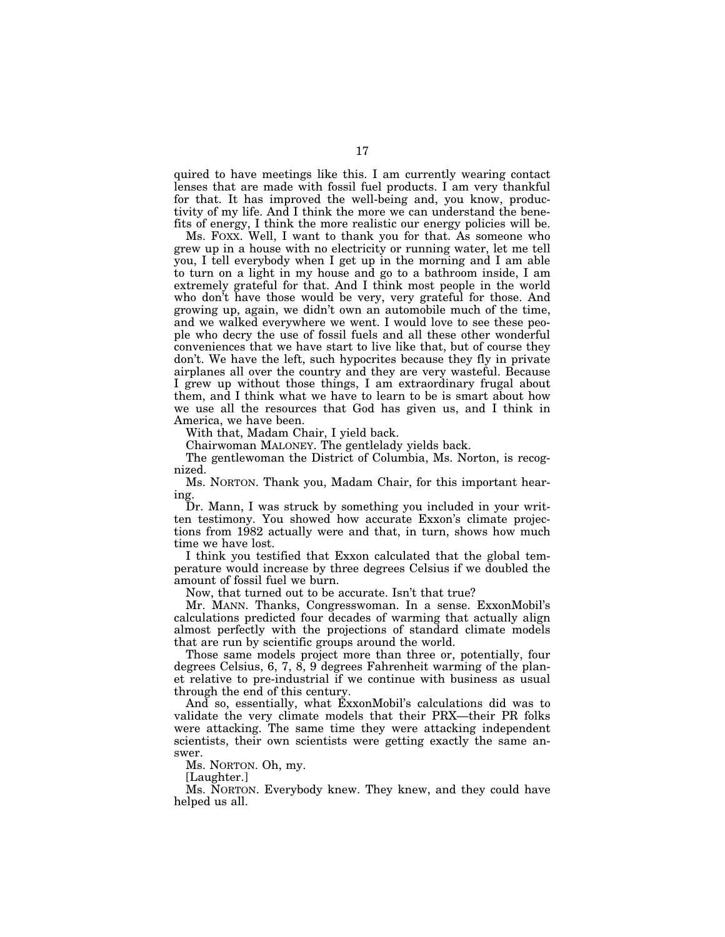quired to have meetings like this. I am currently wearing contact lenses that are made with fossil fuel products. I am very thankful for that. It has improved the well-being and, you know, productivity of my life. And I think the more we can understand the benefits of energy, I think the more realistic our energy policies will be.

Ms. FOXX. Well, I want to thank you for that. As someone who grew up in a house with no electricity or running water, let me tell you, I tell everybody when I get up in the morning and I am able to turn on a light in my house and go to a bathroom inside, I am extremely grateful for that. And I think most people in the world who don't have those would be very, very grateful for those. And growing up, again, we didn't own an automobile much of the time, and we walked everywhere we went. I would love to see these people who decry the use of fossil fuels and all these other wonderful conveniences that we have start to live like that, but of course they don't. We have the left, such hypocrites because they fly in private airplanes all over the country and they are very wasteful. Because I grew up without those things, I am extraordinary frugal about them, and I think what we have to learn to be is smart about how we use all the resources that God has given us, and I think in America, we have been.

With that, Madam Chair, I yield back.

Chairwoman MALONEY. The gentlelady yields back.

The gentlewoman the District of Columbia, Ms. Norton, is recognized.

Ms. NORTON. Thank you, Madam Chair, for this important hearing.

Dr. Mann, I was struck by something you included in your written testimony. You showed how accurate Exxon's climate projections from 1982 actually were and that, in turn, shows how much time we have lost.

I think you testified that Exxon calculated that the global temperature would increase by three degrees Celsius if we doubled the amount of fossil fuel we burn.

Now, that turned out to be accurate. Isn't that true?

Mr. MANN. Thanks, Congresswoman. In a sense. ExxonMobil's calculations predicted four decades of warming that actually align almost perfectly with the projections of standard climate models that are run by scientific groups around the world.

Those same models project more than three or, potentially, four degrees Celsius, 6, 7, 8, 9 degrees Fahrenheit warming of the planet relative to pre-industrial if we continue with business as usual through the end of this century.

And so, essentially, what ExxonMobil's calculations did was to validate the very climate models that their PRX—their PR folks were attacking. The same time they were attacking independent scientists, their own scientists were getting exactly the same answer.

Ms. NORTON. Oh, my.

[Laughter.]

Ms. NORTON. Everybody knew. They knew, and they could have helped us all.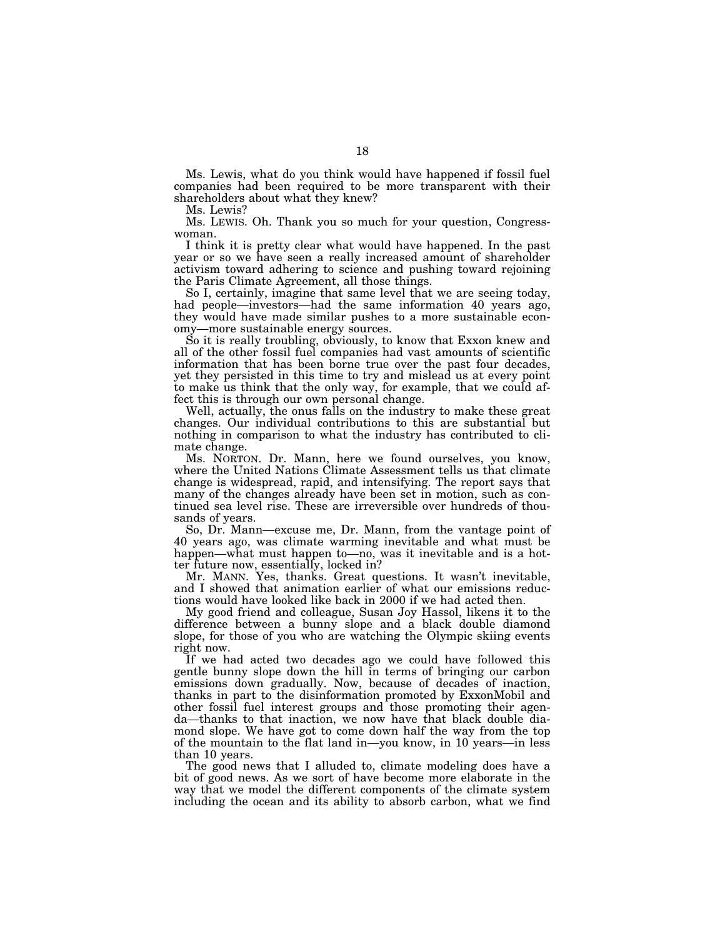Ms. Lewis, what do you think would have happened if fossil fuel companies had been required to be more transparent with their shareholders about what they knew?

Ms. Lewis?

Ms. LEWIS. Oh. Thank you so much for your question, Congresswoman.

I think it is pretty clear what would have happened. In the past year or so we have seen a really increased amount of shareholder activism toward adhering to science and pushing toward rejoining the Paris Climate Agreement, all those things.

So I, certainly, imagine that same level that we are seeing today, had people—investors—had the same information 40 years ago, they would have made similar pushes to a more sustainable economy—more sustainable energy sources.

So it is really troubling, obviously, to know that Exxon knew and all of the other fossil fuel companies had vast amounts of scientific information that has been borne true over the past four decades, yet they persisted in this time to try and mislead us at every point to make us think that the only way, for example, that we could affect this is through our own personal change.

Well, actually, the onus falls on the industry to make these great changes. Our individual contributions to this are substantial but nothing in comparison to what the industry has contributed to climate change.

Ms. NORTON. Dr. Mann, here we found ourselves, you know, where the United Nations Climate Assessment tells us that climate change is widespread, rapid, and intensifying. The report says that many of the changes already have been set in motion, such as continued sea level rise. These are irreversible over hundreds of thousands of years.

So, Dr. Mann—excuse me, Dr. Mann, from the vantage point of 40 years ago, was climate warming inevitable and what must be happen—what must happen to—no, was it inevitable and is a hotter future now, essentially, locked in?

Mr. MANN. Yes, thanks. Great questions. It wasn't inevitable, and I showed that animation earlier of what our emissions reductions would have looked like back in 2000 if we had acted then.

My good friend and colleague, Susan Joy Hassol, likens it to the difference between a bunny slope and a black double diamond slope, for those of you who are watching the Olympic skiing events right now.

If we had acted two decades ago we could have followed this gentle bunny slope down the hill in terms of bringing our carbon emissions down gradually. Now, because of decades of inaction, thanks in part to the disinformation promoted by ExxonMobil and other fossil fuel interest groups and those promoting their agenda—thanks to that inaction, we now have that black double diamond slope. We have got to come down half the way from the top of the mountain to the flat land in—you know, in 10 years—in less than 10 years.

The good news that I alluded to, climate modeling does have a bit of good news. As we sort of have become more elaborate in the way that we model the different components of the climate system including the ocean and its ability to absorb carbon, what we find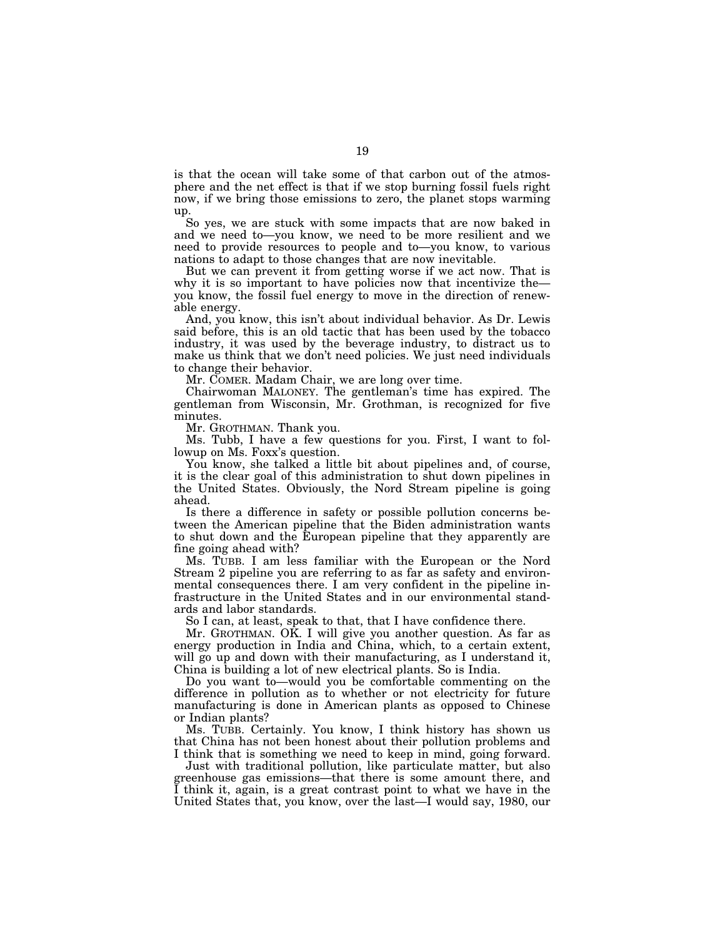is that the ocean will take some of that carbon out of the atmosphere and the net effect is that if we stop burning fossil fuels right now, if we bring those emissions to zero, the planet stops warming up.

So yes, we are stuck with some impacts that are now baked in and we need to—you know, we need to be more resilient and we need to provide resources to people and to—you know, to various nations to adapt to those changes that are now inevitable.

But we can prevent it from getting worse if we act now. That is why it is so important to have policies now that incentivize the you know, the fossil fuel energy to move in the direction of renewable energy.

And, you know, this isn't about individual behavior. As Dr. Lewis said before, this is an old tactic that has been used by the tobacco industry, it was used by the beverage industry, to distract us to make us think that we don't need policies. We just need individuals to change their behavior.

Mr. COMER. Madam Chair, we are long over time.

Chairwoman MALONEY. The gentleman's time has expired. The gentleman from Wisconsin, Mr. Grothman, is recognized for five minutes.

Mr. GROTHMAN. Thank you.

Ms. Tubb, I have a few questions for you. First, I want to followup on Ms. Foxx's question.

You know, she talked a little bit about pipelines and, of course, it is the clear goal of this administration to shut down pipelines in the United States. Obviously, the Nord Stream pipeline is going ahead.

Is there a difference in safety or possible pollution concerns between the American pipeline that the Biden administration wants to shut down and the European pipeline that they apparently are fine going ahead with?

Ms. TUBB. I am less familiar with the European or the Nord Stream 2 pipeline you are referring to as far as safety and environmental consequences there. I am very confident in the pipeline infrastructure in the United States and in our environmental standards and labor standards.

So I can, at least, speak to that, that I have confidence there.

Mr. GROTHMAN. OK. I will give you another question. As far as energy production in India and China, which, to a certain extent, will go up and down with their manufacturing, as I understand it, China is building a lot of new electrical plants. So is India.

Do you want to—would you be comfortable commenting on the difference in pollution as to whether or not electricity for future manufacturing is done in American plants as opposed to Chinese or Indian plants?

Ms. TUBB. Certainly. You know, I think history has shown us that China has not been honest about their pollution problems and I think that is something we need to keep in mind, going forward.

Just with traditional pollution, like particulate matter, but also greenhouse gas emissions—that there is some amount there, and I think it, again, is a great contrast point to what we have in the United States that, you know, over the last—I would say, 1980, our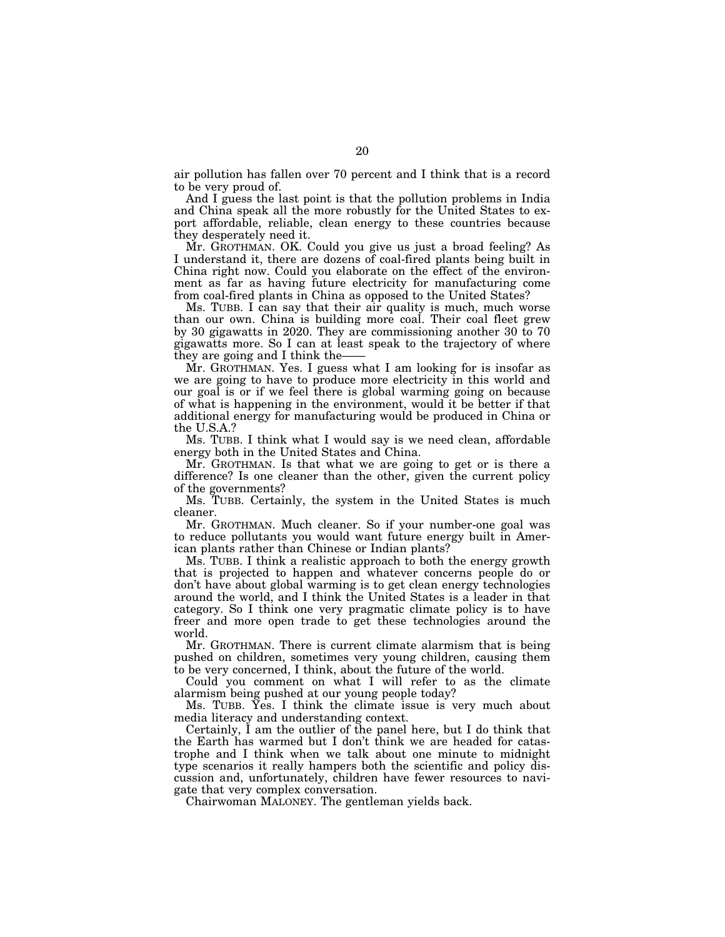air pollution has fallen over 70 percent and I think that is a record to be very proud of.

And I guess the last point is that the pollution problems in India and China speak all the more robustly for the United States to export affordable, reliable, clean energy to these countries because they desperately need it.

Mr. GROTHMAN. OK. Could you give us just a broad feeling? As I understand it, there are dozens of coal-fired plants being built in China right now. Could you elaborate on the effect of the environment as far as having future electricity for manufacturing come from coal-fired plants in China as opposed to the United States?

Ms. TUBB. I can say that their air quality is much, much worse than our own. China is building more coal. Their coal fleet grew by 30 gigawatts in 2020. They are commissioning another 30 to 70 gigawatts more. So I can at least speak to the trajectory of where they are going and I think the

Mr. GROTHMAN. Yes. I guess what I am looking for is insofar as we are going to have to produce more electricity in this world and our goal is or if we feel there is global warming going on because of what is happening in the environment, would it be better if that additional energy for manufacturing would be produced in China or the U.S.A.?

Ms. TUBB. I think what I would say is we need clean, affordable energy both in the United States and China.

Mr. GROTHMAN. Is that what we are going to get or is there a difference? Is one cleaner than the other, given the current policy of the governments?

Ms. TUBB. Certainly, the system in the United States is much cleaner.

Mr. GROTHMAN. Much cleaner. So if your number-one goal was to reduce pollutants you would want future energy built in American plants rather than Chinese or Indian plants?

Ms. TUBB. I think a realistic approach to both the energy growth that is projected to happen and whatever concerns people do or don't have about global warming is to get clean energy technologies around the world, and I think the United States is a leader in that category. So I think one very pragmatic climate policy is to have freer and more open trade to get these technologies around the world.

Mr. GROTHMAN. There is current climate alarmism that is being pushed on children, sometimes very young children, causing them to be very concerned, I think, about the future of the world.

Could you comment on what I will refer to as the climate alarmism being pushed at our young people today?

Ms. TUBB. Yes. I think the climate issue is very much about media literacy and understanding context.

Certainly, I am the outlier of the panel here, but I do think that the Earth has warmed but I don't think we are headed for catastrophe and I think when we talk about one minute to midnight type scenarios it really hampers both the scientific and policy discussion and, unfortunately, children have fewer resources to navigate that very complex conversation.

Chairwoman MALONEY. The gentleman yields back.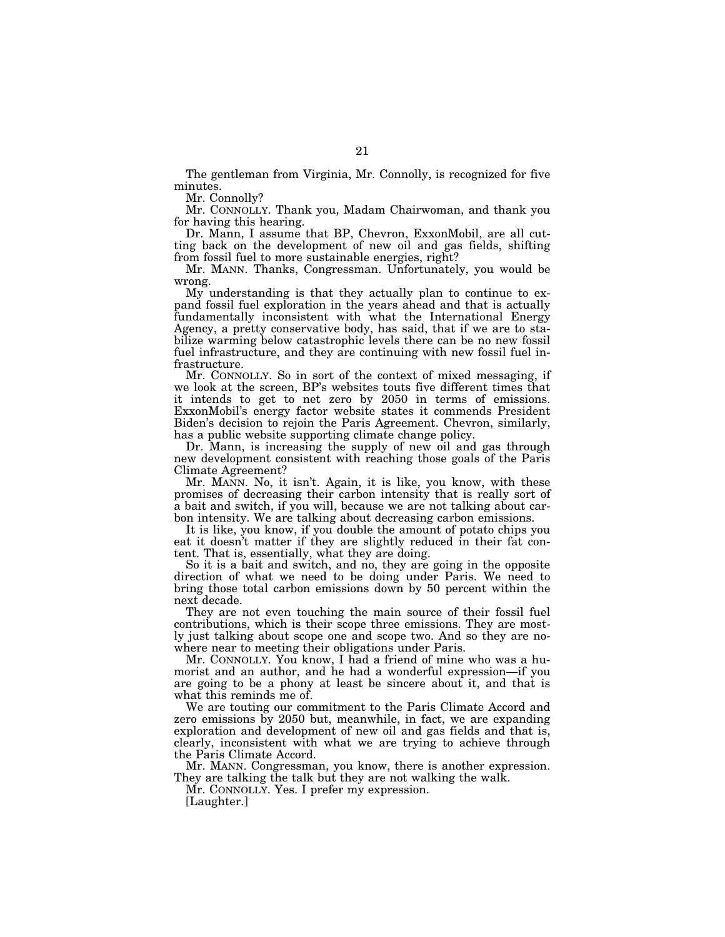The gentleman from Virginia, Mr. Connolly, is recognized for five minutes.

Mr. Connolly?

Mr. CONNOLLY. Thank you, Madam Chairwoman, and thank you for having this hearing.

Dr. Mann, I assume that BP, Chevron, ExxonMobil, are all cutting back on the development of new oil and gas fields, shifting from fossil fuel to more sustainable energies, right?

Mr. MANN. Thanks, Congressman. Unfortunately, you would be wrong.

My understanding is that they actually plan to continue to expand fossil fuel exploration in the years ahead and that is actually fundamentally inconsistent with what the International Energy Agency, a pretty conservative body, has said, that if we are to stabilize warming below catastrophic levels there can be no new fossil fuel infrastructure, and they are continuing with new fossil fuel infrastructure.

Mr. CONNOLLY. So in sort of the context of mixed messaging, if we look at the screen, BP's websites touts five different times that it intends to get to net zero by 2050 in terms of emissions. ExxonMobil's energy factor website states it commends President Biden's decision to rejoin the Paris Agreement. Chevron, similarly, has a public website supporting climate change policy.

Dr. Mann, is increasing the supply of new oil and gas through new development consistent with reaching those goals of the Paris Climate Agreement?

Mr. MANN. No, it isn't. Again, it is like, you know, with these promises of decreasing their carbon intensity that is really sort of a bait and switch, if you will, because we are not talking about carbon intensity. We are talking about decreasing carbon emissions.

It is like, you know, if you double the amount of potato chips you eat it doesn't matter if they are slightly reduced in their fat content. That is, essentially, what they are doing.

So it is a bait and switch, and no, they are going in the opposite direction of what we need to be doing under Paris. We need to bring those total carbon emissions down by 50 percent within the next decade.

They are not even touching the main source of their fossil fuel contributions, which is their scope three emissions. They are mostly just talking about scope one and scope two. And so they are nowhere near to meeting their obligations under Paris.

Mr. CONNOLLY. You know, I had a friend of mine who was a humorist and an author, and he had a wonderful expression—if you are going to be a phony at least be sincere about it, and that is what this reminds me of.

We are touting our commitment to the Paris Climate Accord and zero emissions by 2050 but, meanwhile, in fact, we are expanding exploration and development of new oil and gas fields and that is, clearly, inconsistent with what we are trying to achieve through the Paris Climate Accord.

Mr. MANN. Congressman, you know, there is another expression. They are talking the talk but they are not walking the walk.

Mr. CONNOLLY. Yes. I prefer my expression.

[Laughter.]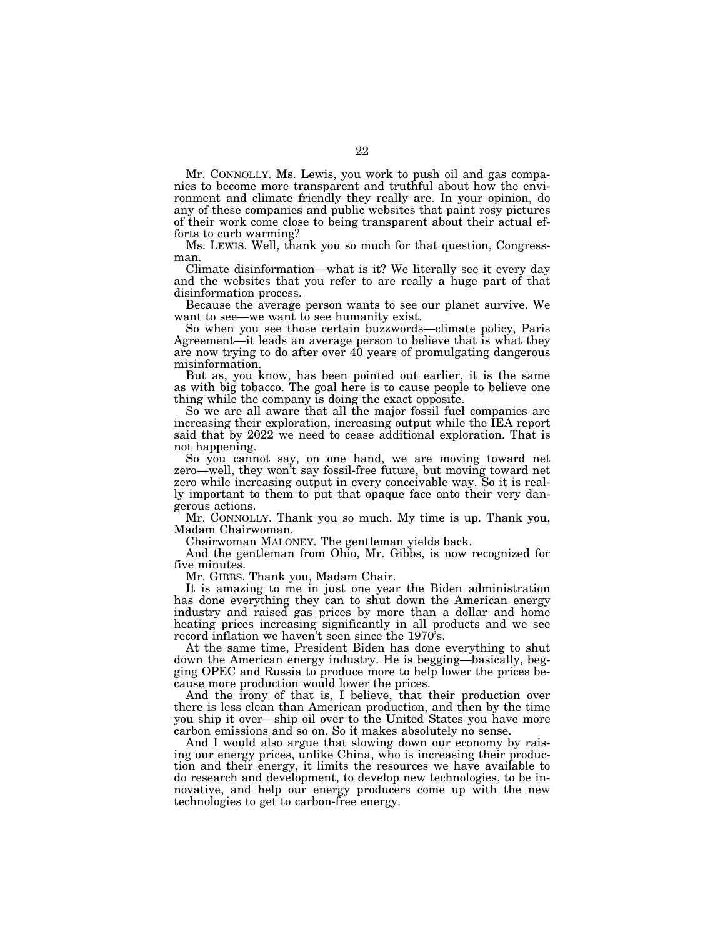Mr. CONNOLLY. Ms. Lewis, you work to push oil and gas companies to become more transparent and truthful about how the environment and climate friendly they really are. In your opinion, do any of these companies and public websites that paint rosy pictures of their work come close to being transparent about their actual efforts to curb warming?

Ms. LEWIS. Well, thank you so much for that question, Congressman.

Climate disinformation—what is it? We literally see it every day and the websites that you refer to are really a huge part of that disinformation process.

Because the average person wants to see our planet survive. We want to see—we want to see humanity exist.

So when you see those certain buzzwords—climate policy, Paris Agreement—it leads an average person to believe that is what they are now trying to do after over 40 years of promulgating dangerous misinformation.

But as, you know, has been pointed out earlier, it is the same as with big tobacco. The goal here is to cause people to believe one thing while the company is doing the exact opposite.

So we are all aware that all the major fossil fuel companies are increasing their exploration, increasing output while the IEA report said that by 2022 we need to cease additional exploration. That is not happening.

So you cannot say, on one hand, we are moving toward net zero—well, they won't say fossil-free future, but moving toward net zero while increasing output in every conceivable way. So it is really important to them to put that opaque face onto their very dangerous actions.

Mr. CONNOLLY. Thank you so much. My time is up. Thank you, Madam Chairwoman.

Chairwoman MALONEY. The gentleman yields back.

And the gentleman from Ohio, Mr. Gibbs, is now recognized for five minutes.

Mr. GIBBS. Thank you, Madam Chair.

It is amazing to me in just one year the Biden administration has done everything they can to shut down the American energy industry and raised gas prices by more than a dollar and home heating prices increasing significantly in all products and we see record inflation we haven't seen since the 1970's.

At the same time, President Biden has done everything to shut down the American energy industry. He is begging—basically, begging OPEC and Russia to produce more to help lower the prices because more production would lower the prices.

And the irony of that is, I believe, that their production over there is less clean than American production, and then by the time you ship it over—ship oil over to the United States you have more carbon emissions and so on. So it makes absolutely no sense.

And I would also argue that slowing down our economy by raising our energy prices, unlike China, who is increasing their production and their energy, it limits the resources we have available to do research and development, to develop new technologies, to be innovative, and help our energy producers come up with the new technologies to get to carbon-free energy.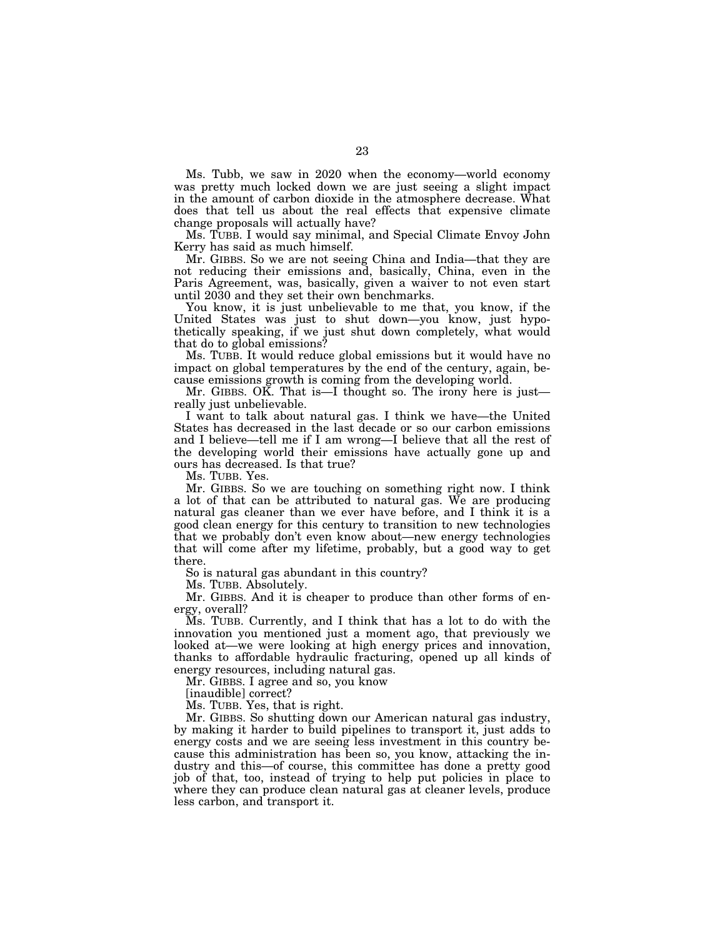Ms. Tubb, we saw in 2020 when the economy—world economy was pretty much locked down we are just seeing a slight impact in the amount of carbon dioxide in the atmosphere decrease. What does that tell us about the real effects that expensive climate change proposals will actually have?

Ms. TUBB. I would say minimal, and Special Climate Envoy John Kerry has said as much himself.

Mr. GIBBS. So we are not seeing China and India—that they are not reducing their emissions and, basically, China, even in the Paris Agreement, was, basically, given a waiver to not even start until 2030 and they set their own benchmarks.

You know, it is just unbelievable to me that, you know, if the United States was just to shut down—you know, just hypothetically speaking, if we just shut down completely, what would that do to global emissions?

Ms. TUBB. It would reduce global emissions but it would have no impact on global temperatures by the end of the century, again, because emissions growth is coming from the developing world.

Mr. GIBBS. OK. That is—I thought so. The irony here is just really just unbelievable.

I want to talk about natural gas. I think we have—the United States has decreased in the last decade or so our carbon emissions and I believe—tell me if I am wrong—I believe that all the rest of the developing world their emissions have actually gone up and ours has decreased. Is that true?

Ms. TUBB. Yes.

Mr. GIBBS. So we are touching on something right now. I think a lot of that can be attributed to natural gas. We are producing natural gas cleaner than we ever have before, and I think it is a good clean energy for this century to transition to new technologies that we probably don't even know about—new energy technologies that will come after my lifetime, probably, but a good way to get there.

So is natural gas abundant in this country?

Ms. TUBB. Absolutely.

Mr. GIBBS. And it is cheaper to produce than other forms of energy, overall?

Ms. TUBB. Currently, and I think that has a lot to do with the innovation you mentioned just a moment ago, that previously we looked at—we were looking at high energy prices and innovation, thanks to affordable hydraulic fracturing, opened up all kinds of energy resources, including natural gas.

Mr. GIBBS. I agree and so, you know

[inaudible] correct?

Ms. TUBB. Yes, that is right.

Mr. GIBBS. So shutting down our American natural gas industry, by making it harder to build pipelines to transport it, just adds to energy costs and we are seeing less investment in this country because this administration has been so, you know, attacking the industry and this—of course, this committee has done a pretty good job of that, too, instead of trying to help put policies in place to where they can produce clean natural gas at cleaner levels, produce less carbon, and transport it.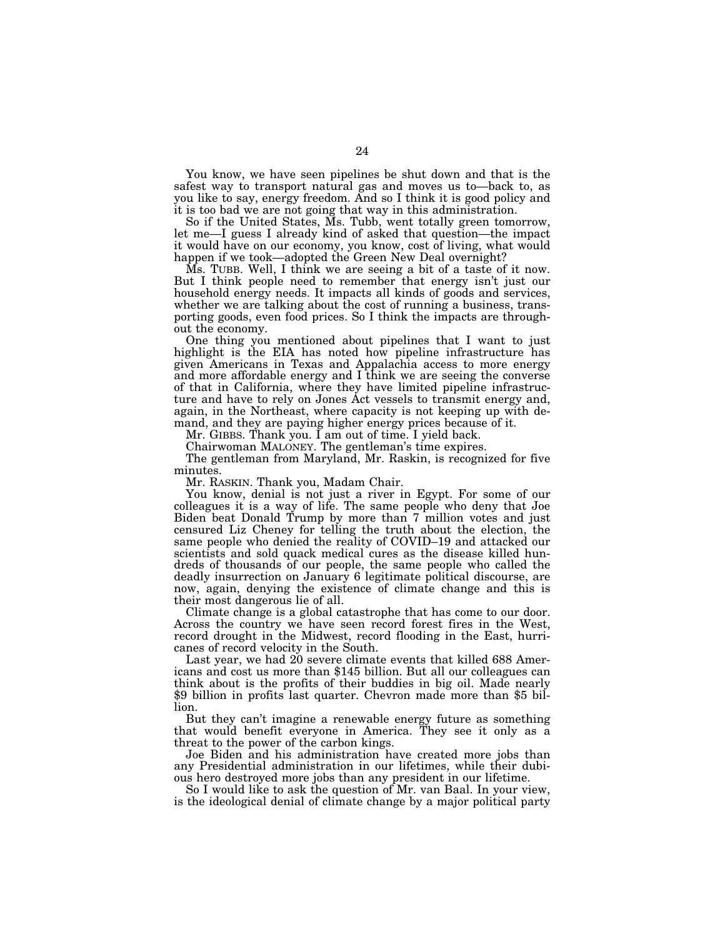You know, we have seen pipelines be shut down and that is the safest way to transport natural gas and moves us to—back to, as you like to say, energy freedom. And so I think it is good policy and it is too bad we are not going that way in this administration.

So if the United States, Ms. Tubb, went totally green tomorrow, let me—I guess I already kind of asked that question—the impact it would have on our economy, you know, cost of living, what would happen if we took—adopted the Green New Deal overnight?

Ms. TUBB. Well, I think we are seeing a bit of a taste of it now. But I think people need to remember that energy isn't just our household energy needs. It impacts all kinds of goods and services, whether we are talking about the cost of running a business, transporting goods, even food prices. So I think the impacts are throughout the economy.

One thing you mentioned about pipelines that I want to just highlight is the EIA has noted how pipeline infrastructure has given Americans in Texas and Appalachia access to more energy and more affordable energy and I think we are seeing the converse of that in California, where they have limited pipeline infrastructure and have to rely on Jones Act vessels to transmit energy and, again, in the Northeast, where capacity is not keeping up with demand, and they are paying higher energy prices because of it.

Mr. GIBBS. Thank you. I am out of time. I yield back.

Chairwoman MALONEY. The gentleman's time expires.

The gentleman from Maryland, Mr. Raskin, is recognized for five minutes.

Mr. RASKIN. Thank you, Madam Chair.

You know, denial is not just a river in Egypt. For some of our colleagues it is a way of life. The same people who deny that Joe Biden beat Donald Trump by more than 7 million votes and just censured Liz Cheney for telling the truth about the election, the same people who denied the reality of COVID–19 and attacked our scientists and sold quack medical cures as the disease killed hundreds of thousands of our people, the same people who called the deadly insurrection on January 6 legitimate political discourse, are now, again, denying the existence of climate change and this is their most dangerous lie of all.

Climate change is a global catastrophe that has come to our door. Across the country we have seen record forest fires in the West, record drought in the Midwest, record flooding in the East, hurricanes of record velocity in the South.

Last year, we had 20 severe climate events that killed 688 Americans and cost us more than \$145 billion. But all our colleagues can think about is the profits of their buddies in big oil. Made nearly \$9 billion in profits last quarter. Chevron made more than \$5 billion.

But they can't imagine a renewable energy future as something that would benefit everyone in America. They see it only as a threat to the power of the carbon kings.

Joe Biden and his administration have created more jobs than any Presidential administration in our lifetimes, while their dubious hero destroyed more jobs than any president in our lifetime.

So I would like to ask the question of Mr. van Baal. In your view, is the ideological denial of climate change by a major political party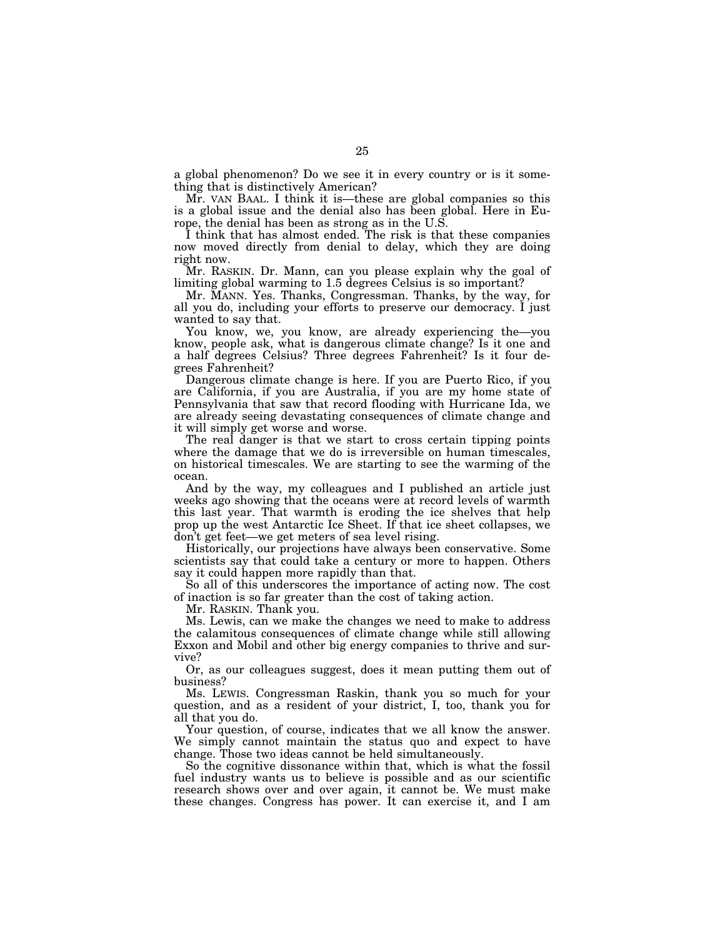a global phenomenon? Do we see it in every country or is it something that is distinctively American?

Mr. VAN BAAL. I think it is—these are global companies so this is a global issue and the denial also has been global. Here in Europe, the denial has been as strong as in the U.S.

I think that has almost ended. The risk is that these companies now moved directly from denial to delay, which they are doing right now.

Mr. RASKIN. Dr. Mann, can you please explain why the goal of limiting global warming to 1.5 degrees Celsius is so important?

Mr. MANN. Yes. Thanks, Congressman. Thanks, by the way, for all you do, including your efforts to preserve our democracy. I just wanted to say that.

You know, we, you know, are already experiencing the—you know, people ask, what is dangerous climate change? Is it one and a half degrees Celsius? Three degrees Fahrenheit? Is it four degrees Fahrenheit?

Dangerous climate change is here. If you are Puerto Rico, if you are California, if you are Australia, if you are my home state of Pennsylvania that saw that record flooding with Hurricane Ida, we are already seeing devastating consequences of climate change and it will simply get worse and worse.

The real danger is that we start to cross certain tipping points where the damage that we do is irreversible on human timescales, on historical timescales. We are starting to see the warming of the ocean.

And by the way, my colleagues and I published an article just weeks ago showing that the oceans were at record levels of warmth this last year. That warmth is eroding the ice shelves that help prop up the west Antarctic Ice Sheet. If that ice sheet collapses, we don't get feet—we get meters of sea level rising.

Historically, our projections have always been conservative. Some scientists say that could take a century or more to happen. Others say it could happen more rapidly than that.

So all of this underscores the importance of acting now. The cost of inaction is so far greater than the cost of taking action.

Mr. RASKIN. Thank you.

Ms. Lewis, can we make the changes we need to make to address the calamitous consequences of climate change while still allowing Exxon and Mobil and other big energy companies to thrive and survive?

Or, as our colleagues suggest, does it mean putting them out of business?

Ms. LEWIS. Congressman Raskin, thank you so much for your question, and as a resident of your district, I, too, thank you for all that you do.

Your question, of course, indicates that we all know the answer. We simply cannot maintain the status quo and expect to have change. Those two ideas cannot be held simultaneously.

So the cognitive dissonance within that, which is what the fossil fuel industry wants us to believe is possible and as our scientific research shows over and over again, it cannot be. We must make these changes. Congress has power. It can exercise it, and I am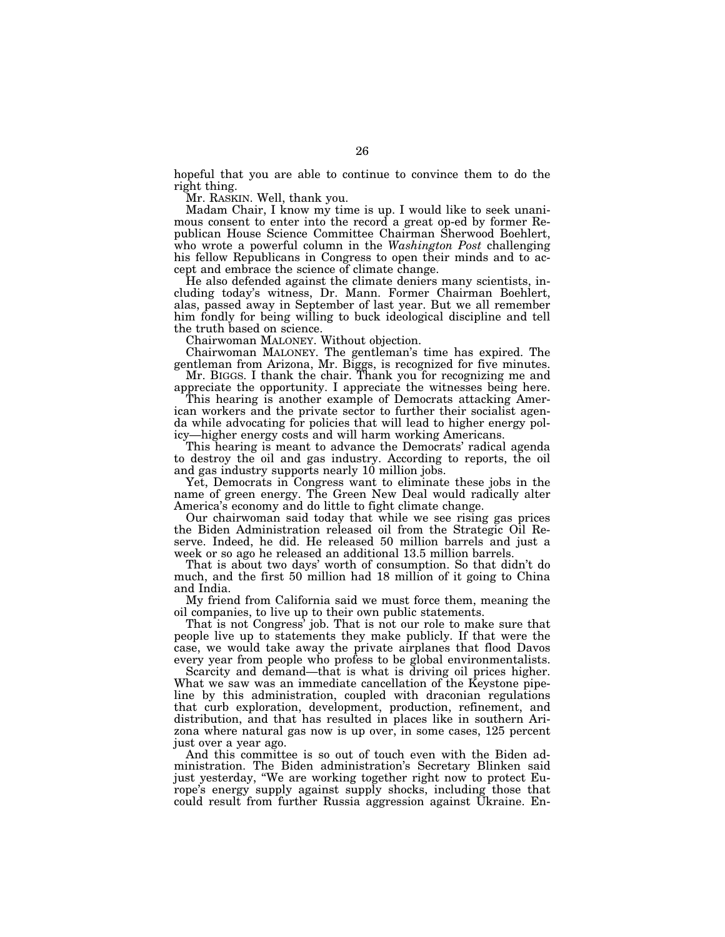hopeful that you are able to continue to convince them to do the right thing.

Mr. RASKIN. Well, thank you.

Madam Chair, I know my time is up. I would like to seek unanimous consent to enter into the record a great op-ed by former Republican House Science Committee Chairman Sherwood Boehlert, who wrote a powerful column in the *Washington Post* challenging his fellow Republicans in Congress to open their minds and to accept and embrace the science of climate change.

He also defended against the climate deniers many scientists, including today's witness, Dr. Mann. Former Chairman Boehlert, alas, passed away in September of last year. But we all remember him fondly for being willing to buck ideological discipline and tell the truth based on science.

Chairwoman MALONEY. Without objection.

Chairwoman MALONEY. The gentleman's time has expired. The gentleman from Arizona, Mr. Biggs, is recognized for five minutes.

Mr. BIGGS. I thank the chair. Thank you for recognizing me and appreciate the opportunity. I appreciate the witnesses being here.

This hearing is another example of Democrats attacking American workers and the private sector to further their socialist agenda while advocating for policies that will lead to higher energy policy—higher energy costs and will harm working Americans.

This hearing is meant to advance the Democrats' radical agenda to destroy the oil and gas industry. According to reports, the oil and gas industry supports nearly 10 million jobs.

Yet, Democrats in Congress want to eliminate these jobs in the name of green energy. The Green New Deal would radically alter America's economy and do little to fight climate change.

Our chairwoman said today that while we see rising gas prices the Biden Administration released oil from the Strategic Oil Reserve. Indeed, he did. He released 50 million barrels and just a week or so ago he released an additional 13.5 million barrels.

That is about two days' worth of consumption. So that didn't do much, and the first 50 million had 18 million of it going to China and India.

My friend from California said we must force them, meaning the oil companies, to live up to their own public statements.

That is not Congress' job. That is not our role to make sure that people live up to statements they make publicly. If that were the case, we would take away the private airplanes that flood Davos every year from people who profess to be global environmentalists.

Scarcity and demand—that is what is driving oil prices higher. What we saw was an immediate cancellation of the Keystone pipeline by this administration, coupled with draconian regulations that curb exploration, development, production, refinement, and distribution, and that has resulted in places like in southern Arizona where natural gas now is up over, in some cases, 125 percent just over a year ago.

And this committee is so out of touch even with the Biden administration. The Biden administration's Secretary Blinken said just yesterday, ''We are working together right now to protect Europe's energy supply against supply shocks, including those that could result from further Russia aggression against Ukraine. En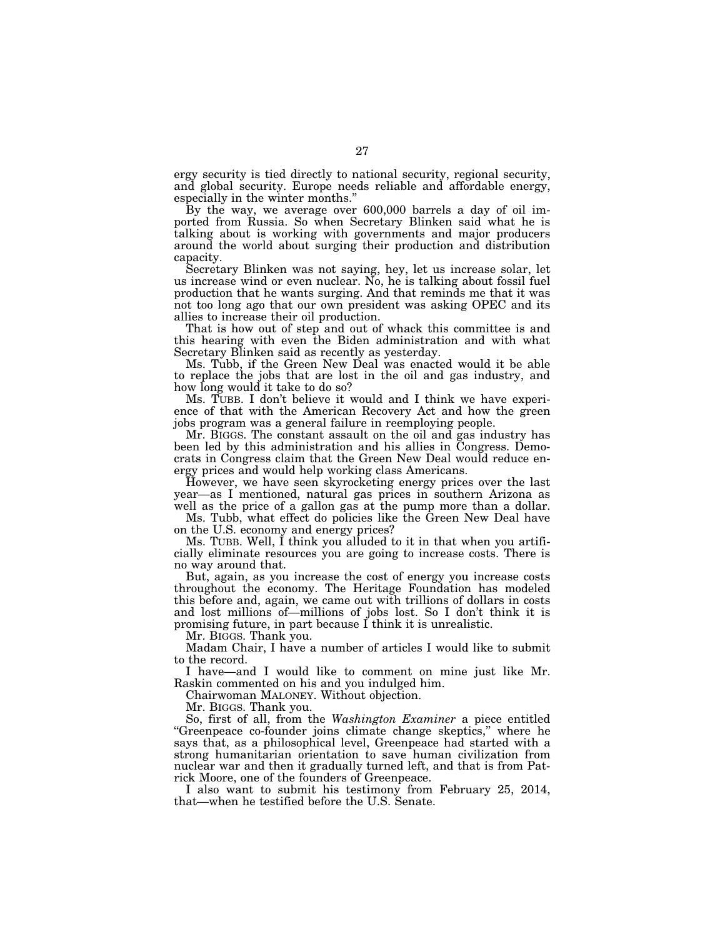ergy security is tied directly to national security, regional security, and global security. Europe needs reliable and affordable energy, especially in the winter months.''

By the way, we average over 600,000 barrels a day of oil imported from Russia. So when Secretary Blinken said what he is talking about is working with governments and major producers around the world about surging their production and distribution capacity.

Secretary Blinken was not saying, hey, let us increase solar, let us increase wind or even nuclear. No, he is talking about fossil fuel production that he wants surging. And that reminds me that it was not too long ago that our own president was asking OPEC and its allies to increase their oil production.

That is how out of step and out of whack this committee is and this hearing with even the Biden administration and with what Secretary Blinken said as recently as yesterday.

Ms. Tubb, if the Green New Deal was enacted would it be able to replace the jobs that are lost in the oil and gas industry, and how long would it take to do so?

Ms. TUBB. I don't believe it would and I think we have experience of that with the American Recovery Act and how the green jobs program was a general failure in reemploying people.

Mr. BIGGS. The constant assault on the oil and gas industry has been led by this administration and his allies in Congress. Democrats in Congress claim that the Green New Deal would reduce energy prices and would help working class Americans.

However, we have seen skyrocketing energy prices over the last year—as I mentioned, natural gas prices in southern Arizona as well as the price of a gallon gas at the pump more than a dollar.

Ms. Tubb, what effect do policies like the Green New Deal have on the U.S. economy and energy prices?

Ms. TUBB. Well, I think you alluded to it in that when you artificially eliminate resources you are going to increase costs. There is no way around that.

But, again, as you increase the cost of energy you increase costs throughout the economy. The Heritage Foundation has modeled this before and, again, we came out with trillions of dollars in costs and lost millions of—millions of jobs lost. So I don't think it is promising future, in part because I think it is unrealistic.

Mr. BIGGS. Thank you.

Madam Chair, I have a number of articles I would like to submit to the record.

I have—and I would like to comment on mine just like Mr. Raskin commented on his and you indulged him.

Chairwoman MALONEY. Without objection.

Mr. BIGGS. Thank you.

So, first of all, from the *Washington Examiner* a piece entitled ''Greenpeace co-founder joins climate change skeptics,'' where he says that, as a philosophical level, Greenpeace had started with a strong humanitarian orientation to save human civilization from nuclear war and then it gradually turned left, and that is from Patrick Moore, one of the founders of Greenpeace.

I also want to submit his testimony from February 25, 2014, that—when he testified before the U.S. Senate.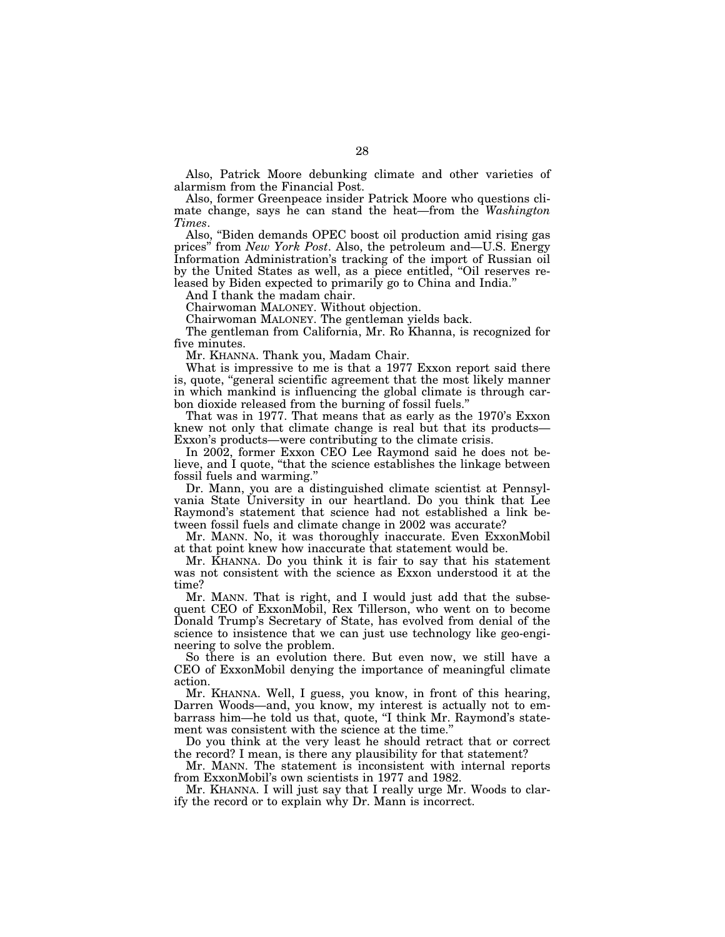Also, Patrick Moore debunking climate and other varieties of alarmism from the Financial Post.

Also, former Greenpeace insider Patrick Moore who questions climate change, says he can stand the heat—from the *Washington Times*.

Also, ''Biden demands OPEC boost oil production amid rising gas prices'' from *New York Post*. Also, the petroleum and—U.S. Energy Information Administration's tracking of the import of Russian oil by the United States as well, as a piece entitled, ''Oil reserves released by Biden expected to primarily go to China and India.''

And I thank the madam chair.

Chairwoman MALONEY. Without objection.

Chairwoman MALONEY. The gentleman yields back.

The gentleman from California, Mr. Ro Khanna, is recognized for five minutes.

Mr. KHANNA. Thank you, Madam Chair.

What is impressive to me is that a 1977 Exxon report said there is, quote, ''general scientific agreement that the most likely manner in which mankind is influencing the global climate is through carbon dioxide released from the burning of fossil fuels.''

That was in 1977. That means that as early as the 1970's Exxon knew not only that climate change is real but that its products— Exxon's products—were contributing to the climate crisis.

In 2002, former Exxon CEO Lee Raymond said he does not believe, and I quote, ''that the science establishes the linkage between fossil fuels and warming.''

Dr. Mann, you are a distinguished climate scientist at Pennsylvania State University in our heartland. Do you think that Lee Raymond's statement that science had not established a link between fossil fuels and climate change in 2002 was accurate?

Mr. MANN. No, it was thoroughly inaccurate. Even ExxonMobil at that point knew how inaccurate that statement would be.

Mr. KHANNA. Do you think it is fair to say that his statement was not consistent with the science as Exxon understood it at the time?

Mr. MANN. That is right, and I would just add that the subsequent CEO of ExxonMobil, Rex Tillerson, who went on to become Donald Trump's Secretary of State, has evolved from denial of the science to insistence that we can just use technology like geo-engineering to solve the problem.

So there is an evolution there. But even now, we still have a CEO of ExxonMobil denying the importance of meaningful climate action.

Mr. KHANNA. Well, I guess, you know, in front of this hearing, Darren Woods—and, you know, my interest is actually not to embarrass him—he told us that, quote, ''I think Mr. Raymond's statement was consistent with the science at the time.''

Do you think at the very least he should retract that or correct the record? I mean, is there any plausibility for that statement?

Mr. MANN. The statement is inconsistent with internal reports from ExxonMobil's own scientists in 1977 and 1982.

Mr. KHANNA. I will just say that I really urge Mr. Woods to clarify the record or to explain why Dr. Mann is incorrect.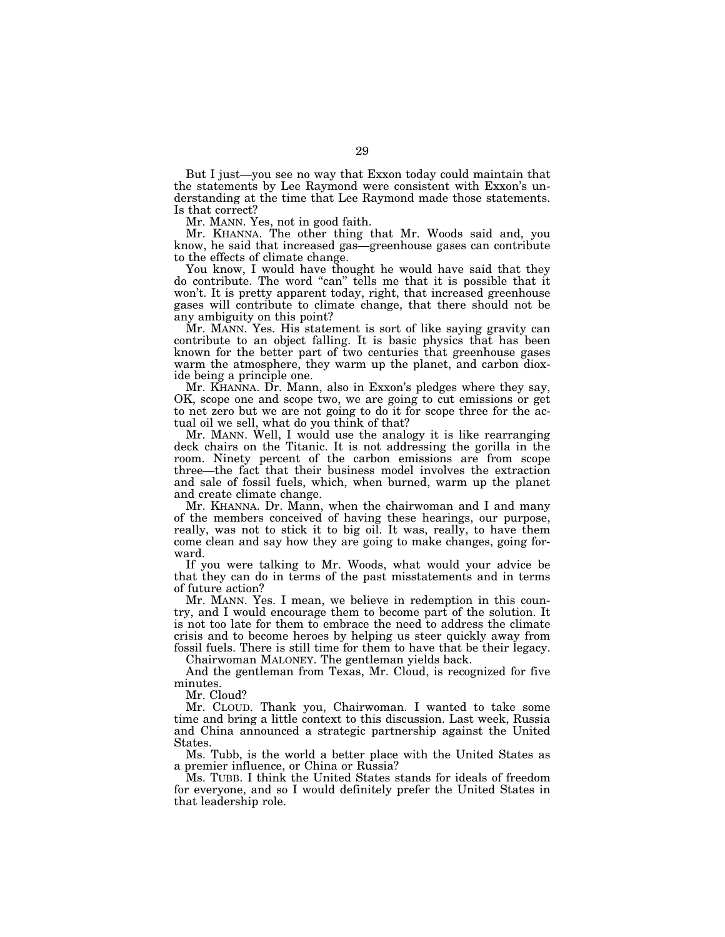But I just—you see no way that Exxon today could maintain that the statements by Lee Raymond were consistent with Exxon's understanding at the time that Lee Raymond made those statements. Is that correct?

Mr. MANN. Yes, not in good faith.

Mr. KHANNA. The other thing that Mr. Woods said and, you know, he said that increased gas—greenhouse gases can contribute to the effects of climate change.

You know, I would have thought he would have said that they do contribute. The word "can" tells me that it is possible that it won't. It is pretty apparent today, right, that increased greenhouse gases will contribute to climate change, that there should not be any ambiguity on this point?

Mr. MANN. Yes. His statement is sort of like saying gravity can contribute to an object falling. It is basic physics that has been known for the better part of two centuries that greenhouse gases warm the atmosphere, they warm up the planet, and carbon dioxide being a principle one.

Mr. KHANNA. Dr. Mann, also in Exxon's pledges where they say, OK, scope one and scope two, we are going to cut emissions or get to net zero but we are not going to do it for scope three for the actual oil we sell, what do you think of that?

Mr. MANN. Well, I would use the analogy it is like rearranging deck chairs on the Titanic. It is not addressing the gorilla in the room. Ninety percent of the carbon emissions are from scope three—the fact that their business model involves the extraction and sale of fossil fuels, which, when burned, warm up the planet and create climate change.

Mr. KHANNA. Dr. Mann, when the chairwoman and I and many of the members conceived of having these hearings, our purpose, really, was not to stick it to big oil. It was, really, to have them come clean and say how they are going to make changes, going forward.

If you were talking to Mr. Woods, what would your advice be that they can do in terms of the past misstatements and in terms of future action?

Mr. MANN. Yes. I mean, we believe in redemption in this country, and I would encourage them to become part of the solution. It is not too late for them to embrace the need to address the climate crisis and to become heroes by helping us steer quickly away from fossil fuels. There is still time for them to have that be their legacy.

Chairwoman MALONEY. The gentleman yields back.

And the gentleman from Texas, Mr. Cloud, is recognized for five minutes.

Mr. Cloud?

Mr. CLOUD. Thank you, Chairwoman. I wanted to take some time and bring a little context to this discussion. Last week, Russia and China announced a strategic partnership against the United States.

Ms. Tubb, is the world a better place with the United States as a premier influence, or China or Russia?

Ms. TUBB. I think the United States stands for ideals of freedom for everyone, and so I would definitely prefer the United States in that leadership role.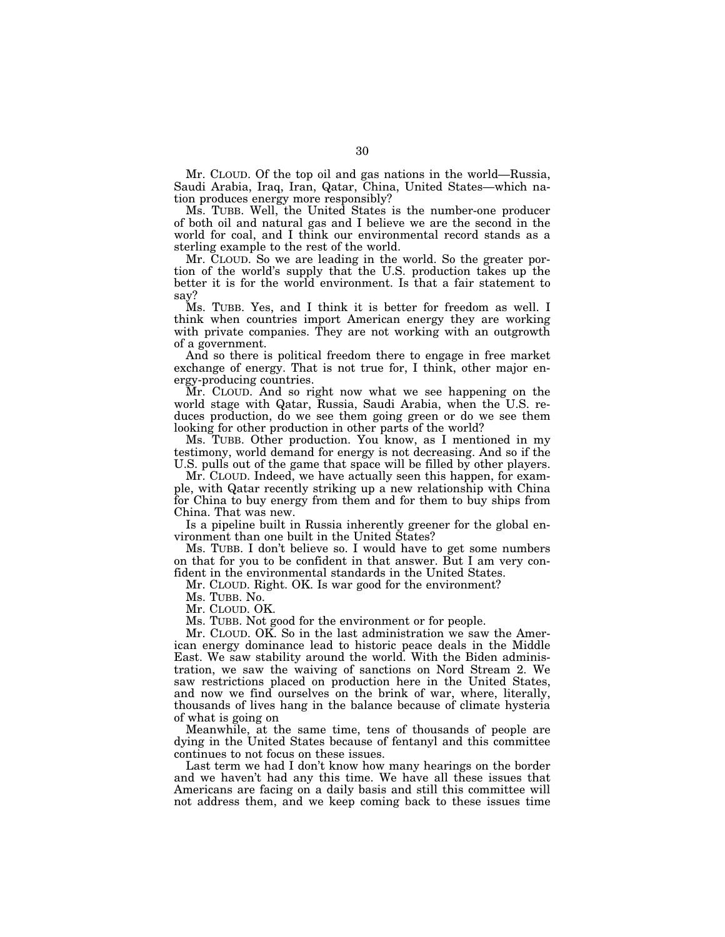Mr. CLOUD. Of the top oil and gas nations in the world—Russia, Saudi Arabia, Iraq, Iran, Qatar, China, United States—which nation produces energy more responsibly?

Ms. TUBB. Well, the United States is the number-one producer of both oil and natural gas and I believe we are the second in the world for coal, and I think our environmental record stands as a sterling example to the rest of the world.

Mr. CLOUD. So we are leading in the world. So the greater portion of the world's supply that the U.S. production takes up the better it is for the world environment. Is that a fair statement to say?

Ms. TUBB. Yes, and I think it is better for freedom as well. I think when countries import American energy they are working with private companies. They are not working with an outgrowth of a government.

And so there is political freedom there to engage in free market exchange of energy. That is not true for, I think, other major energy-producing countries.

Mr. CLOUD. And so right now what we see happening on the world stage with Qatar, Russia, Saudi Arabia, when the U.S. reduces production, do we see them going green or do we see them looking for other production in other parts of the world?

Ms. TUBB. Other production. You know, as I mentioned in my testimony, world demand for energy is not decreasing. And so if the U.S. pulls out of the game that space will be filled by other players.

Mr. CLOUD. Indeed, we have actually seen this happen, for example, with Qatar recently striking up a new relationship with China for China to buy energy from them and for them to buy ships from China. That was new.

Is a pipeline built in Russia inherently greener for the global environment than one built in the United States?

Ms. TUBB. I don't believe so. I would have to get some numbers on that for you to be confident in that answer. But I am very confident in the environmental standards in the United States.

Mr. CLOUD. Right. OK. Is war good for the environment?

Ms. TUBB. No.

Mr. CLOUD. OK.

Ms. TUBB. Not good for the environment or for people.

Mr. CLOUD. OK. So in the last administration we saw the American energy dominance lead to historic peace deals in the Middle East. We saw stability around the world. With the Biden administration, we saw the waiving of sanctions on Nord Stream 2. We saw restrictions placed on production here in the United States, and now we find ourselves on the brink of war, where, literally, thousands of lives hang in the balance because of climate hysteria of what is going on

Meanwhile, at the same time, tens of thousands of people are dying in the United States because of fentanyl and this committee continues to not focus on these issues.

Last term we had I don't know how many hearings on the border and we haven't had any this time. We have all these issues that Americans are facing on a daily basis and still this committee will not address them, and we keep coming back to these issues time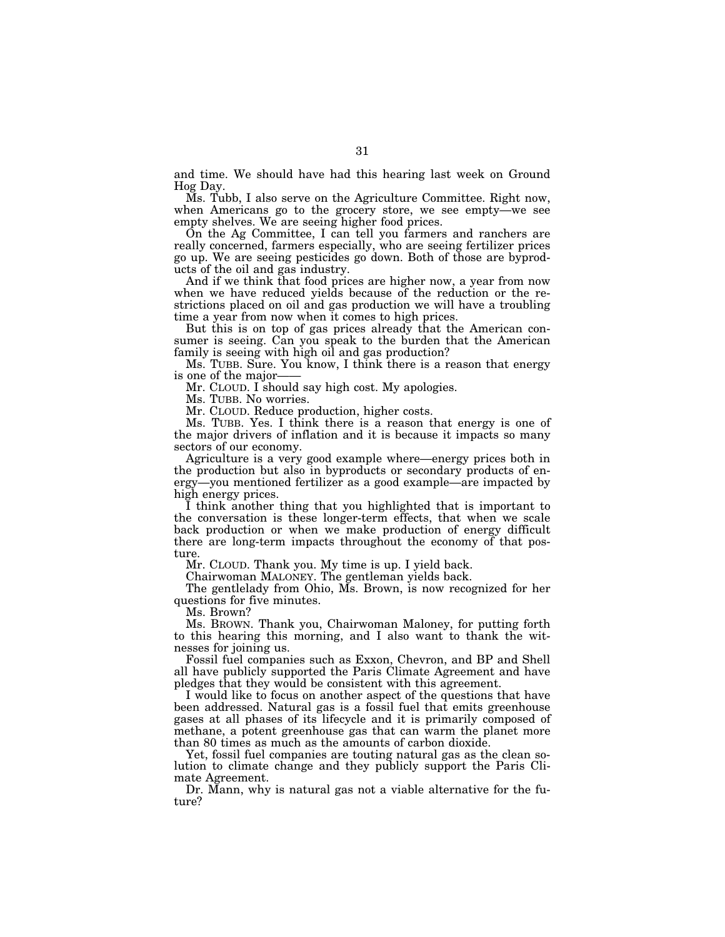and time. We should have had this hearing last week on Ground Hog Day.

Ms. Tubb, I also serve on the Agriculture Committee. Right now, when Americans go to the grocery store, we see empty—we see empty shelves. We are seeing higher food prices.

On the Ag Committee, I can tell you farmers and ranchers are really concerned, farmers especially, who are seeing fertilizer prices go up. We are seeing pesticides go down. Both of those are byproducts of the oil and gas industry.

And if we think that food prices are higher now, a year from now when we have reduced yields because of the reduction or the restrictions placed on oil and gas production we will have a troubling time a year from now when it comes to high prices.

But this is on top of gas prices already that the American consumer is seeing. Can you speak to the burden that the American family is seeing with high oil and gas production?

Ms. TUBB. Sure. You know, I think there is a reason that energy is one of the major-

Mr. CLOUD. I should say high cost. My apologies.

Ms. TUBB. No worries.

Mr. CLOUD. Reduce production, higher costs.

Ms. TUBB. Yes. I think there is a reason that energy is one of the major drivers of inflation and it is because it impacts so many sectors of our economy.

Agriculture is a very good example where—energy prices both in the production but also in byproducts or secondary products of energy—you mentioned fertilizer as a good example—are impacted by high energy prices.

I think another thing that you highlighted that is important to the conversation is these longer-term effects, that when we scale back production or when we make production of energy difficult there are long-term impacts throughout the economy of that posture.

Mr. CLOUD. Thank you. My time is up. I yield back.

Chairwoman MALONEY. The gentleman yields back.

The gentlelady from Ohio, Ms. Brown, is now recognized for her questions for five minutes.

Ms. Brown?

Ms. BROWN. Thank you, Chairwoman Maloney, for putting forth to this hearing this morning, and I also want to thank the witnesses for joining us.

Fossil fuel companies such as Exxon, Chevron, and BP and Shell all have publicly supported the Paris Climate Agreement and have pledges that they would be consistent with this agreement.

I would like to focus on another aspect of the questions that have been addressed. Natural gas is a fossil fuel that emits greenhouse gases at all phases of its lifecycle and it is primarily composed of methane, a potent greenhouse gas that can warm the planet more than 80 times as much as the amounts of carbon dioxide.

Yet, fossil fuel companies are touting natural gas as the clean solution to climate change and they publicly support the Paris Climate Agreement.

Dr. Mann, why is natural gas not a viable alternative for the future?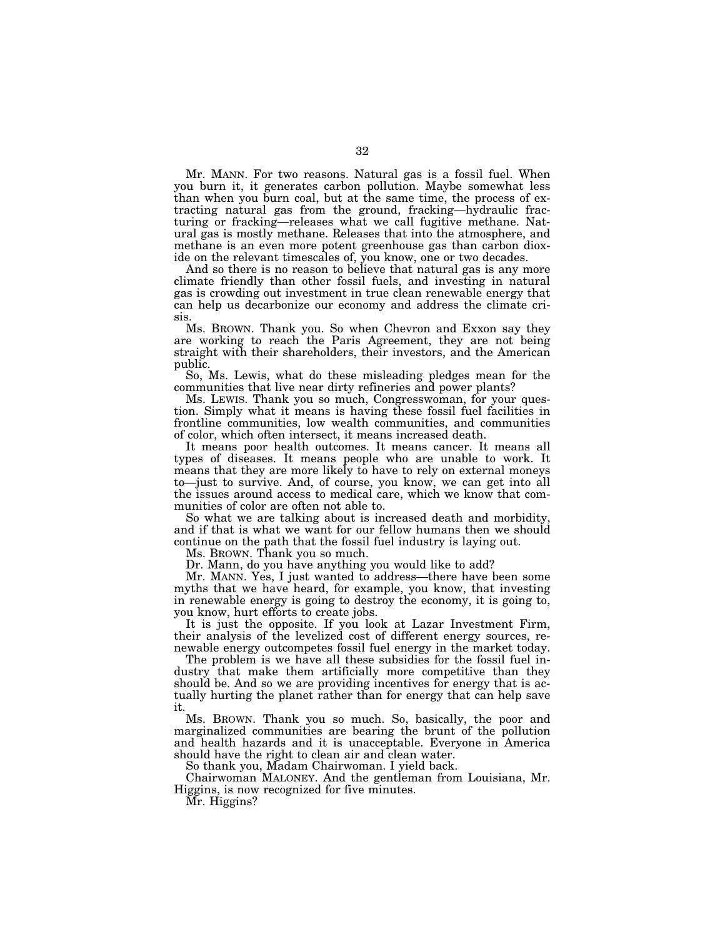Mr. MANN. For two reasons. Natural gas is a fossil fuel. When you burn it, it generates carbon pollution. Maybe somewhat less than when you burn coal, but at the same time, the process of extracting natural gas from the ground, fracking—hydraulic fracturing or fracking—releases what we call fugitive methane. Natural gas is mostly methane. Releases that into the atmosphere, and methane is an even more potent greenhouse gas than carbon dioxide on the relevant timescales of, you know, one or two decades.

And so there is no reason to believe that natural gas is any more climate friendly than other fossil fuels, and investing in natural gas is crowding out investment in true clean renewable energy that can help us decarbonize our economy and address the climate crisis.

Ms. BROWN. Thank you. So when Chevron and Exxon say they are working to reach the Paris Agreement, they are not being straight with their shareholders, their investors, and the American public.

So, Ms. Lewis, what do these misleading pledges mean for the communities that live near dirty refineries and power plants?

Ms. LEWIS. Thank you so much, Congresswoman, for your question. Simply what it means is having these fossil fuel facilities in frontline communities, low wealth communities, and communities of color, which often intersect, it means increased death.

It means poor health outcomes. It means cancer. It means all types of diseases. It means people who are unable to work. It means that they are more likely to have to rely on external moneys to—just to survive. And, of course, you know, we can get into all the issues around access to medical care, which we know that communities of color are often not able to.

So what we are talking about is increased death and morbidity, and if that is what we want for our fellow humans then we should continue on the path that the fossil fuel industry is laying out.

Ms. BROWN. Thank you so much.

Dr. Mann, do you have anything you would like to add?

Mr. MANN. Yes, I just wanted to address—there have been some myths that we have heard, for example, you know, that investing in renewable energy is going to destroy the economy, it is going to, you know, hurt efforts to create jobs.

It is just the opposite. If you look at Lazar Investment Firm, their analysis of the levelized cost of different energy sources, renewable energy outcompetes fossil fuel energy in the market today.

The problem is we have all these subsidies for the fossil fuel industry that make them artificially more competitive than they should be. And so we are providing incentives for energy that is actually hurting the planet rather than for energy that can help save it.

Ms. BROWN. Thank you so much. So, basically, the poor and marginalized communities are bearing the brunt of the pollution and health hazards and it is unacceptable. Everyone in America should have the right to clean air and clean water.

So thank you, Madam Chairwoman. I yield back.

Chairwoman MALONEY. And the gentleman from Louisiana, Mr. Higgins, is now recognized for five minutes.

Mr. Higgins?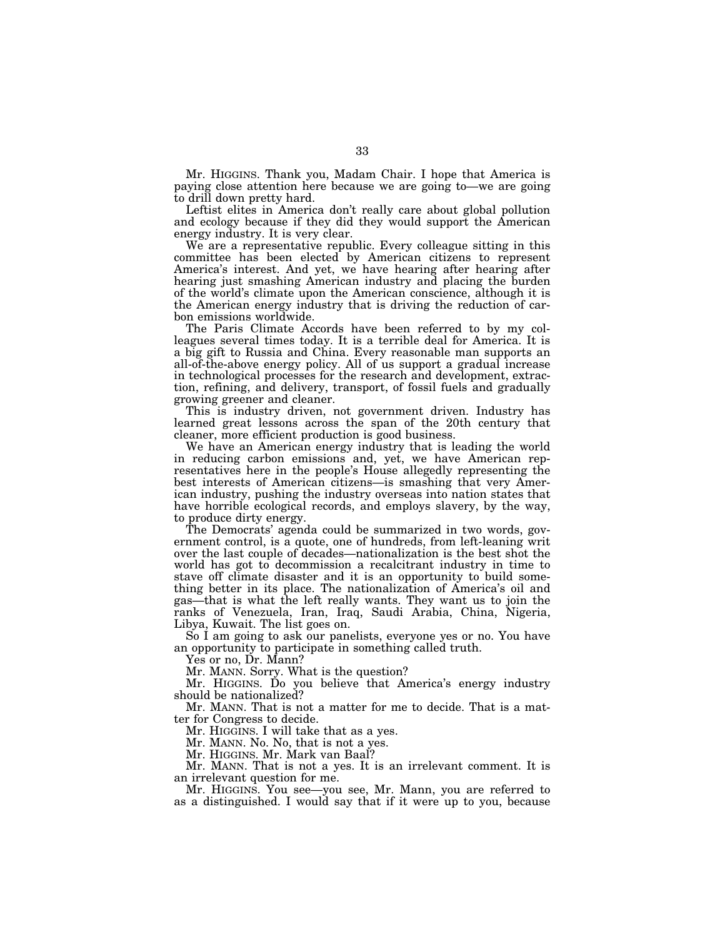Mr. HIGGINS. Thank you, Madam Chair. I hope that America is paying close attention here because we are going to—we are going to drill down pretty hard.

Leftist elites in America don't really care about global pollution and ecology because if they did they would support the American energy industry. It is very clear.

We are a representative republic. Every colleague sitting in this committee has been elected by American citizens to represent America's interest. And yet, we have hearing after hearing after hearing just smashing American industry and placing the burden of the world's climate upon the American conscience, although it is the American energy industry that is driving the reduction of carbon emissions worldwide.

The Paris Climate Accords have been referred to by my colleagues several times today. It is a terrible deal for America. It is a big gift to Russia and China. Every reasonable man supports an all-of-the-above energy policy. All of us support a gradual increase in technological processes for the research and development, extraction, refining, and delivery, transport, of fossil fuels and gradually growing greener and cleaner.

This is industry driven, not government driven. Industry has learned great lessons across the span of the 20th century that cleaner, more efficient production is good business.

We have an American energy industry that is leading the world in reducing carbon emissions and, yet, we have American representatives here in the people's House allegedly representing the best interests of American citizens—is smashing that very American industry, pushing the industry overseas into nation states that have horrible ecological records, and employs slavery, by the way, to produce dirty energy.

The Democrats' agenda could be summarized in two words, government control, is a quote, one of hundreds, from left-leaning writ over the last couple of decades—nationalization is the best shot the world has got to decommission a recalcitrant industry in time to stave off climate disaster and it is an opportunity to build something better in its place. The nationalization of America's oil and gas—that is what the left really wants. They want us to join the ranks of Venezuela, Iran, Iraq, Saudi Arabia, China, Nigeria, Libya, Kuwait. The list goes on.

So I am going to ask our panelists, everyone yes or no. You have an opportunity to participate in something called truth.

Yes or no, Dr. Mann?

Mr. MANN. Sorry. What is the question?

Mr. HIGGINS. Do you believe that America's energy industry should be nationalized?

Mr. MANN. That is not a matter for me to decide. That is a matter for Congress to decide.

Mr. HIGGINS. I will take that as a yes.

Mr. MANN. No. No, that is not a yes.

Mr. HIGGINS. Mr. Mark van Baal?

Mr. MANN. That is not a yes. It is an irrelevant comment. It is an irrelevant question for me.

Mr. HIGGINS. You see—you see, Mr. Mann, you are referred to as a distinguished. I would say that if it were up to you, because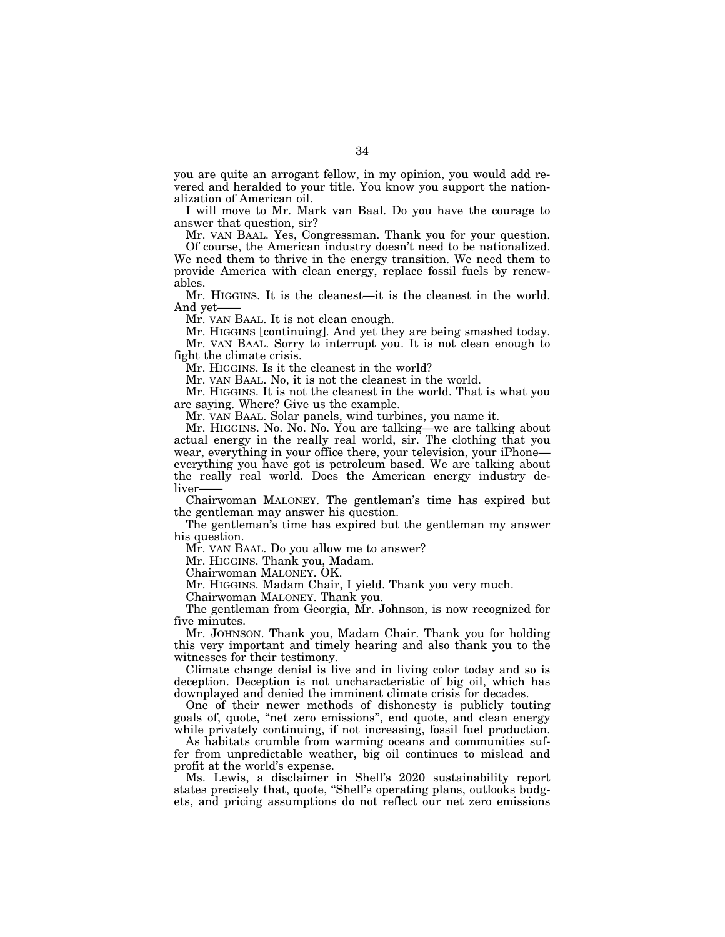you are quite an arrogant fellow, in my opinion, you would add revered and heralded to your title. You know you support the nationalization of American oil.

I will move to Mr. Mark van Baal. Do you have the courage to answer that question, sir?

Mr. VAN BAAL. Yes, Congressman. Thank you for your question.

Of course, the American industry doesn't need to be nationalized. We need them to thrive in the energy transition. We need them to provide America with clean energy, replace fossil fuels by renewables.

Mr. HIGGINS. It is the cleanest—it is the cleanest in the world. And yet-

Mr. VAN BAAL. It is not clean enough.

Mr. HIGGINS [continuing]. And yet they are being smashed today. Mr. VAN BAAL. Sorry to interrupt you. It is not clean enough to fight the climate crisis.

Mr. HIGGINS. Is it the cleanest in the world?

Mr. VAN BAAL. No, it is not the cleanest in the world.

Mr. HIGGINS. It is not the cleanest in the world. That is what you are saying. Where? Give us the example.

Mr. VAN BAAL. Solar panels, wind turbines, you name it.

Mr. HIGGINS. No. No. No. You are talking—we are talking about actual energy in the really real world, sir. The clothing that you wear, everything in your office there, your television, your iPhone everything you have got is petroleum based. We are talking about the really real world. Does the American energy industry deliver-

Chairwoman MALONEY. The gentleman's time has expired but the gentleman may answer his question.

The gentleman's time has expired but the gentleman my answer his question.

Mr. VAN BAAL. Do you allow me to answer?

Mr. HIGGINS. Thank you, Madam.

Chairwoman MALONEY. OK.

Mr. HIGGINS. Madam Chair, I yield. Thank you very much.

Chairwoman MALONEY. Thank you.

The gentleman from Georgia, Mr. Johnson, is now recognized for five minutes.

Mr. JOHNSON. Thank you, Madam Chair. Thank you for holding this very important and timely hearing and also thank you to the witnesses for their testimony.

Climate change denial is live and in living color today and so is deception. Deception is not uncharacteristic of big oil, which has downplayed and denied the imminent climate crisis for decades.

One of their newer methods of dishonesty is publicly touting goals of, quote, ''net zero emissions'', end quote, and clean energy while privately continuing, if not increasing, fossil fuel production.

As habitats crumble from warming oceans and communities suffer from unpredictable weather, big oil continues to mislead and profit at the world's expense.

Ms. Lewis, a disclaimer in Shell's 2020 sustainability report states precisely that, quote, ''Shell's operating plans, outlooks budgets, and pricing assumptions do not reflect our net zero emissions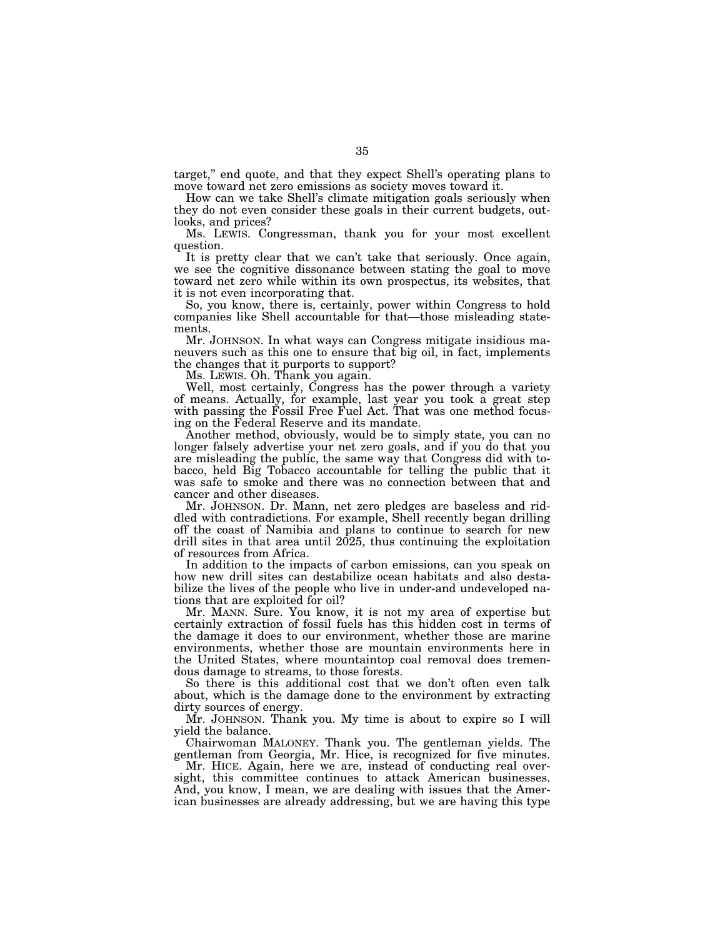target,'' end quote, and that they expect Shell's operating plans to move toward net zero emissions as society moves toward it.

How can we take Shell's climate mitigation goals seriously when they do not even consider these goals in their current budgets, outlooks, and prices?

Ms. LEWIS. Congressman, thank you for your most excellent question.

It is pretty clear that we can't take that seriously. Once again, we see the cognitive dissonance between stating the goal to move toward net zero while within its own prospectus, its websites, that it is not even incorporating that.

So, you know, there is, certainly, power within Congress to hold companies like Shell accountable for that—those misleading statements.

Mr. JOHNSON. In what ways can Congress mitigate insidious maneuvers such as this one to ensure that big oil, in fact, implements the changes that it purports to support?

Ms. LEWIS. Oh. Thank you again.

Well, most certainly, Congress has the power through a variety of means. Actually, for example, last year you took a great step with passing the Fossil Free Fuel Act. That was one method focusing on the Federal Reserve and its mandate.

Another method, obviously, would be to simply state, you can no longer falsely advertise your net zero goals, and if you do that you are misleading the public, the same way that Congress did with tobacco, held Big Tobacco accountable for telling the public that it was safe to smoke and there was no connection between that and cancer and other diseases.

Mr. JOHNSON. Dr. Mann, net zero pledges are baseless and riddled with contradictions. For example, Shell recently began drilling off the coast of Namibia and plans to continue to search for new drill sites in that area until 2025, thus continuing the exploitation of resources from Africa.

In addition to the impacts of carbon emissions, can you speak on how new drill sites can destabilize ocean habitats and also destabilize the lives of the people who live in under-and undeveloped nations that are exploited for oil?

Mr. MANN. Sure. You know, it is not my area of expertise but certainly extraction of fossil fuels has this hidden cost in terms of the damage it does to our environment, whether those are marine environments, whether those are mountain environments here in the United States, where mountaintop coal removal does tremendous damage to streams, to those forests.

So there is this additional cost that we don't often even talk about, which is the damage done to the environment by extracting dirty sources of energy.

Mr. JOHNSON. Thank you. My time is about to expire so I will yield the balance.

Chairwoman MALONEY. Thank you. The gentleman yields. The gentleman from Georgia, Mr. Hice, is recognized for five minutes.

Mr. HICE. Again, here we are, instead of conducting real oversight, this committee continues to attack American businesses. And, you know, I mean, we are dealing with issues that the American businesses are already addressing, but we are having this type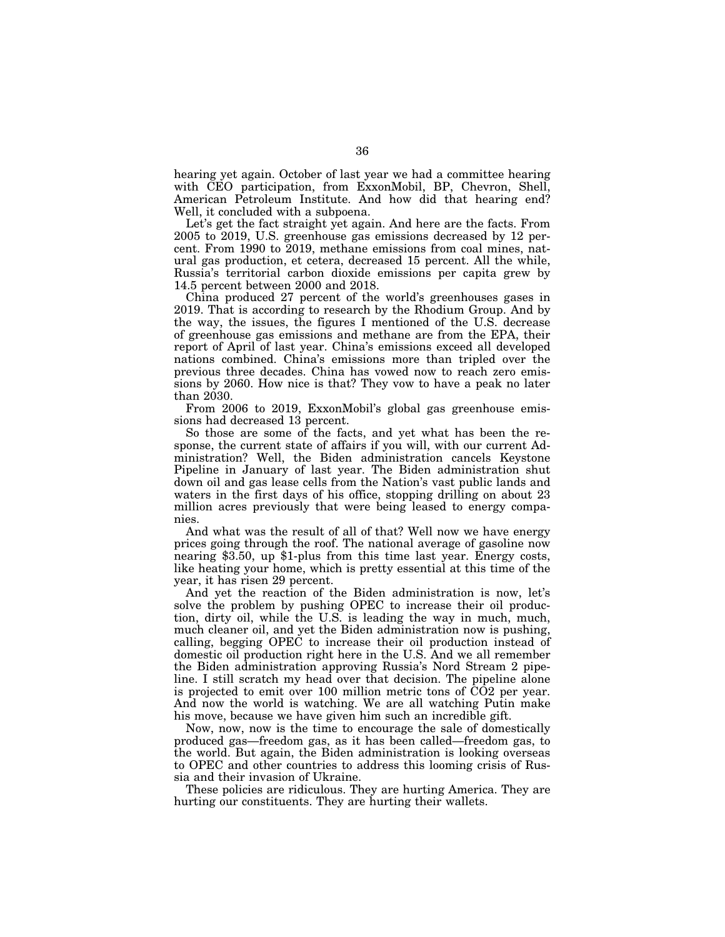hearing yet again. October of last year we had a committee hearing with CEO participation, from ExxonMobil, BP, Chevron, Shell, American Petroleum Institute. And how did that hearing end? Well, it concluded with a subpoena.

Let's get the fact straight yet again. And here are the facts. From 2005 to 2019, U.S. greenhouse gas emissions decreased by 12 percent. From 1990 to 2019, methane emissions from coal mines, natural gas production, et cetera, decreased 15 percent. All the while, Russia's territorial carbon dioxide emissions per capita grew by 14.5 percent between 2000 and 2018.

China produced 27 percent of the world's greenhouses gases in 2019. That is according to research by the Rhodium Group. And by the way, the issues, the figures I mentioned of the U.S. decrease of greenhouse gas emissions and methane are from the EPA, their report of April of last year. China's emissions exceed all developed nations combined. China's emissions more than tripled over the previous three decades. China has vowed now to reach zero emissions by 2060. How nice is that? They vow to have a peak no later than 2030.

From 2006 to 2019, ExxonMobil's global gas greenhouse emissions had decreased 13 percent.

So those are some of the facts, and yet what has been the response, the current state of affairs if you will, with our current Administration? Well, the Biden administration cancels Keystone Pipeline in January of last year. The Biden administration shut down oil and gas lease cells from the Nation's vast public lands and waters in the first days of his office, stopping drilling on about 23 million acres previously that were being leased to energy companies.

And what was the result of all of that? Well now we have energy prices going through the roof. The national average of gasoline now nearing \$3.50, up \$1-plus from this time last year. Energy costs, like heating your home, which is pretty essential at this time of the year, it has risen 29 percent.

And yet the reaction of the Biden administration is now, let's solve the problem by pushing OPEC to increase their oil production, dirty oil, while the U.S. is leading the way in much, much, much cleaner oil, and yet the Biden administration now is pushing, calling, begging OPEC to increase their oil production instead of domestic oil production right here in the U.S. And we all remember the Biden administration approving Russia's Nord Stream 2 pipeline. I still scratch my head over that decision. The pipeline alone is projected to emit over 100 million metric tons of  $\overline{C}O2$  per year. And now the world is watching. We are all watching Putin make his move, because we have given him such an incredible gift.

Now, now, now is the time to encourage the sale of domestically produced gas—freedom gas, as it has been called—freedom gas, to the world. But again, the Biden administration is looking overseas to OPEC and other countries to address this looming crisis of Russia and their invasion of Ukraine.

These policies are ridiculous. They are hurting America. They are hurting our constituents. They are hurting their wallets.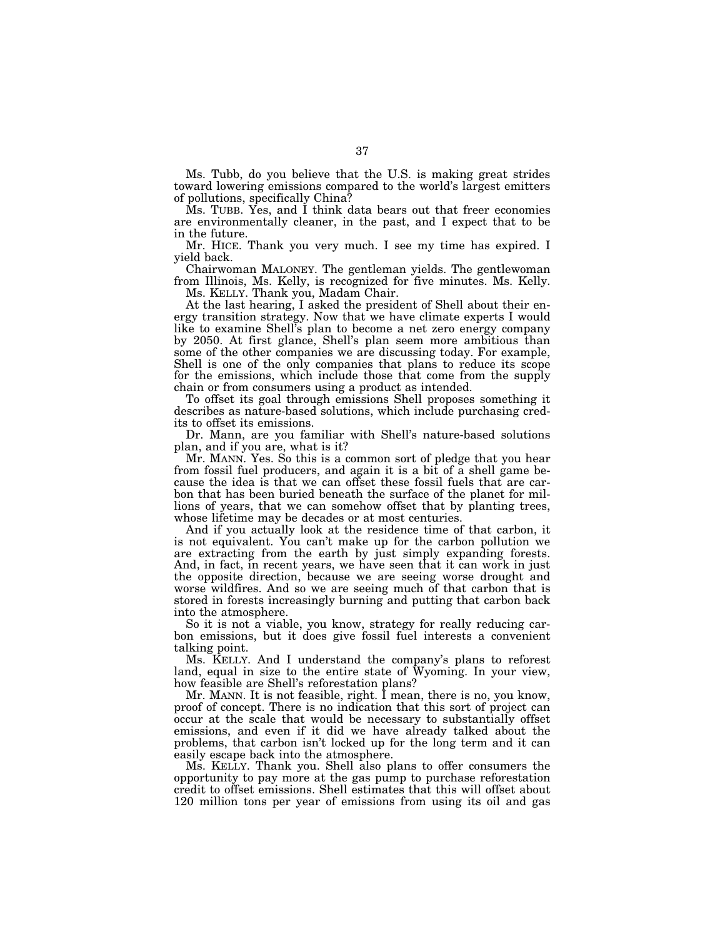Ms. Tubb, do you believe that the U.S. is making great strides toward lowering emissions compared to the world's largest emitters of pollutions, specifically China?

 $\overline{M}$ s. TUBB. Yes, and  $\overline{I}$  think data bears out that freer economies are environmentally cleaner, in the past, and I expect that to be in the future.

Mr. HICE. Thank you very much. I see my time has expired. I yield back.

Chairwoman MALONEY. The gentleman yields. The gentlewoman from Illinois, Ms. Kelly, is recognized for five minutes. Ms. Kelly.

Ms. KELLY. Thank you, Madam Chair.

At the last hearing, I asked the president of Shell about their energy transition strategy. Now that we have climate experts I would like to examine Shell's plan to become a net zero energy company by 2050. At first glance, Shell's plan seem more ambitious than some of the other companies we are discussing today. For example, Shell is one of the only companies that plans to reduce its scope for the emissions, which include those that come from the supply chain or from consumers using a product as intended.

To offset its goal through emissions Shell proposes something it describes as nature-based solutions, which include purchasing credits to offset its emissions.

Dr. Mann, are you familiar with Shell's nature-based solutions plan, and if you are, what is it?

Mr. MANN. Yes. So this is a common sort of pledge that you hear from fossil fuel producers, and again it is a bit of a shell game because the idea is that we can offset these fossil fuels that are carbon that has been buried beneath the surface of the planet for millions of years, that we can somehow offset that by planting trees, whose lifetime may be decades or at most centuries.

And if you actually look at the residence time of that carbon, it is not equivalent. You can't make up for the carbon pollution we are extracting from the earth by just simply expanding forests. And, in fact, in recent years, we have seen that it can work in just the opposite direction, because we are seeing worse drought and worse wildfires. And so we are seeing much of that carbon that is stored in forests increasingly burning and putting that carbon back into the atmosphere.

So it is not a viable, you know, strategy for really reducing carbon emissions, but it does give fossil fuel interests a convenient talking point.

Ms. KELLY. And I understand the company's plans to reforest land, equal in size to the entire state of Wyoming. In your view, how feasible are Shell's reforestation plans?

Mr. MANN. It is not feasible, right. I mean, there is no, you know, proof of concept. There is no indication that this sort of project can occur at the scale that would be necessary to substantially offset emissions, and even if it did we have already talked about the problems, that carbon isn't locked up for the long term and it can easily escape back into the atmosphere.

Ms. KELLY. Thank you. Shell also plans to offer consumers the opportunity to pay more at the gas pump to purchase reforestation credit to offset emissions. Shell estimates that this will offset about 120 million tons per year of emissions from using its oil and gas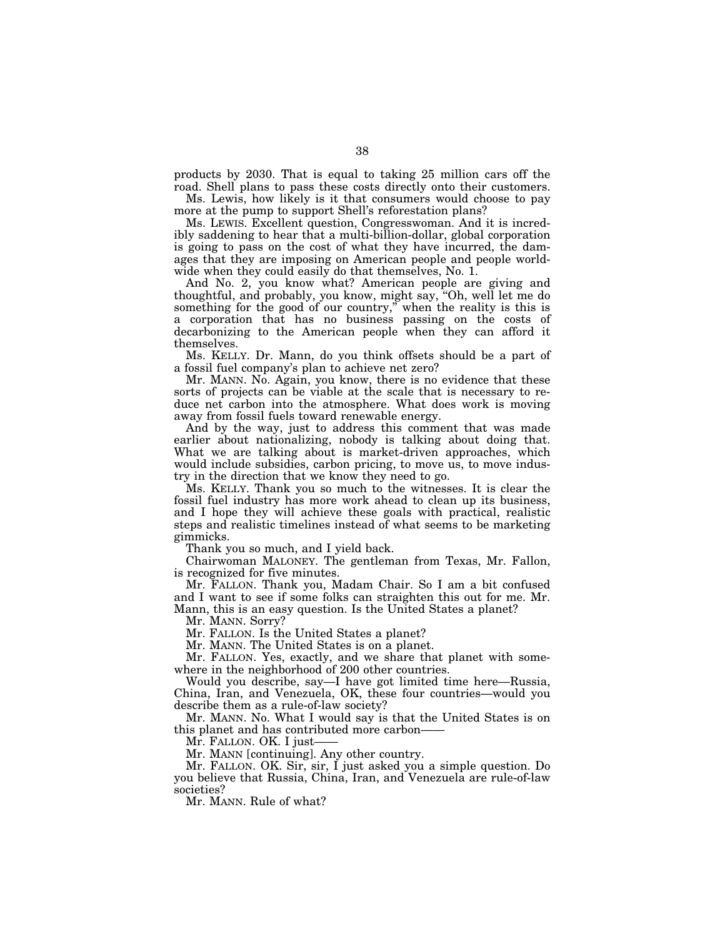products by 2030. That is equal to taking 25 million cars off the road. Shell plans to pass these costs directly onto their customers.

Ms. Lewis, how likely is it that consumers would choose to pay more at the pump to support Shell's reforestation plans?

Ms. LEWIS. Excellent question, Congresswoman. And it is incredibly saddening to hear that a multi-billion-dollar, global corporation is going to pass on the cost of what they have incurred, the damages that they are imposing on American people and people worldwide when they could easily do that themselves, No. 1.

And No. 2, you know what? American people are giving and thoughtful, and probably, you know, might say, ''Oh, well let me do something for the good of our country," when the reality is this is a corporation that has no business passing on the costs of decarbonizing to the American people when they can afford it themselves.

Ms. KELLY. Dr. Mann, do you think offsets should be a part of a fossil fuel company's plan to achieve net zero?

Mr. MANN. No. Again, you know, there is no evidence that these sorts of projects can be viable at the scale that is necessary to reduce net carbon into the atmosphere. What does work is moving away from fossil fuels toward renewable energy.

And by the way, just to address this comment that was made earlier about nationalizing, nobody is talking about doing that. What we are talking about is market-driven approaches, which would include subsidies, carbon pricing, to move us, to move industry in the direction that we know they need to go.

Ms. KELLY. Thank you so much to the witnesses. It is clear the fossil fuel industry has more work ahead to clean up its business, and I hope they will achieve these goals with practical, realistic steps and realistic timelines instead of what seems to be marketing gimmicks.

Thank you so much, and I yield back.

Chairwoman MALONEY. The gentleman from Texas, Mr. Fallon, is recognized for five minutes.

Mr. FALLON. Thank you, Madam Chair. So I am a bit confused and I want to see if some folks can straighten this out for me. Mr. Mann, this is an easy question. Is the United States a planet?

Mr. MANN. Sorry?

Mr. FALLON. Is the United States a planet?

Mr. MANN. The United States is on a planet.

Mr. FALLON. Yes, exactly, and we share that planet with somewhere in the neighborhood of 200 other countries.

Would you describe, say—I have got limited time here—Russia, China, Iran, and Venezuela, OK, these four countries—would you describe them as a rule-of-law society?

Mr. MANN. No. What I would say is that the United States is on this planet and has contributed more carbon——

Mr. FALLON. OK. I just-

Mr. MANN [continuing]. Any other country.

Mr. FALLON. OK. Sir, sir, I just asked you a simple question. Do you believe that Russia, China, Iran, and Venezuela are rule-of-law societies?

Mr. MANN. Rule of what?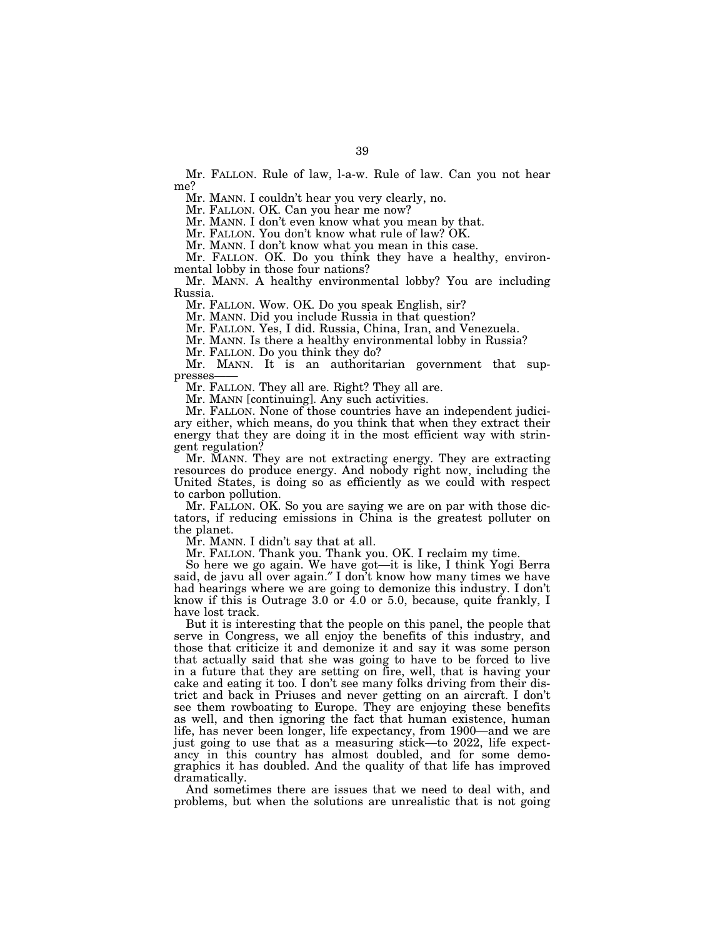Mr. FALLON. Rule of law, l-a-w. Rule of law. Can you not hear me?

Mr. MANN. I couldn't hear you very clearly, no.

Mr. FALLON. OK. Can you hear me now?

Mr. MANN. I don't even know what you mean by that.

Mr. FALLON. You don't know what rule of law? OK.

Mr. MANN. I don't know what you mean in this case.

Mr. FALLON. OK. Do you think they have a healthy, environmental lobby in those four nations?

Mr. MANN. A healthy environmental lobby? You are including Russia.

Mr. FALLON. Wow. OK. Do you speak English, sir?

Mr. MANN. Did you include Russia in that question?

Mr. FALLON. Yes, I did. Russia, China, Iran, and Venezuela.

Mr. MANN. Is there a healthy environmental lobby in Russia?

Mr. FALLON. Do you think they do?

Mr. MANN. It is an authoritarian government that suppresses——

Mr. FALLON. They all are. Right? They all are.

Mr. MANN [continuing]. Any such activities.

Mr. FALLON. None of those countries have an independent judiciary either, which means, do you think that when they extract their energy that they are doing it in the most efficient way with stringent regulation?

Mr. MANN. They are not extracting energy. They are extracting resources do produce energy. And nobody right now, including the United States, is doing so as efficiently as we could with respect to carbon pollution.

Mr. FALLON. OK. So you are saying we are on par with those dictators, if reducing emissions in China is the greatest polluter on the planet.

Mr. MANN. I didn't say that at all.

Mr. FALLON. Thank you. Thank you. OK. I reclaim my time.

So here we go again. We have got—it is like, I think Yogi Berra said, de javu all over again.″ I don't know how many times we have had hearings where we are going to demonize this industry. I don't know if this is Outrage 3.0 or 4.0 or 5.0, because, quite frankly, I have lost track.

But it is interesting that the people on this panel, the people that serve in Congress, we all enjoy the benefits of this industry, and those that criticize it and demonize it and say it was some person that actually said that she was going to have to be forced to live in a future that they are setting on fire, well, that is having your cake and eating it too. I don't see many folks driving from their district and back in Priuses and never getting on an aircraft. I don't see them rowboating to Europe. They are enjoying these benefits as well, and then ignoring the fact that human existence, human life, has never been longer, life expectancy, from 1900—and we are just going to use that as a measuring stick—to 2022, life expectancy in this country has almost doubled, and for some demographics it has doubled. And the quality of that life has improved dramatically.

And sometimes there are issues that we need to deal with, and problems, but when the solutions are unrealistic that is not going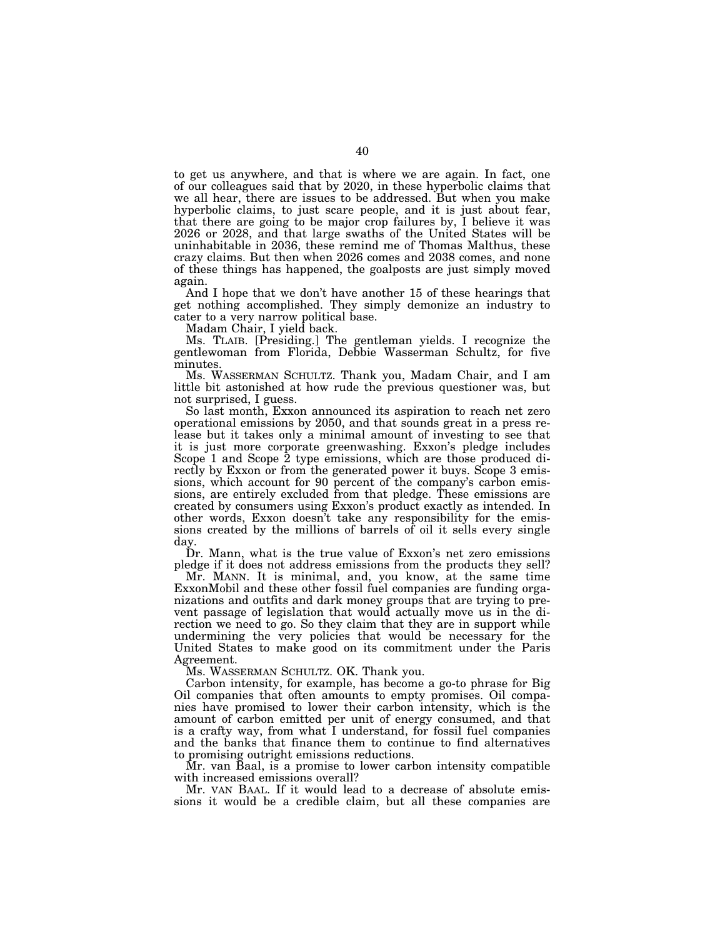to get us anywhere, and that is where we are again. In fact, one of our colleagues said that by 2020, in these hyperbolic claims that we all hear, there are issues to be addressed. But when you make hyperbolic claims, to just scare people, and it is just about fear, that there are going to be major crop failures by, I believe it was 2026 or 2028, and that large swaths of the United States will be uninhabitable in 2036, these remind me of Thomas Malthus, these crazy claims. But then when 2026 comes and 2038 comes, and none of these things has happened, the goalposts are just simply moved again.

And I hope that we don't have another 15 of these hearings that get nothing accomplished. They simply demonize an industry to cater to a very narrow political base.

Madam Chair, I yield back.

Ms. TLAIB. [Presiding.] The gentleman yields. I recognize the gentlewoman from Florida, Debbie Wasserman Schultz, for five minutes.

Ms. WASSERMAN SCHULTZ. Thank you, Madam Chair, and I am little bit astonished at how rude the previous questioner was, but not surprised, I guess.

So last month, Exxon announced its aspiration to reach net zero operational emissions by 2050, and that sounds great in a press release but it takes only a minimal amount of investing to see that it is just more corporate greenwashing. Exxon's pledge includes Scope 1 and Scope 2 type emissions, which are those produced directly by Exxon or from the generated power it buys. Scope 3 emissions, which account for 90 percent of the company's carbon emissions, are entirely excluded from that pledge. These emissions are created by consumers using Exxon's product exactly as intended. In other words, Exxon doesn't take any responsibility for the emissions created by the millions of barrels of oil it sells every single day.

Dr. Mann, what is the true value of Exxon's net zero emissions pledge if it does not address emissions from the products they sell?

Mr. MANN. It is minimal, and, you know, at the same time ExxonMobil and these other fossil fuel companies are funding organizations and outfits and dark money groups that are trying to prevent passage of legislation that would actually move us in the direction we need to go. So they claim that they are in support while undermining the very policies that would be necessary for the United States to make good on its commitment under the Paris Agreement.

Ms. WASSERMAN SCHULTZ. OK. Thank you.

Carbon intensity, for example, has become a go-to phrase for Big Oil companies that often amounts to empty promises. Oil companies have promised to lower their carbon intensity, which is the amount of carbon emitted per unit of energy consumed, and that is a crafty way, from what I understand, for fossil fuel companies and the banks that finance them to continue to find alternatives to promising outright emissions reductions.

Mr. van Baal, is a promise to lower carbon intensity compatible with increased emissions overall?

Mr. VAN BAAL. If it would lead to a decrease of absolute emissions it would be a credible claim, but all these companies are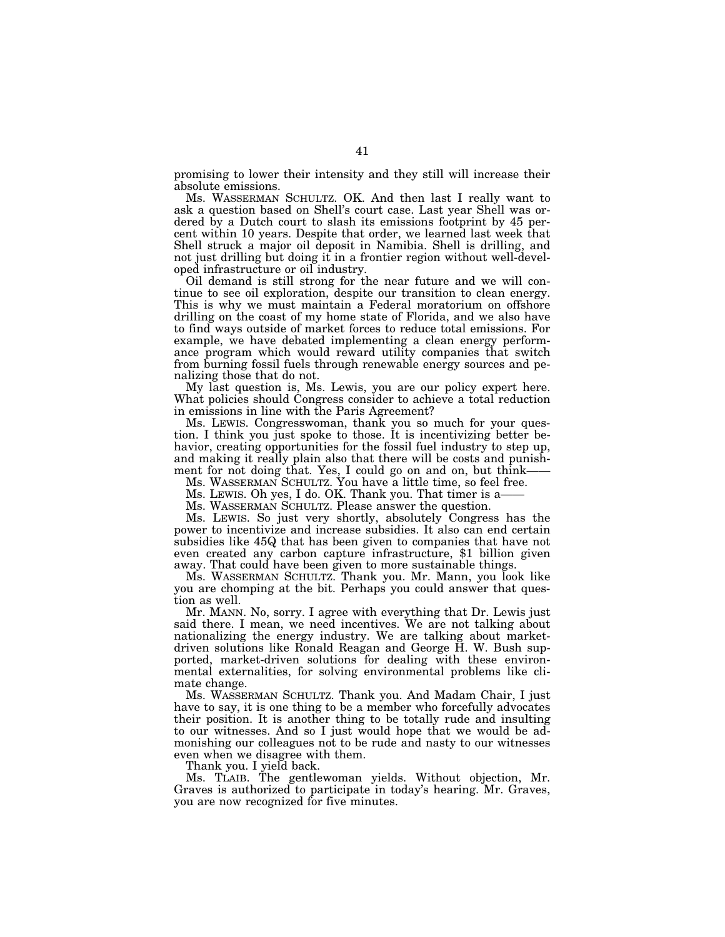promising to lower their intensity and they still will increase their absolute emissions.

Ms. WASSERMAN SCHULTZ. OK. And then last I really want to ask a question based on Shell's court case. Last year Shell was ordered by a Dutch court to slash its emissions footprint by 45 percent within 10 years. Despite that order, we learned last week that Shell struck a major oil deposit in Namibia. Shell is drilling, and not just drilling but doing it in a frontier region without well-developed infrastructure or oil industry.

Oil demand is still strong for the near future and we will continue to see oil exploration, despite our transition to clean energy. This is why we must maintain a Federal moratorium on offshore drilling on the coast of my home state of Florida, and we also have to find ways outside of market forces to reduce total emissions. For example, we have debated implementing a clean energy performance program which would reward utility companies that switch from burning fossil fuels through renewable energy sources and penalizing those that do not.

My last question is, Ms. Lewis, you are our policy expert here. What policies should Congress consider to achieve a total reduction in emissions in line with the Paris Agreement?

Ms. LEWIS. Congresswoman, thank you so much for your question. I think you just spoke to those. It is incentivizing better behavior, creating opportunities for the fossil fuel industry to step up, and making it really plain also that there will be costs and punishment for not doing that. Yes, I could go on and on, but think-

Ms. WASSERMAN SCHULTZ. You have a little time, so feel free.

Ms. LEWIS. Oh yes, I do. OK. Thank you. That timer is a-

Ms. WASSERMAN SCHULTZ. Please answer the question.

Ms. LEWIS. So just very shortly, absolutely Congress has the power to incentivize and increase subsidies. It also can end certain subsidies like 45Q that has been given to companies that have not even created any carbon capture infrastructure, \$1 billion given away. That could have been given to more sustainable things.

Ms. WASSERMAN SCHULTZ. Thank you. Mr. Mann, you look like you are chomping at the bit. Perhaps you could answer that question as well.

Mr. MANN. No, sorry. I agree with everything that Dr. Lewis just said there. I mean, we need incentives. We are not talking about nationalizing the energy industry. We are talking about marketdriven solutions like Ronald Reagan and George H. W. Bush supported, market-driven solutions for dealing with these environmental externalities, for solving environmental problems like climate change.

Ms. WASSERMAN SCHULTZ. Thank you. And Madam Chair, I just have to say, it is one thing to be a member who forcefully advocates their position. It is another thing to be totally rude and insulting to our witnesses. And so I just would hope that we would be admonishing our colleagues not to be rude and nasty to our witnesses even when we disagree with them.

Thank you. I yield back.

Ms. TLAIB. The gentlewoman yields. Without objection, Mr. Graves is authorized to participate in today's hearing. Mr. Graves, you are now recognized for five minutes.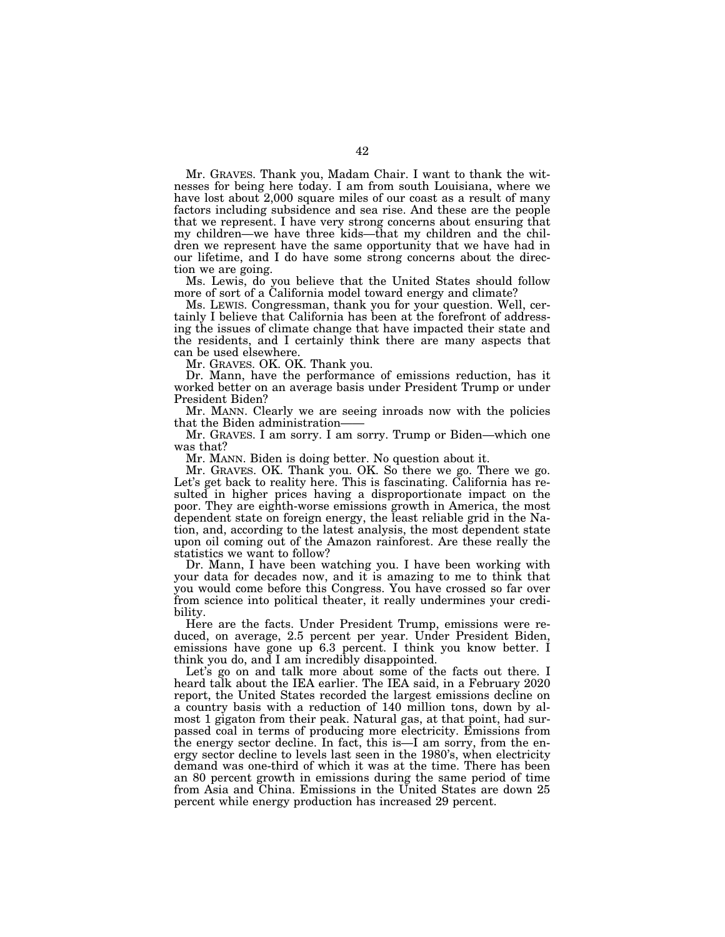Mr. GRAVES. Thank you, Madam Chair. I want to thank the witnesses for being here today. I am from south Louisiana, where we have lost about 2,000 square miles of our coast as a result of many factors including subsidence and sea rise. And these are the people that we represent. I have very strong concerns about ensuring that my children—we have three kids—that my children and the children we represent have the same opportunity that we have had in our lifetime, and I do have some strong concerns about the direction we are going.

Ms. Lewis, do you believe that the United States should follow more of sort of a California model toward energy and climate?

Ms. LEWIS. Congressman, thank you for your question. Well, certainly I believe that California has been at the forefront of addressing the issues of climate change that have impacted their state and the residents, and I certainly think there are many aspects that can be used elsewhere.

Mr. GRAVES. OK. OK. Thank you.

Dr. Mann, have the performance of emissions reduction, has it worked better on an average basis under President Trump or under President Biden?

Mr. MANN. Clearly we are seeing inroads now with the policies that the Biden administration-

Mr. GRAVES. I am sorry. I am sorry. Trump or Biden—which one was that?

Mr. MANN. Biden is doing better. No question about it.

Mr. GRAVES. OK. Thank you. OK. So there we go. There we go. Let's get back to reality here. This is fascinating. California has resulted in higher prices having a disproportionate impact on the poor. They are eighth-worse emissions growth in America, the most dependent state on foreign energy, the least reliable grid in the Nation, and, according to the latest analysis, the most dependent state upon oil coming out of the Amazon rainforest. Are these really the statistics we want to follow?

Dr. Mann, I have been watching you. I have been working with your data for decades now, and it is amazing to me to think that you would come before this Congress. You have crossed so far over from science into political theater, it really undermines your credibility.

Here are the facts. Under President Trump, emissions were reduced, on average, 2.5 percent per year. Under President Biden, emissions have gone up 6.3 percent. I think you know better. I think you do, and I am incredibly disappointed.

Let's go on and talk more about some of the facts out there. I heard talk about the IEA earlier. The IEA said, in a February 2020 report, the United States recorded the largest emissions decline on a country basis with a reduction of 140 million tons, down by almost 1 gigaton from their peak. Natural gas, at that point, had surpassed coal in terms of producing more electricity. Emissions from the energy sector decline. In fact, this is—I am sorry, from the energy sector decline to levels last seen in the 1980's, when electricity demand was one-third of which it was at the time. There has been an 80 percent growth in emissions during the same period of time from Asia and China. Emissions in the United States are down 25 percent while energy production has increased 29 percent.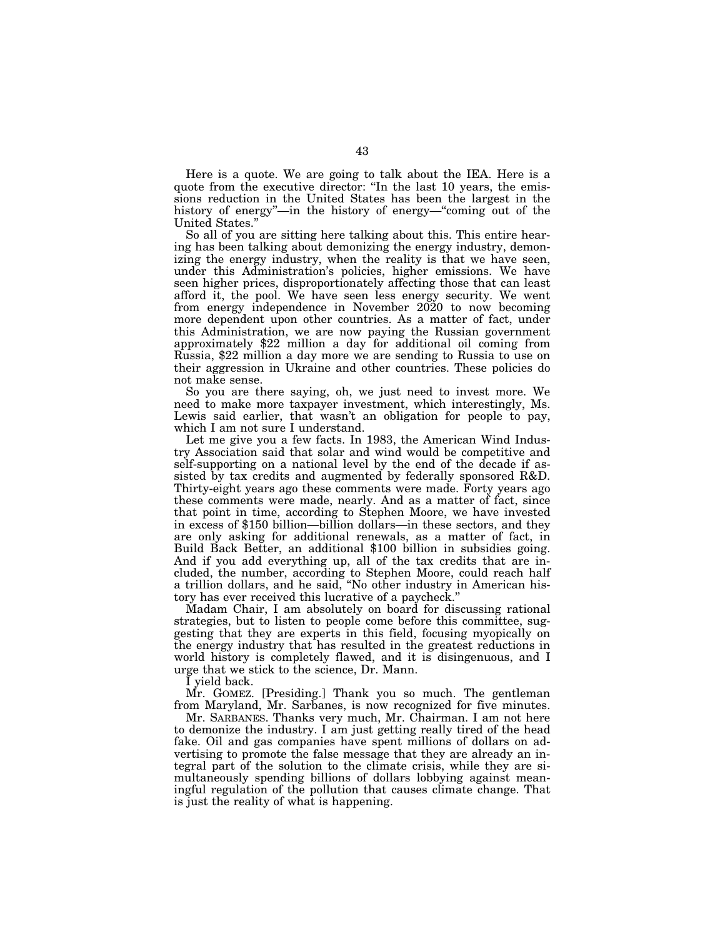Here is a quote. We are going to talk about the IEA. Here is a quote from the executive director: "In the last 10 years, the emissions reduction in the United States has been the largest in the history of energy"—in the history of energy—"coming out of the United States.''

So all of you are sitting here talking about this. This entire hearing has been talking about demonizing the energy industry, demonizing the energy industry, when the reality is that we have seen, under this Administration's policies, higher emissions. We have seen higher prices, disproportionately affecting those that can least afford it, the pool. We have seen less energy security. We went from energy independence in November 2020 to now becoming more dependent upon other countries. As a matter of fact, under this Administration, we are now paying the Russian government approximately \$22 million a day for additional oil coming from Russia, \$22 million a day more we are sending to Russia to use on their aggression in Ukraine and other countries. These policies do not make sense.

So you are there saying, oh, we just need to invest more. We need to make more taxpayer investment, which interestingly, Ms. Lewis said earlier, that wasn't an obligation for people to pay, which I am not sure I understand.

Let me give you a few facts. In 1983, the American Wind Industry Association said that solar and wind would be competitive and self-supporting on a national level by the end of the decade if assisted by tax credits and augmented by federally sponsored R&D. Thirty-eight years ago these comments were made. Forty years ago these comments were made, nearly. And as a matter of fact, since that point in time, according to Stephen Moore, we have invested in excess of \$150 billion—billion dollars—in these sectors, and they are only asking for additional renewals, as a matter of fact, in Build Back Better, an additional \$100 billion in subsidies going. And if you add everything up, all of the tax credits that are included, the number, according to Stephen Moore, could reach half a trillion dollars, and he said, ''No other industry in American history has ever received this lucrative of a paycheck.''

Madam Chair, I am absolutely on board for discussing rational strategies, but to listen to people come before this committee, suggesting that they are experts in this field, focusing myopically on the energy industry that has resulted in the greatest reductions in world history is completely flawed, and it is disingenuous, and I urge that we stick to the science, Dr. Mann.

I yield back.

Mr. GOMEZ. [Presiding.] Thank you so much. The gentleman from Maryland, Mr. Sarbanes, is now recognized for five minutes.

Mr. SARBANES. Thanks very much, Mr. Chairman. I am not here to demonize the industry. I am just getting really tired of the head fake. Oil and gas companies have spent millions of dollars on advertising to promote the false message that they are already an integral part of the solution to the climate crisis, while they are simultaneously spending billions of dollars lobbying against meaningful regulation of the pollution that causes climate change. That is just the reality of what is happening.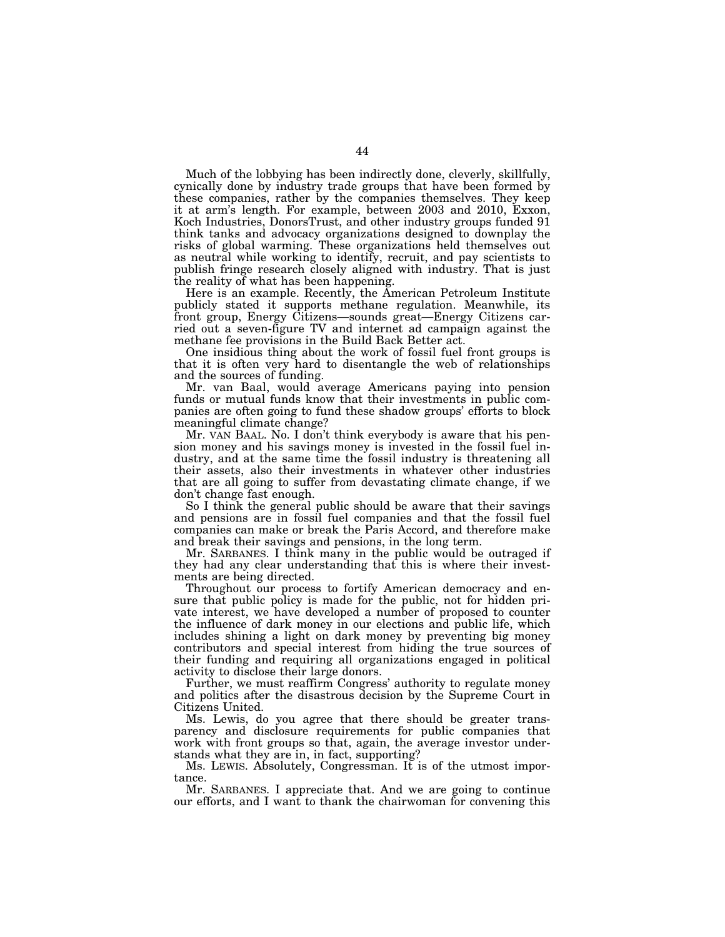Much of the lobbying has been indirectly done, cleverly, skillfully, cynically done by industry trade groups that have been formed by these companies, rather by the companies themselves. They keep it at arm's length. For example, between 2003 and 2010, Exxon, Koch Industries, DonorsTrust, and other industry groups funded 91 think tanks and advocacy organizations designed to downplay the risks of global warming. These organizations held themselves out as neutral while working to identify, recruit, and pay scientists to publish fringe research closely aligned with industry. That is just the reality of what has been happening.

Here is an example. Recently, the American Petroleum Institute publicly stated it supports methane regulation. Meanwhile, its front group, Energy Citizens—sounds great—Energy Citizens carried out a seven-figure TV and internet ad campaign against the methane fee provisions in the Build Back Better act.

One insidious thing about the work of fossil fuel front groups is that it is often very hard to disentangle the web of relationships and the sources of funding.

Mr. van Baal, would average Americans paying into pension funds or mutual funds know that their investments in public companies are often going to fund these shadow groups' efforts to block meaningful climate change?

Mr. VAN BAAL. No. I don't think everybody is aware that his pension money and his savings money is invested in the fossil fuel industry, and at the same time the fossil industry is threatening all their assets, also their investments in whatever other industries that are all going to suffer from devastating climate change, if we don't change fast enough.

So I think the general public should be aware that their savings and pensions are in fossil fuel companies and that the fossil fuel companies can make or break the Paris Accord, and therefore make and break their savings and pensions, in the long term.

Mr. SARBANES. I think many in the public would be outraged if they had any clear understanding that this is where their investments are being directed.

Throughout our process to fortify American democracy and ensure that public policy is made for the public, not for hidden private interest, we have developed a number of proposed to counter the influence of dark money in our elections and public life, which includes shining a light on dark money by preventing big money contributors and special interest from hiding the true sources of their funding and requiring all organizations engaged in political activity to disclose their large donors.

Further, we must reaffirm Congress' authority to regulate money and politics after the disastrous decision by the Supreme Court in Citizens United.

Ms. Lewis, do you agree that there should be greater transparency and disclosure requirements for public companies that work with front groups so that, again, the average investor understands what they are in, in fact, supporting?

Ms. LEWIS. Absolutely, Congressman. It is of the utmost importance.

Mr. SARBANES. I appreciate that. And we are going to continue our efforts, and I want to thank the chairwoman for convening this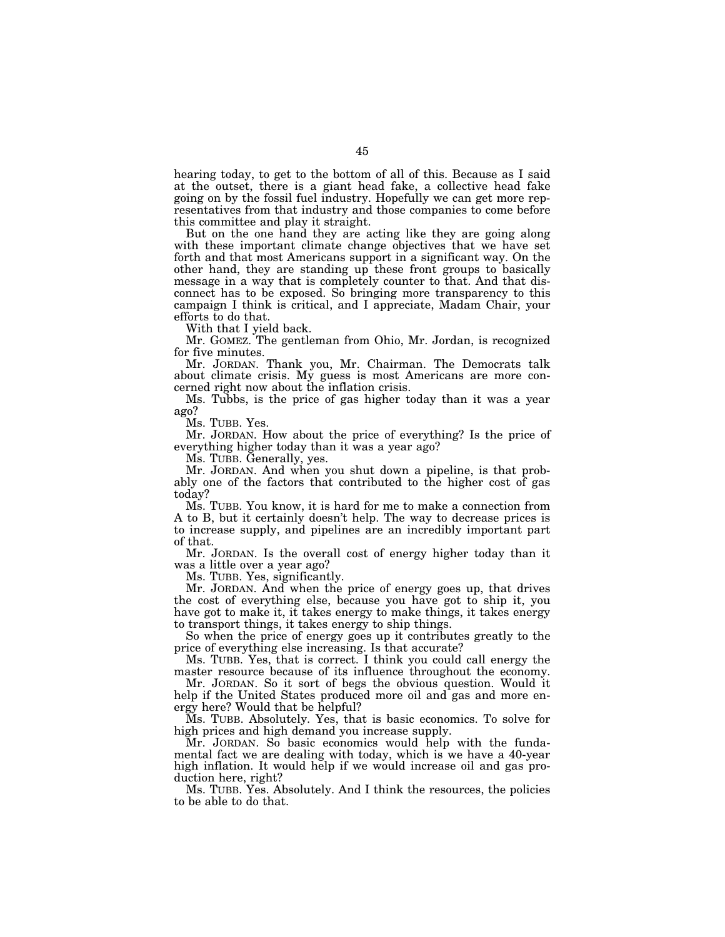hearing today, to get to the bottom of all of this. Because as I said at the outset, there is a giant head fake, a collective head fake going on by the fossil fuel industry. Hopefully we can get more representatives from that industry and those companies to come before this committee and play it straight.

But on the one hand they are acting like they are going along with these important climate change objectives that we have set forth and that most Americans support in a significant way. On the other hand, they are standing up these front groups to basically message in a way that is completely counter to that. And that disconnect has to be exposed. So bringing more transparency to this campaign I think is critical, and I appreciate, Madam Chair, your efforts to do that.

With that I yield back.

Mr. GOMEZ. The gentleman from Ohio, Mr. Jordan, is recognized for five minutes.

Mr. JORDAN. Thank you, Mr. Chairman. The Democrats talk about climate crisis. My guess is most Americans are more concerned right now about the inflation crisis.

Ms. Tubbs, is the price of gas higher today than it was a year ago?

Ms. TUBB. Yes.

Mr. JORDAN. How about the price of everything? Is the price of everything higher today than it was a year ago?

Ms. TUBB. Generally, yes.

Mr. JORDAN. And when you shut down a pipeline, is that probably one of the factors that contributed to the higher cost of gas today?

Ms. TUBB. You know, it is hard for me to make a connection from A to B, but it certainly doesn't help. The way to decrease prices is to increase supply, and pipelines are an incredibly important part of that.

Mr. JORDAN. Is the overall cost of energy higher today than it was a little over a year ago?

Ms. TUBB. Yes, significantly.

Mr. JORDAN. And when the price of energy goes up, that drives the cost of everything else, because you have got to ship it, you have got to make it, it takes energy to make things, it takes energy to transport things, it takes energy to ship things.

So when the price of energy goes up it contributes greatly to the price of everything else increasing. Is that accurate?

Ms. TUBB. Yes, that is correct. I think you could call energy the master resource because of its influence throughout the economy.

Mr. JORDAN. So it sort of begs the obvious question. Would it help if the United States produced more oil and gas and more energy here? Would that be helpful?

Ms. TUBB. Absolutely. Yes, that is basic economics. To solve for high prices and high demand you increase supply.

Mr. JORDAN. So basic economics would help with the fundamental fact we are dealing with today, which is we have a 40-year high inflation. It would help if we would increase oil and gas production here, right?

Ms. TUBB. Yes. Absolutely. And I think the resources, the policies to be able to do that.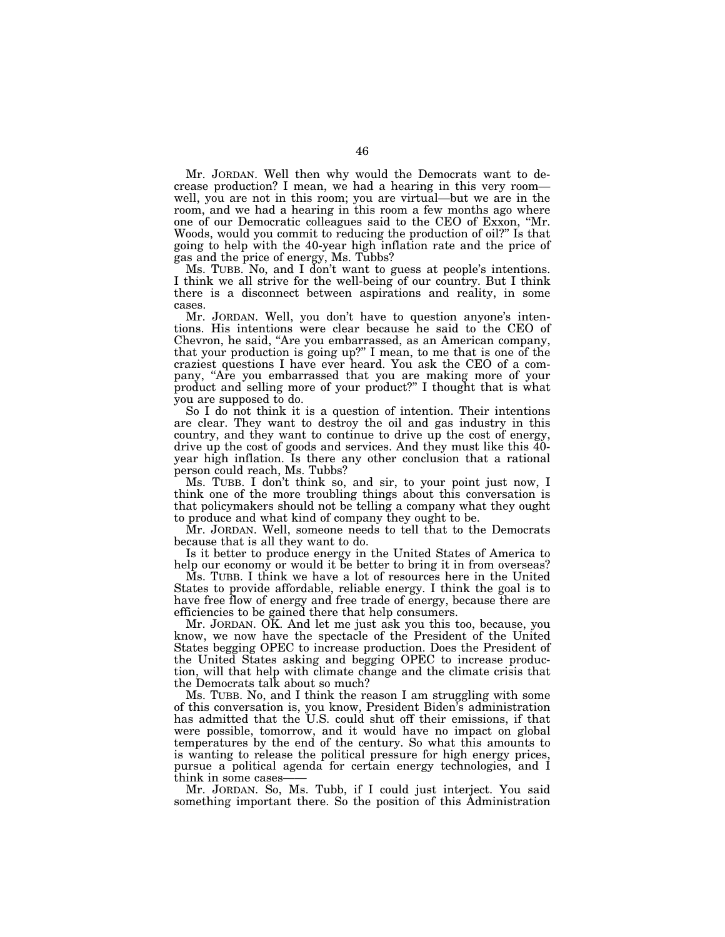Mr. JORDAN. Well then why would the Democrats want to decrease production? I mean, we had a hearing in this very room well, you are not in this room; you are virtual—but we are in the room, and we had a hearing in this room a few months ago where one of our Democratic colleagues said to the CEO of Exxon, ''Mr. Woods, would you commit to reducing the production of oil?'' Is that going to help with the 40-year high inflation rate and the price of gas and the price of energy, Ms. Tubbs?

Ms. TUBB. No, and I don't want to guess at people's intentions. I think we all strive for the well-being of our country. But I think there is a disconnect between aspirations and reality, in some cases.

Mr. JORDAN. Well, you don't have to question anyone's intentions. His intentions were clear because he said to the CEO of Chevron, he said, ''Are you embarrassed, as an American company, that your production is going up?'' I mean, to me that is one of the craziest questions I have ever heard. You ask the CEO of a company, ''Are you embarrassed that you are making more of your product and selling more of your product?'' I thought that is what you are supposed to do.

So I do not think it is a question of intention. Their intentions are clear. They want to destroy the oil and gas industry in this country, and they want to continue to drive up the cost of energy, drive up the cost of goods and services. And they must like this 40year high inflation. Is there any other conclusion that a rational person could reach, Ms. Tubbs?

Ms. TUBB. I don't think so, and sir, to your point just now, I think one of the more troubling things about this conversation is that policymakers should not be telling a company what they ought to produce and what kind of company they ought to be.

Mr. JORDAN. Well, someone needs to tell that to the Democrats because that is all they want to do.

Is it better to produce energy in the United States of America to help our economy or would it be better to bring it in from overseas?

Ms. TUBB. I think we have a lot of resources here in the United States to provide affordable, reliable energy. I think the goal is to have free flow of energy and free trade of energy, because there are efficiencies to be gained there that help consumers.

Mr. JORDAN. OK. And let me just ask you this too, because, you know, we now have the spectacle of the President of the United States begging OPEC to increase production. Does the President of the United States asking and begging OPEC to increase production, will that help with climate change and the climate crisis that the Democrats talk about so much?

Ms. TUBB. No, and I think the reason I am struggling with some of this conversation is, you know, President Biden's administration has admitted that the U.S. could shut off their emissions, if that were possible, tomorrow, and it would have no impact on global temperatures by the end of the century. So what this amounts to is wanting to release the political pressure for high energy prices, pursue a political agenda for certain energy technologies, and I think in some cases

Mr. JORDAN. So, Ms. Tubb, if I could just interject. You said something important there. So the position of this Administration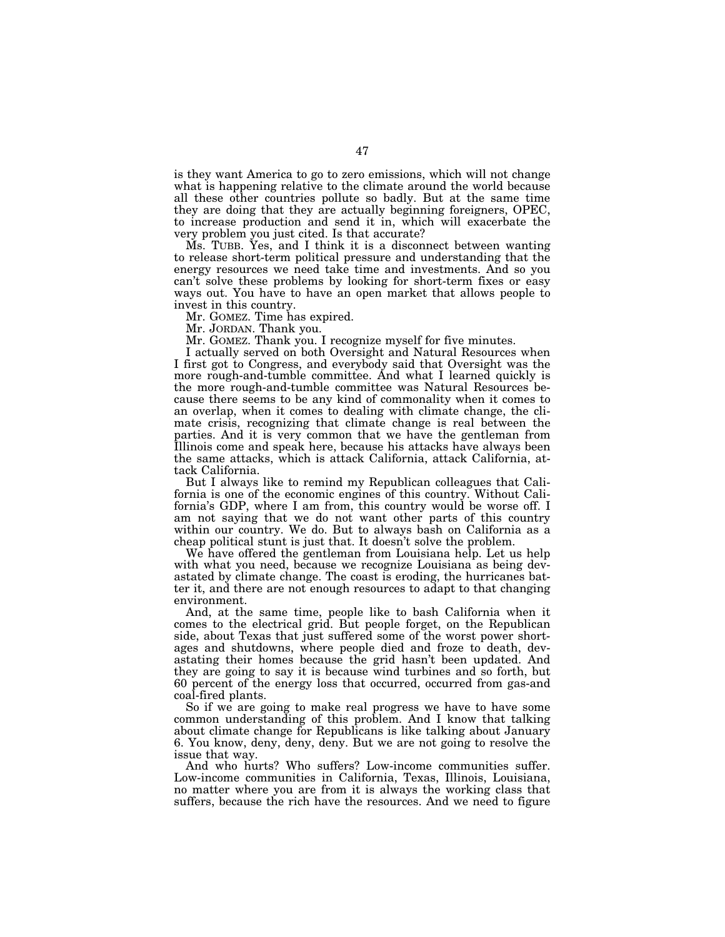is they want America to go to zero emissions, which will not change what is happening relative to the climate around the world because all these other countries pollute so badly. But at the same time they are doing that they are actually beginning foreigners, OPEC, to increase production and send it in, which will exacerbate the very problem you just cited. Is that accurate?

Ms. TUBB. Yes, and I think it is a disconnect between wanting to release short-term political pressure and understanding that the energy resources we need take time and investments. And so you can't solve these problems by looking for short-term fixes or easy ways out. You have to have an open market that allows people to invest in this country.

Mr. GOMEZ. Time has expired.

Mr. JORDAN. Thank you.

Mr. GOMEZ. Thank you. I recognize myself for five minutes.

I actually served on both Oversight and Natural Resources when I first got to Congress, and everybody said that Oversight was the more rough-and-tumble committee. And what I learned quickly is the more rough-and-tumble committee was Natural Resources because there seems to be any kind of commonality when it comes to an overlap, when it comes to dealing with climate change, the climate crisis, recognizing that climate change is real between the parties. And it is very common that we have the gentleman from Illinois come and speak here, because his attacks have always been the same attacks, which is attack California, attack California, attack California.

But I always like to remind my Republican colleagues that California is one of the economic engines of this country. Without California's GDP, where I am from, this country would be worse off. I am not saying that we do not want other parts of this country within our country. We do. But to always bash on California as a cheap political stunt is just that. It doesn't solve the problem.

We have offered the gentleman from Louisiana help. Let us help with what you need, because we recognize Louisiana as being devastated by climate change. The coast is eroding, the hurricanes batter it, and there are not enough resources to adapt to that changing environment.

And, at the same time, people like to bash California when it comes to the electrical grid. But people forget, on the Republican side, about Texas that just suffered some of the worst power shortages and shutdowns, where people died and froze to death, devastating their homes because the grid hasn't been updated. And they are going to say it is because wind turbines and so forth, but 60 percent of the energy loss that occurred, occurred from gas-and coal-fired plants.

So if we are going to make real progress we have to have some common understanding of this problem. And I know that talking about climate change for Republicans is like talking about January 6. You know, deny, deny, deny. But we are not going to resolve the issue that way.

And who hurts? Who suffers? Low-income communities suffer. Low-income communities in California, Texas, Illinois, Louisiana, no matter where you are from it is always the working class that suffers, because the rich have the resources. And we need to figure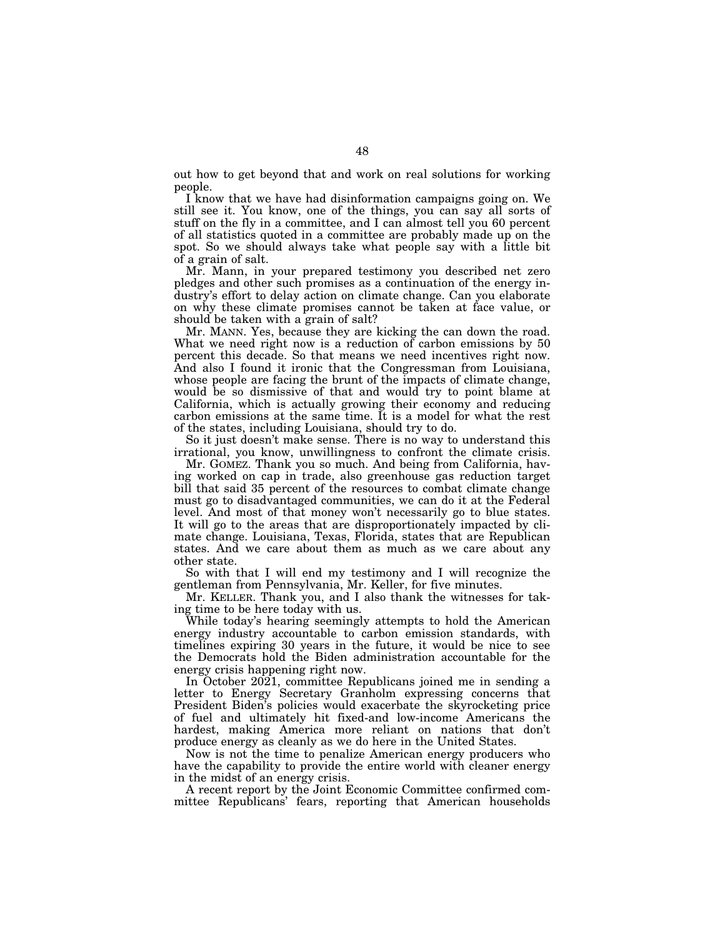out how to get beyond that and work on real solutions for working people.

I know that we have had disinformation campaigns going on. We still see it. You know, one of the things, you can say all sorts of stuff on the fly in a committee, and I can almost tell you 60 percent of all statistics quoted in a committee are probably made up on the spot. So we should always take what people say with a little bit of a grain of salt.

Mr. Mann, in your prepared testimony you described net zero pledges and other such promises as a continuation of the energy industry's effort to delay action on climate change. Can you elaborate on why these climate promises cannot be taken at face value, or should be taken with a grain of salt?

Mr. MANN. Yes, because they are kicking the can down the road. What we need right now is a reduction of carbon emissions by 50 percent this decade. So that means we need incentives right now. And also I found it ironic that the Congressman from Louisiana, whose people are facing the brunt of the impacts of climate change, would be so dismissive of that and would try to point blame at California, which is actually growing their economy and reducing carbon emissions at the same time. It is a model for what the rest of the states, including Louisiana, should try to do.

So it just doesn't make sense. There is no way to understand this irrational, you know, unwillingness to confront the climate crisis.

Mr. GOMEZ. Thank you so much. And being from California, having worked on cap in trade, also greenhouse gas reduction target bill that said 35 percent of the resources to combat climate change must go to disadvantaged communities, we can do it at the Federal level. And most of that money won't necessarily go to blue states. It will go to the areas that are disproportionately impacted by climate change. Louisiana, Texas, Florida, states that are Republican states. And we care about them as much as we care about any other state.

So with that I will end my testimony and I will recognize the gentleman from Pennsylvania, Mr. Keller, for five minutes.

Mr. KELLER. Thank you, and I also thank the witnesses for taking time to be here today with us.

While today's hearing seemingly attempts to hold the American energy industry accountable to carbon emission standards, with timelines expiring 30 years in the future, it would be nice to see the Democrats hold the Biden administration accountable for the energy crisis happening right now.

In October 2021, committee Republicans joined me in sending a letter to Energy Secretary Granholm expressing concerns that President Biden's policies would exacerbate the skyrocketing price of fuel and ultimately hit fixed-and low-income Americans the hardest, making America more reliant on nations that don't produce energy as cleanly as we do here in the United States.

Now is not the time to penalize American energy producers who have the capability to provide the entire world with cleaner energy in the midst of an energy crisis.

A recent report by the Joint Economic Committee confirmed committee Republicans' fears, reporting that American households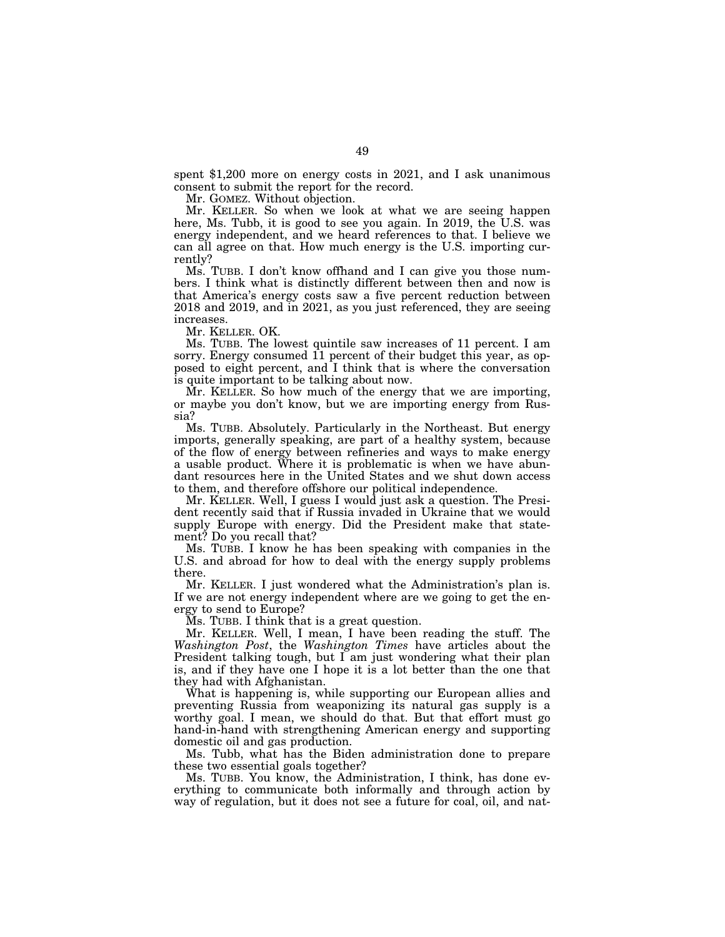spent \$1,200 more on energy costs in 2021, and I ask unanimous consent to submit the report for the record.

Mr. GOMEZ. Without objection.

Mr. KELLER. So when we look at what we are seeing happen here, Ms. Tubb, it is good to see you again. In 2019, the U.S. was energy independent, and we heard references to that. I believe we can all agree on that. How much energy is the U.S. importing currently?

Ms. TUBB. I don't know offhand and I can give you those numbers. I think what is distinctly different between then and now is that America's energy costs saw a five percent reduction between 2018 and 2019, and in 2021, as you just referenced, they are seeing increases.

Mr. KELLER. OK.

Ms. TUBB. The lowest quintile saw increases of 11 percent. I am sorry. Energy consumed 11 percent of their budget this year, as opposed to eight percent, and I think that is where the conversation is quite important to be talking about now.

Mr. KELLER. So how much of the energy that we are importing, or maybe you don't know, but we are importing energy from Russia?

Ms. TUBB. Absolutely. Particularly in the Northeast. But energy imports, generally speaking, are part of a healthy system, because of the flow of energy between refineries and ways to make energy a usable product. Where it is problematic is when we have abundant resources here in the United States and we shut down access to them, and therefore offshore our political independence.

Mr. KELLER. Well, I guess I would just ask a question. The President recently said that if Russia invaded in Ukraine that we would supply Europe with energy. Did the President make that statement? Do you recall that?

Ms. TUBB. I know he has been speaking with companies in the U.S. and abroad for how to deal with the energy supply problems there.

Mr. KELLER. I just wondered what the Administration's plan is. If we are not energy independent where are we going to get the energy to send to Europe?

Ms. TUBB. I think that is a great question.

Mr. KELLER. Well, I mean, I have been reading the stuff. The *Washington Post*, the *Washington Times* have articles about the President talking tough, but I am just wondering what their plan is, and if they have one I hope it is a lot better than the one that they had with Afghanistan.

What is happening is, while supporting our European allies and preventing Russia from weaponizing its natural gas supply is a worthy goal. I mean, we should do that. But that effort must go hand-in-hand with strengthening American energy and supporting domestic oil and gas production.

Ms. Tubb, what has the Biden administration done to prepare these two essential goals together?

Ms. TUBB. You know, the Administration, I think, has done everything to communicate both informally and through action by way of regulation, but it does not see a future for coal, oil, and nat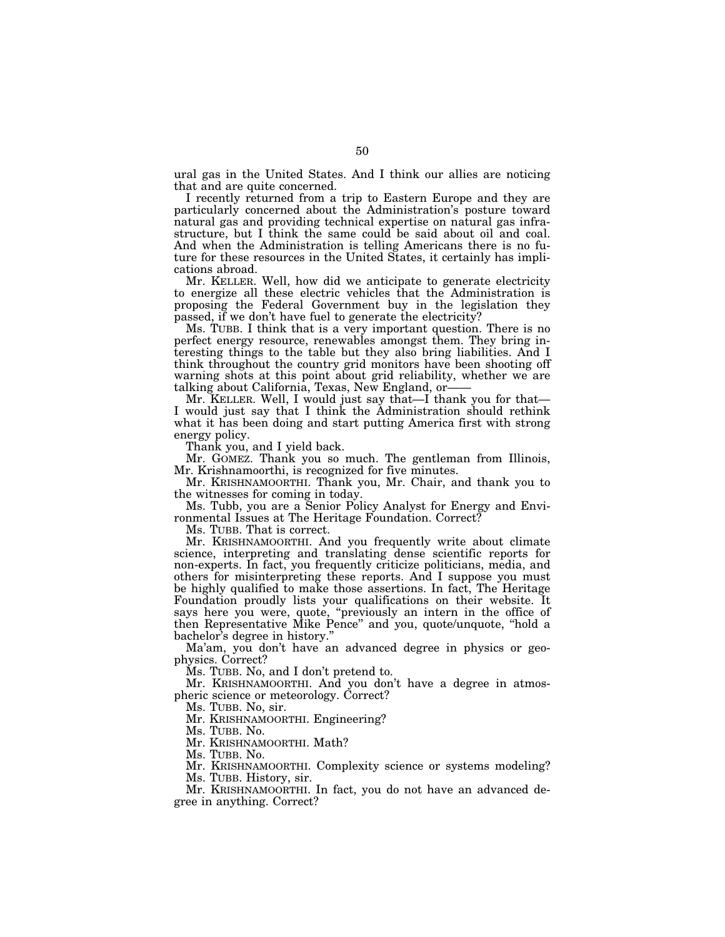ural gas in the United States. And I think our allies are noticing that and are quite concerned.

I recently returned from a trip to Eastern Europe and they are particularly concerned about the Administration's posture toward natural gas and providing technical expertise on natural gas infrastructure, but I think the same could be said about oil and coal. And when the Administration is telling Americans there is no future for these resources in the United States, it certainly has implications abroad.

Mr. KELLER. Well, how did we anticipate to generate electricity to energize all these electric vehicles that the Administration is proposing the Federal Government buy in the legislation they passed, if we don't have fuel to generate the electricity?

Ms. TUBB. I think that is a very important question. There is no perfect energy resource, renewables amongst them. They bring interesting things to the table but they also bring liabilities. And I think throughout the country grid monitors have been shooting off warning shots at this point about grid reliability, whether we are talking about California, Texas, New England, or-

Mr. KELLER. Well, I would just say that—I thank you for that— I would just say that I think the Administration should rethink what it has been doing and start putting America first with strong energy policy.

Thank you, and I yield back.

Mr. GOMEZ. Thank you so much. The gentleman from Illinois, Mr. Krishnamoorthi, is recognized for five minutes.

Mr. KRISHNAMOORTHI. Thank you, Mr. Chair, and thank you to the witnesses for coming in today.

Ms. Tubb, you are a Senior Policy Analyst for Energy and Environmental Issues at The Heritage Foundation. Correct?

Ms. TUBB. That is correct.

Mr. KRISHNAMOORTHI. And you frequently write about climate science, interpreting and translating dense scientific reports for non-experts. In fact, you frequently criticize politicians, media, and others for misinterpreting these reports. And I suppose you must be highly qualified to make those assertions. In fact, The Heritage Foundation proudly lists your qualifications on their website. It says here you were, quote, ''previously an intern in the office of then Representative Mike Pence'' and you, quote/unquote, ''hold a bachelor's degree in history.''

Ma'am, you don't have an advanced degree in physics or geophysics. Correct?

Ms. TUBB. No, and I don't pretend to.

Mr. KRISHNAMOORTHI. And you don't have a degree in atmospheric science or meteorology. Correct?

Ms. TUBB. No, sir.

Mr. KRISHNAMOORTHI. Engineering?

Ms. TUBB. No.

Mr. KRISHNAMOORTHI. Math?

Ms. TUBB. No.

Mr. KRISHNAMOORTHI. Complexity science or systems modeling? Ms. TUBB. History, sir.

Mr. KRISHNAMOORTHI. In fact, you do not have an advanced degree in anything. Correct?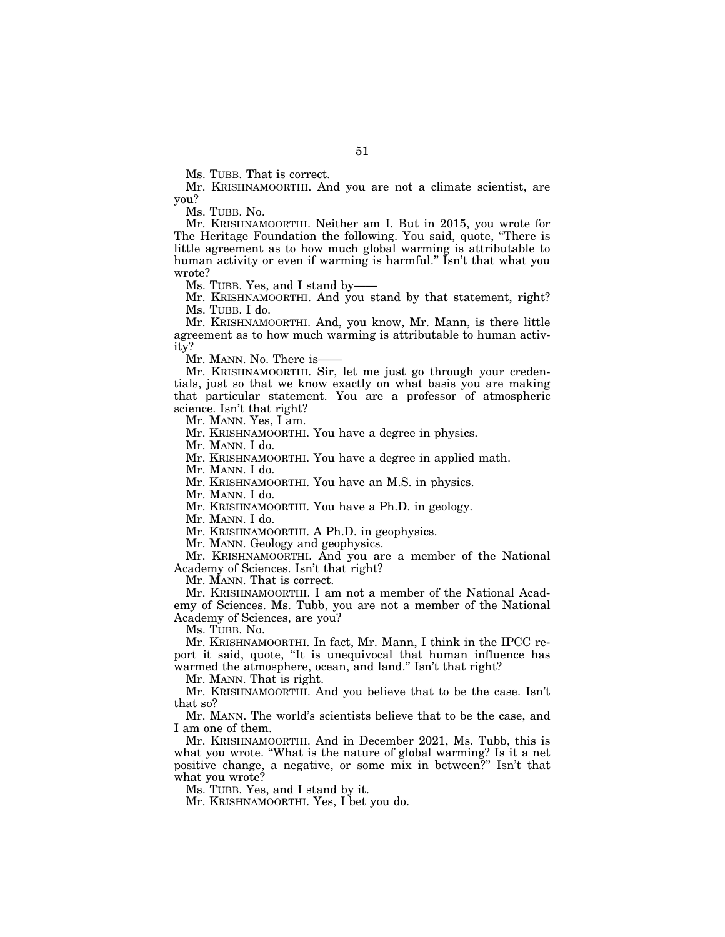Ms. TUBB. That is correct.

Mr. KRISHNAMOORTHI. And you are not a climate scientist, are you?

Ms. TUBB. No.

Mr. KRISHNAMOORTHI. Neither am I. But in 2015, you wrote for The Heritage Foundation the following. You said, quote, ''There is little agreement as to how much global warming is attributable to human activity or even if warming is harmful." Isn't that what you wrote?

Ms. TUBB. Yes, and I stand by-

Mr. KRISHNAMOORTHI. And you stand by that statement, right? Ms. TUBB. I do.

Mr. KRISHNAMOORTHI. And, you know, Mr. Mann, is there little agreement as to how much warming is attributable to human activity?

Mr. MANN. No. There is-

Mr. KRISHNAMOORTHI. Sir, let me just go through your credentials, just so that we know exactly on what basis you are making that particular statement. You are a professor of atmospheric science. Isn't that right?

Mr. MANN. Yes, I am.

Mr. KRISHNAMOORTHI. You have a degree in physics.

Mr. MANN. I do.

Mr. KRISHNAMOORTHI. You have a degree in applied math.

Mr. MANN. I do.

Mr. KRISHNAMOORTHI. You have an M.S. in physics.

Mr. MANN. I do.

Mr. KRISHNAMOORTHI. You have a Ph.D. in geology.

Mr. MANN. I do.

Mr. KRISHNAMOORTHI. A Ph.D. in geophysics.

Mr. MANN. Geology and geophysics.

Mr. KRISHNAMOORTHI. And you are a member of the National Academy of Sciences. Isn't that right?

Mr. MANN. That is correct.

Mr. KRISHNAMOORTHI. I am not a member of the National Academy of Sciences. Ms. Tubb, you are not a member of the National Academy of Sciences, are you?

Ms. TUBB. No.

Mr. KRISHNAMOORTHI. In fact, Mr. Mann, I think in the IPCC report it said, quote, "It is unequivocal that human influence has warmed the atmosphere, ocean, and land." Isn't that right?

Mr. MANN. That is right.

Mr. KRISHNAMOORTHI. And you believe that to be the case. Isn't that so?

Mr. MANN. The world's scientists believe that to be the case, and I am one of them.

Mr. KRISHNAMOORTHI. And in December 2021, Ms. Tubb, this is what you wrote. "What is the nature of global warming? Is it a net positive change, a negative, or some mix in between?'' Isn't that what you wrote?

Ms. TUBB. Yes, and I stand by it.

Mr. KRISHNAMOORTHI. Yes, I bet you do.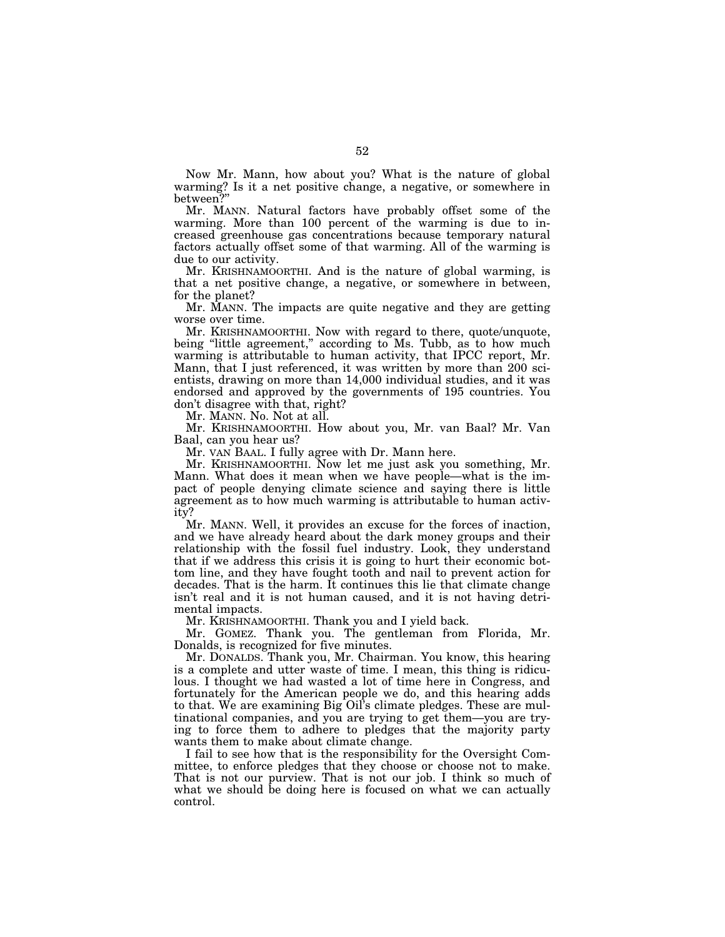Now Mr. Mann, how about you? What is the nature of global warming? Is it a net positive change, a negative, or somewhere in between?

Mr. MANN. Natural factors have probably offset some of the warming. More than 100 percent of the warming is due to increased greenhouse gas concentrations because temporary natural factors actually offset some of that warming. All of the warming is due to our activity.

Mr. KRISHNAMOORTHI. And is the nature of global warming, is that a net positive change, a negative, or somewhere in between, for the planet?

Mr. MANN. The impacts are quite negative and they are getting worse over time.

Mr. KRISHNAMOORTHI. Now with regard to there, quote/unquote, being ''little agreement,'' according to Ms. Tubb, as to how much warming is attributable to human activity, that IPCC report, Mr. Mann, that I just referenced, it was written by more than 200 scientists, drawing on more than 14,000 individual studies, and it was endorsed and approved by the governments of 195 countries. You don't disagree with that, right?

Mr. MANN. No. Not at all.

Mr. KRISHNAMOORTHI. How about you, Mr. van Baal? Mr. Van Baal, can you hear us?

Mr. VAN BAAL. I fully agree with Dr. Mann here.

Mr. KRISHNAMOORTHI. Now let me just ask you something, Mr. Mann. What does it mean when we have people—what is the impact of people denying climate science and saying there is little agreement as to how much warming is attributable to human activity?

Mr. MANN. Well, it provides an excuse for the forces of inaction, and we have already heard about the dark money groups and their relationship with the fossil fuel industry. Look, they understand that if we address this crisis it is going to hurt their economic bottom line, and they have fought tooth and nail to prevent action for decades. That is the harm. It continues this lie that climate change isn't real and it is not human caused, and it is not having detrimental impacts.

Mr. KRISHNAMOORTHI. Thank you and I yield back.

Mr. GOMEZ. Thank you. The gentleman from Florida, Mr. Donalds, is recognized for five minutes.

Mr. DONALDS. Thank you, Mr. Chairman. You know, this hearing is a complete and utter waste of time. I mean, this thing is ridiculous. I thought we had wasted a lot of time here in Congress, and fortunately for the American people we do, and this hearing adds to that. We are examining Big Oil's climate pledges. These are multinational companies, and you are trying to get them—you are trying to force them to adhere to pledges that the majority party wants them to make about climate change.

I fail to see how that is the responsibility for the Oversight Committee, to enforce pledges that they choose or choose not to make. That is not our purview. That is not our job. I think so much of what we should be doing here is focused on what we can actually control.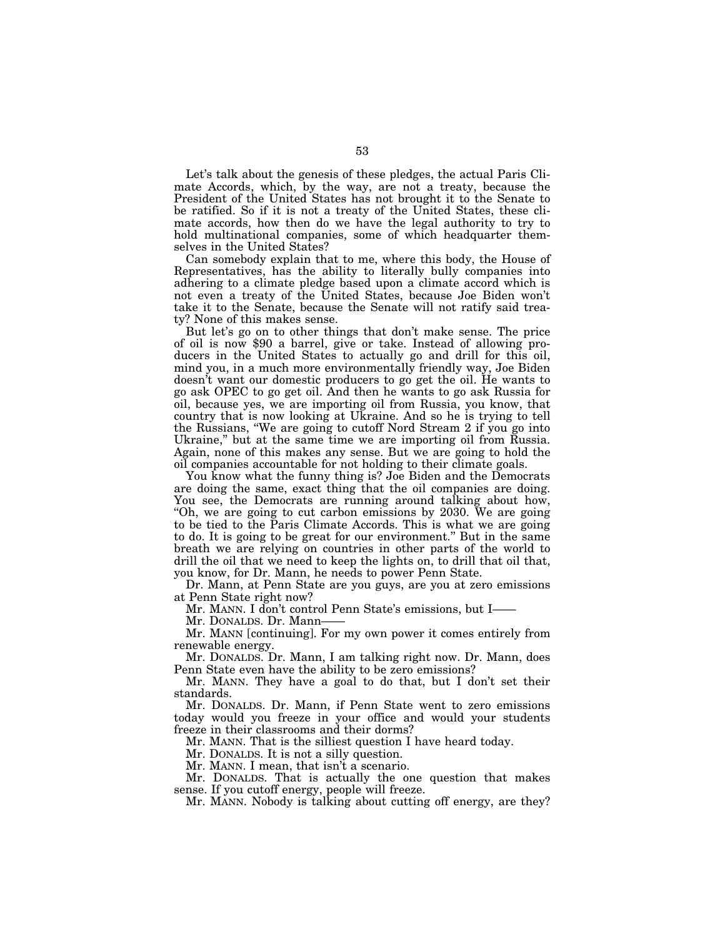Let's talk about the genesis of these pledges, the actual Paris Climate Accords, which, by the way, are not a treaty, because the President of the United States has not brought it to the Senate to be ratified. So if it is not a treaty of the United States, these climate accords, how then do we have the legal authority to try to hold multinational companies, some of which headquarter themselves in the United States?

Can somebody explain that to me, where this body, the House of Representatives, has the ability to literally bully companies into adhering to a climate pledge based upon a climate accord which is not even a treaty of the United States, because Joe Biden won't take it to the Senate, because the Senate will not ratify said treaty? None of this makes sense.

But let's go on to other things that don't make sense. The price of oil is now \$90 a barrel, give or take. Instead of allowing producers in the United States to actually go and drill for this oil, mind you, in a much more environmentally friendly way, Joe Biden doesn't want our domestic producers to go get the oil. He wants to go ask OPEC to go get oil. And then he wants to go ask Russia for oil, because yes, we are importing oil from Russia, you know, that country that is now looking at Ukraine. And so he is trying to tell the Russians, ''We are going to cutoff Nord Stream 2 if you go into Ukraine,'' but at the same time we are importing oil from Russia. Again, none of this makes any sense. But we are going to hold the oil companies accountable for not holding to their climate goals.

You know what the funny thing is? Joe Biden and the Democrats are doing the same, exact thing that the oil companies are doing. You see, the Democrats are running around talking about how, "Oh, we are going to cut carbon emissions by 2030. We are going to be tied to the Paris Climate Accords. This is what we are going to do. It is going to be great for our environment.'' But in the same breath we are relying on countries in other parts of the world to drill the oil that we need to keep the lights on, to drill that oil that, you know, for Dr. Mann, he needs to power Penn State.

Dr. Mann, at Penn State are you guys, are you at zero emissions at Penn State right now?

Mr. MANN. I don't control Penn State's emissions, but I——

Mr. DONALDS. Dr. Mann-

Mr. MANN [continuing]. For my own power it comes entirely from renewable energy.

Mr. DONALDS. Dr. Mann, I am talking right now. Dr. Mann, does Penn State even have the ability to be zero emissions?

Mr. MANN. They have a goal to do that, but I don't set their standards.

Mr. DONALDS. Dr. Mann, if Penn State went to zero emissions today would you freeze in your office and would your students freeze in their classrooms and their dorms?

Mr. MANN. That is the silliest question I have heard today.

Mr. DONALDS. It is not a silly question.

Mr. MANN. I mean, that isn't a scenario.

Mr. DONALDS. That is actually the one question that makes sense. If you cutoff energy, people will freeze.

Mr. MANN. Nobody is talking about cutting off energy, are they?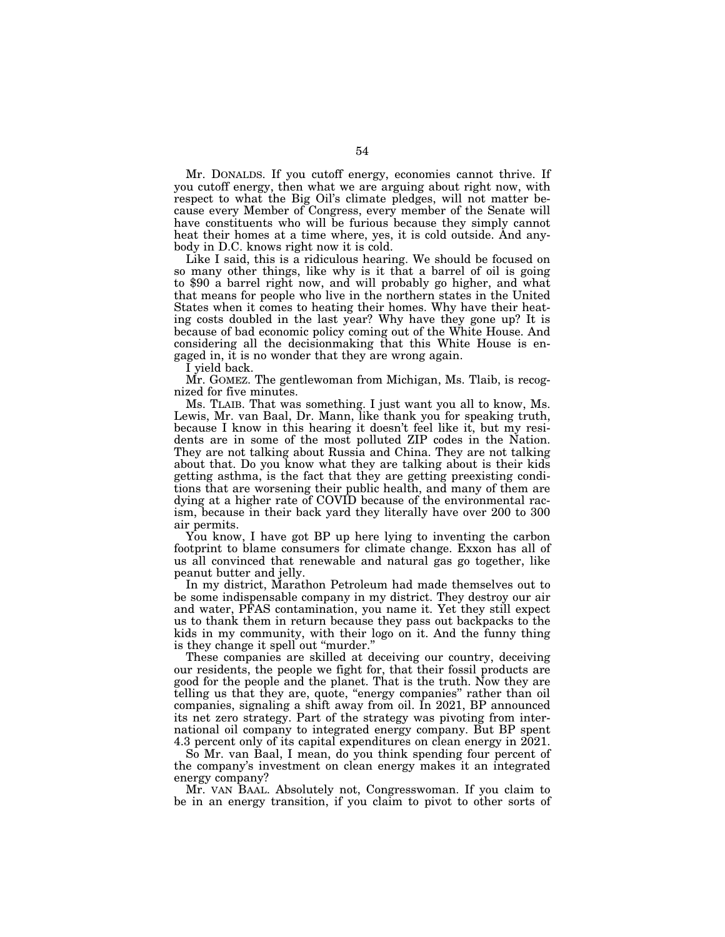Mr. DONALDS. If you cutoff energy, economies cannot thrive. If you cutoff energy, then what we are arguing about right now, with respect to what the Big Oil's climate pledges, will not matter because every Member of Congress, every member of the Senate will have constituents who will be furious because they simply cannot heat their homes at a time where, yes, it is cold outside. And anybody in D.C. knows right now it is cold.

Like I said, this is a ridiculous hearing. We should be focused on so many other things, like why is it that a barrel of oil is going to \$90 a barrel right now, and will probably go higher, and what that means for people who live in the northern states in the United States when it comes to heating their homes. Why have their heating costs doubled in the last year? Why have they gone up? It is because of bad economic policy coming out of the White House. And considering all the decisionmaking that this White House is engaged in, it is no wonder that they are wrong again.

I yield back.

Mr. GOMEZ. The gentlewoman from Michigan, Ms. Tlaib, is recognized for five minutes.

Ms. TLAIB. That was something. I just want you all to know, Ms. Lewis, Mr. van Baal, Dr. Mann, like thank you for speaking truth, because I know in this hearing it doesn't feel like it, but my residents are in some of the most polluted ZIP codes in the Nation. They are not talking about Russia and China. They are not talking about that. Do you know what they are talking about is their kids getting asthma, is the fact that they are getting preexisting conditions that are worsening their public health, and many of them are dying at a higher rate of COVID because of the environmental racism, because in their back yard they literally have over 200 to 300 air permits.

You know, I have got BP up here lying to inventing the carbon footprint to blame consumers for climate change. Exxon has all of us all convinced that renewable and natural gas go together, like peanut butter and jelly.

In my district, Marathon Petroleum had made themselves out to be some indispensable company in my district. They destroy our air and water, PFAS contamination, you name it. Yet they still expect us to thank them in return because they pass out backpacks to the kids in my community, with their logo on it. And the funny thing is they change it spell out ''murder.''

These companies are skilled at deceiving our country, deceiving our residents, the people we fight for, that their fossil products are good for the people and the planet. That is the truth. Now they are telling us that they are, quote, "energy companies" rather than oil companies, signaling a shift away from oil. In 2021, BP announced its net zero strategy. Part of the strategy was pivoting from international oil company to integrated energy company. But BP spent 4.3 percent only of its capital expenditures on clean energy in 2021.

So Mr. van Baal, I mean, do you think spending four percent of the company's investment on clean energy makes it an integrated energy company?

Mr. VAN BAAL. Absolutely not, Congresswoman. If you claim to be in an energy transition, if you claim to pivot to other sorts of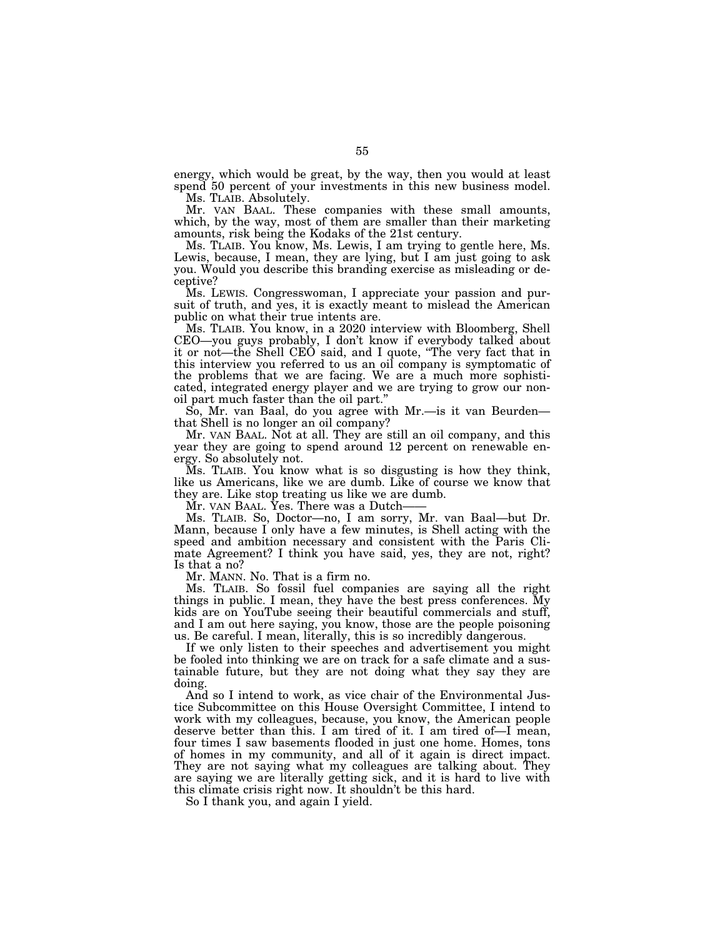energy, which would be great, by the way, then you would at least spend 50 percent of your investments in this new business model.

Ms. TLAIB. Absolutely.

Mr. VAN BAAL. These companies with these small amounts, which, by the way, most of them are smaller than their marketing amounts, risk being the Kodaks of the 21st century.

Ms. TLAIB. You know, Ms. Lewis, I am trying to gentle here, Ms. Lewis, because, I mean, they are lying, but I am just going to ask you. Would you describe this branding exercise as misleading or deceptive?

Ms. LEWIS. Congresswoman, I appreciate your passion and pursuit of truth, and yes, it is exactly meant to mislead the American public on what their true intents are.

Ms. TLAIB. You know, in a 2020 interview with Bloomberg, Shell CEO-you guys probably, I don't know if everybody talked about it or not—the Shell CEO said, and I quote, ''The very fact that in this interview you referred to us an oil company is symptomatic of the problems that we are facing. We are a much more sophisticated, integrated energy player and we are trying to grow our nonoil part much faster than the oil part.''

So, Mr. van Baal, do you agree with Mr.—is it van Beurden that Shell is no longer an oil company?

Mr. VAN BAAL. Not at all. They are still an oil company, and this year they are going to spend around 12 percent on renewable energy. So absolutely not.

Ms. TLAIB. You know what is so disgusting is how they think, like us Americans, like we are dumb. Like of course we know that they are. Like stop treating us like we are dumb.

Mr. VAN BAAL. Yes. There was a Dutch-

Ms. TLAIB. So, Doctor—no, I am sorry, Mr. van Baal—but Dr. Mann, because I only have a few minutes, is Shell acting with the speed and ambition necessary and consistent with the Paris Climate Agreement? I think you have said, yes, they are not, right? Is that a no?

Mr. MANN. No. That is a firm no.

Ms. TLAIB. So fossil fuel companies are saying all the right things in public. I mean, they have the best press conferences. My kids are on YouTube seeing their beautiful commercials and stuff, and I am out here saying, you know, those are the people poisoning us. Be careful. I mean, literally, this is so incredibly dangerous.

If we only listen to their speeches and advertisement you might be fooled into thinking we are on track for a safe climate and a sustainable future, but they are not doing what they say they are doing.

And so I intend to work, as vice chair of the Environmental Justice Subcommittee on this House Oversight Committee, I intend to work with my colleagues, because, you know, the American people deserve better than this. I am tired of it. I am tired of—I mean, four times I saw basements flooded in just one home. Homes, tons of homes in my community, and all of it again is direct impact. They are not saying what my colleagues are talking about. They are saying we are literally getting sick, and it is hard to live with this climate crisis right now. It shouldn't be this hard.

So I thank you, and again I yield.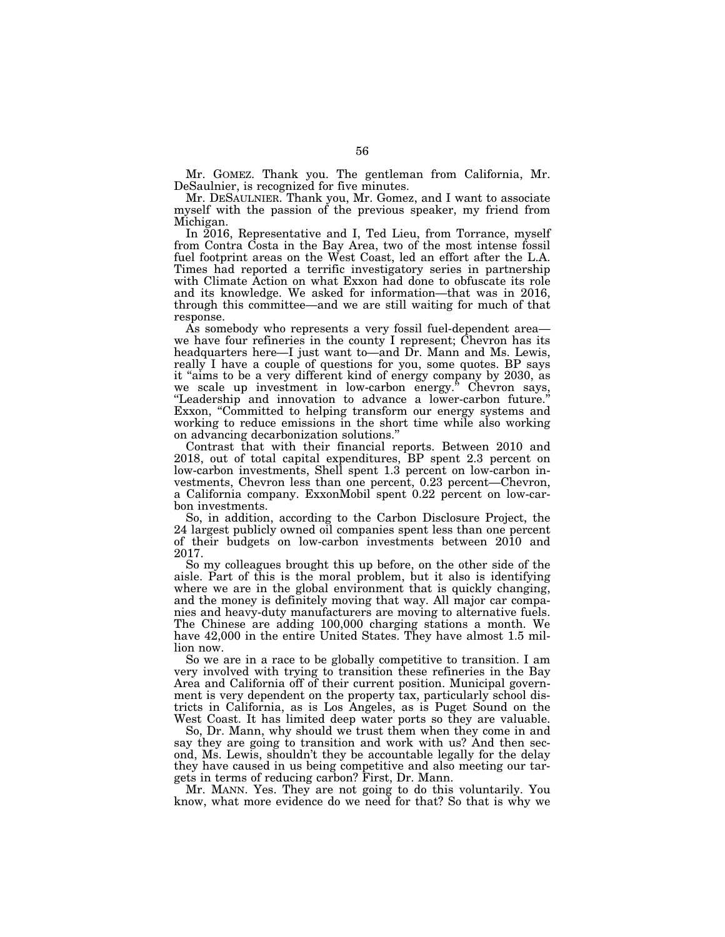Mr. GOMEZ. Thank you. The gentleman from California, Mr. DeSaulnier, is recognized for five minutes.

Mr. DESAULNIER. Thank you, Mr. Gomez, and I want to associate myself with the passion of the previous speaker, my friend from Michigan.

In 2016, Representative and I, Ted Lieu, from Torrance, myself from Contra Costa in the Bay Area, two of the most intense fossil fuel footprint areas on the West Coast, led an effort after the L.A. Times had reported a terrific investigatory series in partnership with Climate Action on what Exxon had done to obfuscate its role and its knowledge. We asked for information—that was in 2016, through this committee—and we are still waiting for much of that response.

As somebody who represents a very fossil fuel-dependent area we have four refineries in the county I represent; Chevron has its headquarters here—I just want to—and Dr. Mann and Ms. Lewis, really I have a couple of questions for you, some quotes. BP says it "aims to be a very different kind of energy company by 2030, as we scale up investment in low-carbon energy.<sup>5</sup> Chevron says, ''Leadership and innovation to advance a lower-carbon future.'' Exxon, "Committed to helping transform our energy systems and working to reduce emissions in the short time while also working on advancing decarbonization solutions.''

Contrast that with their financial reports. Between 2010 and 2018, out of total capital expenditures, BP spent 2.3 percent on low-carbon investments, Shell spent 1.3 percent on low-carbon investments, Chevron less than one percent, 0.23 percent—Chevron, a California company. ExxonMobil spent 0.22 percent on low-carbon investments.

So, in addition, according to the Carbon Disclosure Project, the 24 largest publicly owned oil companies spent less than one percent of their budgets on low-carbon investments between 2010 and 2017.

So my colleagues brought this up before, on the other side of the aisle. Part of this is the moral problem, but it also is identifying where we are in the global environment that is quickly changing, and the money is definitely moving that way. All major car companies and heavy-duty manufacturers are moving to alternative fuels. The Chinese are adding 100,000 charging stations a month. We have 42,000 in the entire United States. They have almost 1.5 million now.

So we are in a race to be globally competitive to transition. I am very involved with trying to transition these refineries in the Bay Area and California off of their current position. Municipal government is very dependent on the property tax, particularly school districts in California, as is Los Angeles, as is Puget Sound on the West Coast. It has limited deep water ports so they are valuable.

So, Dr. Mann, why should we trust them when they come in and say they are going to transition and work with us? And then second, Ms. Lewis, shouldn't they be accountable legally for the delay they have caused in us being competitive and also meeting our targets in terms of reducing carbon? First, Dr. Mann.

Mr. MANN. Yes. They are not going to do this voluntarily. You know, what more evidence do we need for that? So that is why we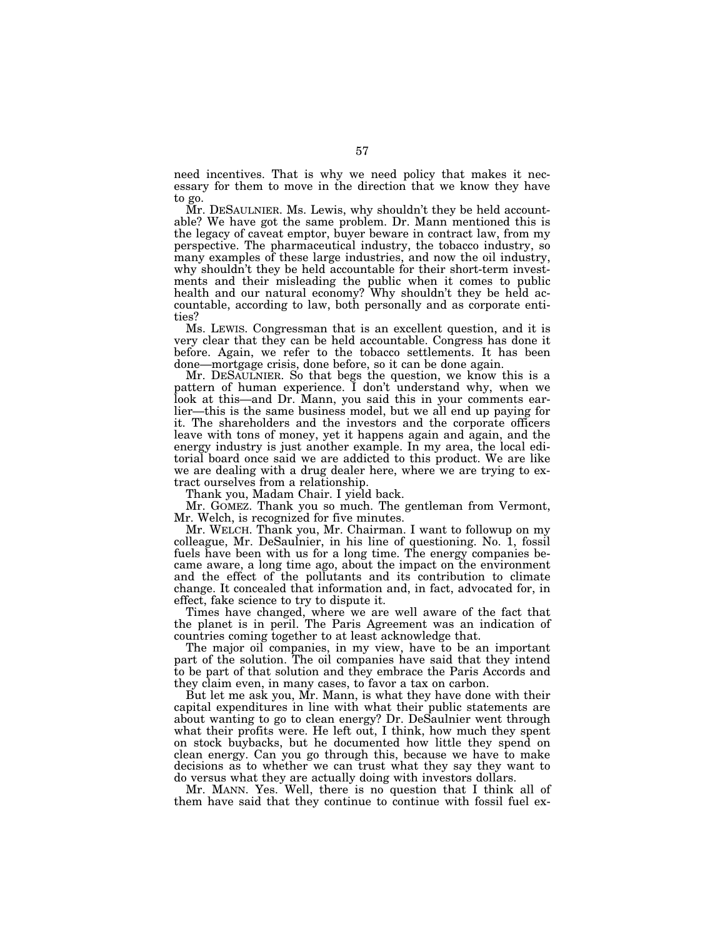need incentives. That is why we need policy that makes it necessary for them to move in the direction that we know they have to go.

Mr. DESAULNIER. Ms. Lewis, why shouldn't they be held accountable? We have got the same problem. Dr. Mann mentioned this is the legacy of caveat emptor, buyer beware in contract law, from my perspective. The pharmaceutical industry, the tobacco industry, so many examples of these large industries, and now the oil industry, why shouldn't they be held accountable for their short-term investments and their misleading the public when it comes to public health and our natural economy? Why shouldn't they be held accountable, according to law, both personally and as corporate entities?

Ms. LEWIS. Congressman that is an excellent question, and it is very clear that they can be held accountable. Congress has done it before. Again, we refer to the tobacco settlements. It has been done—mortgage crisis, done before, so it can be done again.

Mr. DESAULNIER. So that begs the question, we know this is a pattern of human experience. I don't understand why, when we look at this—and Dr. Mann, you said this in your comments earlier—this is the same business model, but we all end up paying for it. The shareholders and the investors and the corporate officers leave with tons of money, yet it happens again and again, and the energy industry is just another example. In my area, the local editorial board once said we are addicted to this product. We are like we are dealing with a drug dealer here, where we are trying to extract ourselves from a relationship.

Thank you, Madam Chair. I yield back.

Mr. GOMEZ. Thank you so much. The gentleman from Vermont, Mr. Welch, is recognized for five minutes.

Mr. WELCH. Thank you, Mr. Chairman. I want to followup on my colleague, Mr. DeSaulnier, in his line of questioning. No. 1, fossil fuels have been with us for a long time. The energy companies became aware, a long time ago, about the impact on the environment and the effect of the pollutants and its contribution to climate change. It concealed that information and, in fact, advocated for, in effect, fake science to try to dispute it.

Times have changed, where we are well aware of the fact that the planet is in peril. The Paris Agreement was an indication of countries coming together to at least acknowledge that.

The major oil companies, in my view, have to be an important part of the solution. The oil companies have said that they intend to be part of that solution and they embrace the Paris Accords and they claim even, in many cases, to favor a tax on carbon.

But let me ask you, Mr. Mann, is what they have done with their capital expenditures in line with what their public statements are about wanting to go to clean energy? Dr. DeSaulnier went through what their profits were. He left out, I think, how much they spent on stock buybacks, but he documented how little they spend on clean energy. Can you go through this, because we have to make decisions as to whether we can trust what they say they want to do versus what they are actually doing with investors dollars.

Mr. MANN. Yes. Well, there is no question that I think all of them have said that they continue to continue with fossil fuel ex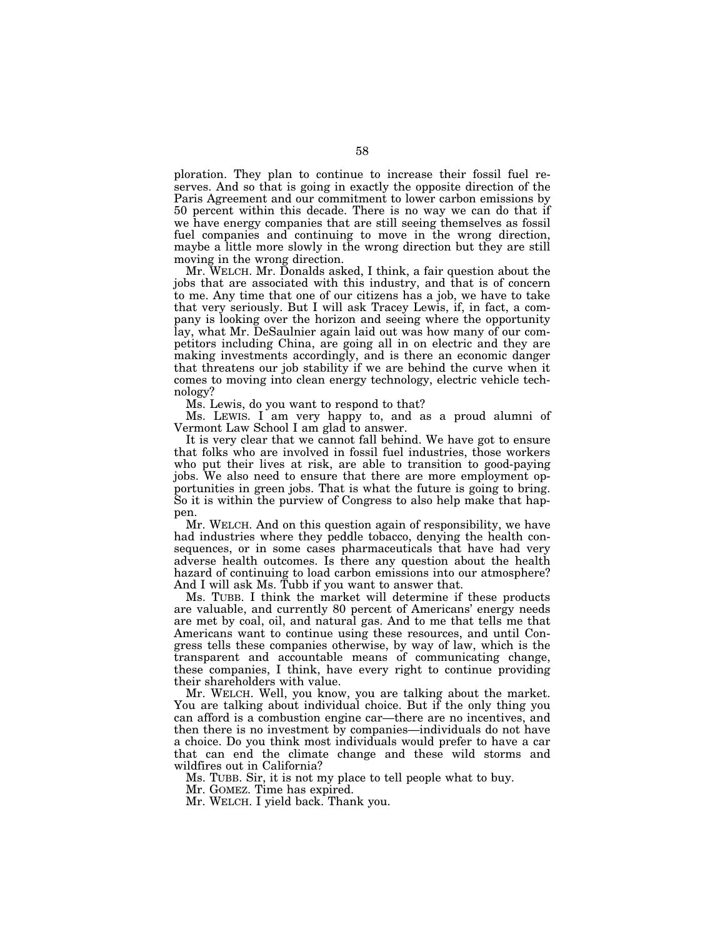ploration. They plan to continue to increase their fossil fuel reserves. And so that is going in exactly the opposite direction of the Paris Agreement and our commitment to lower carbon emissions by 50 percent within this decade. There is no way we can do that if we have energy companies that are still seeing themselves as fossil fuel companies and continuing to move in the wrong direction, maybe a little more slowly in the wrong direction but they are still moving in the wrong direction.

Mr. WELCH. Mr. Donalds asked, I think, a fair question about the jobs that are associated with this industry, and that is of concern to me. Any time that one of our citizens has a job, we have to take that very seriously. But I will ask Tracey Lewis, if, in fact, a company is looking over the horizon and seeing where the opportunity lay, what Mr. DeSaulnier again laid out was how many of our competitors including China, are going all in on electric and they are making investments accordingly, and is there an economic danger that threatens our job stability if we are behind the curve when it comes to moving into clean energy technology, electric vehicle technology?

Ms. Lewis, do you want to respond to that?

Ms. LEWIS. I am very happy to, and as a proud alumni of Vermont Law School I am glad to answer.

It is very clear that we cannot fall behind. We have got to ensure that folks who are involved in fossil fuel industries, those workers who put their lives at risk, are able to transition to good-paying jobs. We also need to ensure that there are more employment opportunities in green jobs. That is what the future is going to bring. So it is within the purview of Congress to also help make that happen.

Mr. WELCH. And on this question again of responsibility, we have had industries where they peddle tobacco, denying the health consequences, or in some cases pharmaceuticals that have had very adverse health outcomes. Is there any question about the health hazard of continuing to load carbon emissions into our atmosphere? And I will ask Ms. Tubb if you want to answer that.

Ms. TUBB. I think the market will determine if these products are valuable, and currently 80 percent of Americans' energy needs are met by coal, oil, and natural gas. And to me that tells me that Americans want to continue using these resources, and until Congress tells these companies otherwise, by way of law, which is the transparent and accountable means of communicating change, these companies, I think, have every right to continue providing their shareholders with value.

Mr. WELCH. Well, you know, you are talking about the market. You are talking about individual choice. But if the only thing you can afford is a combustion engine car—there are no incentives, and then there is no investment by companies—individuals do not have a choice. Do you think most individuals would prefer to have a car that can end the climate change and these wild storms and wildfires out in California?

Ms. TUBB. Sir, it is not my place to tell people what to buy.

Mr. GOMEZ. Time has expired.

Mr. WELCH. I yield back. Thank you.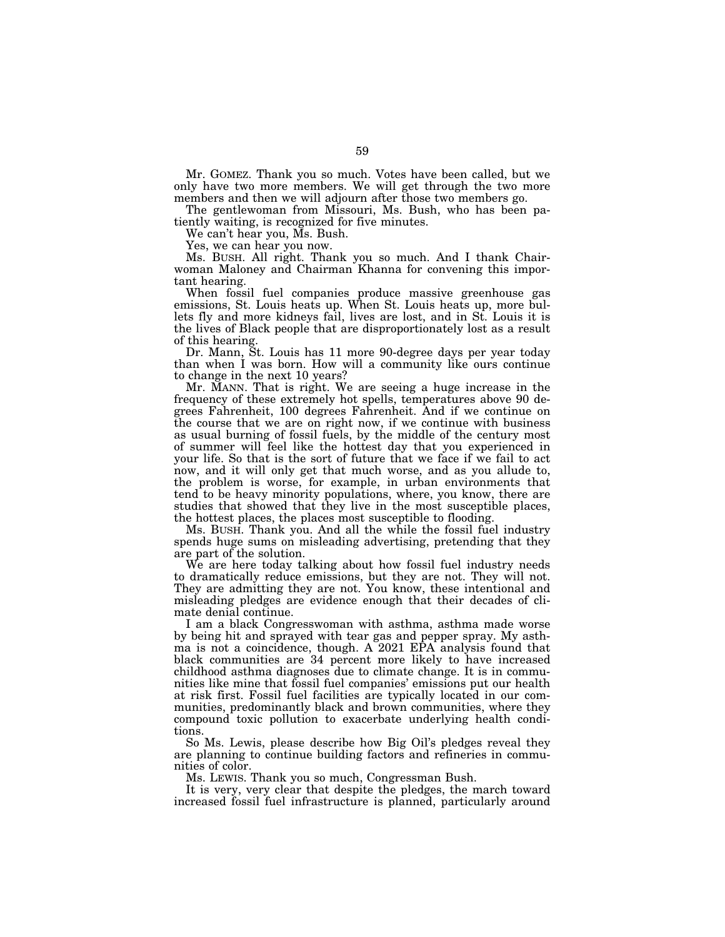Mr. GOMEZ. Thank you so much. Votes have been called, but we only have two more members. We will get through the two more members and then we will adjourn after those two members go.

The gentlewoman from Missouri, Ms. Bush, who has been patiently waiting, is recognized for five minutes.

We can't hear you, Ms. Bush.

Yes, we can hear you now.

Ms. BUSH. All right. Thank you so much. And I thank Chairwoman Maloney and Chairman Khanna for convening this important hearing.

When fossil fuel companies produce massive greenhouse gas emissions, St. Louis heats up. When St. Louis heats up, more bullets fly and more kidneys fail, lives are lost, and in St. Louis it is the lives of Black people that are disproportionately lost as a result of this hearing.

Dr. Mann, St. Louis has 11 more 90-degree days per year today than when I was born. How will a community like ours continue to change in the next 10 years?

Mr. MANN. That is right. We are seeing a huge increase in the frequency of these extremely hot spells, temperatures above 90 degrees Fahrenheit, 100 degrees Fahrenheit. And if we continue on the course that we are on right now, if we continue with business as usual burning of fossil fuels, by the middle of the century most of summer will feel like the hottest day that you experienced in your life. So that is the sort of future that we face if we fail to act now, and it will only get that much worse, and as you allude to, the problem is worse, for example, in urban environments that tend to be heavy minority populations, where, you know, there are studies that showed that they live in the most susceptible places, the hottest places, the places most susceptible to flooding.

Ms. BUSH. Thank you. And all the while the fossil fuel industry spends huge sums on misleading advertising, pretending that they are part of the solution.

We are here today talking about how fossil fuel industry needs to dramatically reduce emissions, but they are not. They will not. They are admitting they are not. You know, these intentional and misleading pledges are evidence enough that their decades of climate denial continue.

I am a black Congresswoman with asthma, asthma made worse by being hit and sprayed with tear gas and pepper spray. My asthma is not a coincidence, though. A 2021 EPA analysis found that black communities are 34 percent more likely to have increased childhood asthma diagnoses due to climate change. It is in communities like mine that fossil fuel companies' emissions put our health at risk first. Fossil fuel facilities are typically located in our communities, predominantly black and brown communities, where they compound toxic pollution to exacerbate underlying health conditions.

So Ms. Lewis, please describe how Big Oil's pledges reveal they are planning to continue building factors and refineries in communities of color.

Ms. LEWIS. Thank you so much, Congressman Bush.

It is very, very clear that despite the pledges, the march toward increased fossil fuel infrastructure is planned, particularly around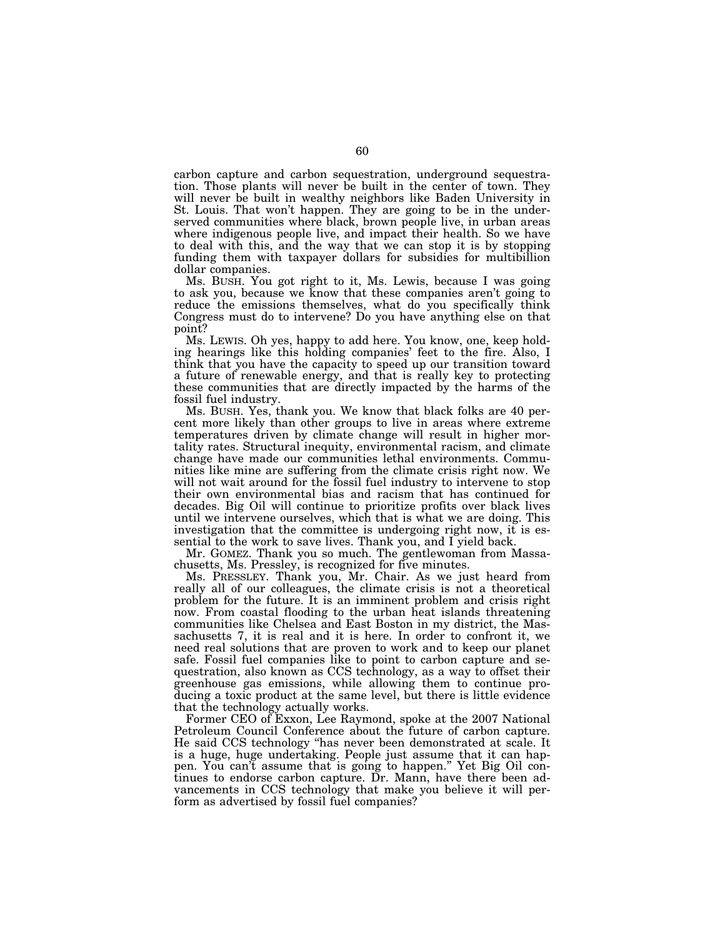carbon capture and carbon sequestration, underground sequestration. Those plants will never be built in the center of town. They will never be built in wealthy neighbors like Baden University in St. Louis. That won't happen. They are going to be in the underserved communities where black, brown people live, in urban areas where indigenous people live, and impact their health. So we have to deal with this, and the way that we can stop it is by stopping funding them with taxpayer dollars for subsidies for multibillion dollar companies.

Ms. BUSH. You got right to it, Ms. Lewis, because I was going to ask you, because we know that these companies aren't going to reduce the emissions themselves, what do you specifically think Congress must do to intervene? Do you have anything else on that point?

Ms. LEWIS. Oh yes, happy to add here. You know, one, keep holding hearings like this holding companies' feet to the fire. Also, I think that you have the capacity to speed up our transition toward a future of renewable energy, and that is really key to protecting these communities that are directly impacted by the harms of the fossil fuel industry.

Ms. BUSH. Yes, thank you. We know that black folks are 40 percent more likely than other groups to live in areas where extreme temperatures driven by climate change will result in higher mortality rates. Structural inequity, environmental racism, and climate change have made our communities lethal environments. Communities like mine are suffering from the climate crisis right now. We will not wait around for the fossil fuel industry to intervene to stop their own environmental bias and racism that has continued for decades. Big Oil will continue to prioritize profits over black lives until we intervene ourselves, which that is what we are doing. This investigation that the committee is undergoing right now, it is essential to the work to save lives. Thank you, and I yield back.

Mr. GOMEZ. Thank you so much. The gentlewoman from Massachusetts, Ms. Pressley, is recognized for five minutes.

Ms. PRESSLEY. Thank you, Mr. Chair. As we just heard from really all of our colleagues, the climate crisis is not a theoretical problem for the future. It is an imminent problem and crisis right now. From coastal flooding to the urban heat islands threatening communities like Chelsea and East Boston in my district, the Massachusetts 7, it is real and it is here. In order to confront it, we need real solutions that are proven to work and to keep our planet safe. Fossil fuel companies like to point to carbon capture and sequestration, also known as CCS technology, as a way to offset their greenhouse gas emissions, while allowing them to continue producing a toxic product at the same level, but there is little evidence that the technology actually works.

Former CEO of Exxon, Lee Raymond, spoke at the 2007 National Petroleum Council Conference about the future of carbon capture. He said CCS technology ''has never been demonstrated at scale. It is a huge, huge undertaking. People just assume that it can happen. You can't assume that is going to happen.'' Yet Big Oil continues to endorse carbon capture. Dr. Mann, have there been advancements in CCS technology that make you believe it will perform as advertised by fossil fuel companies?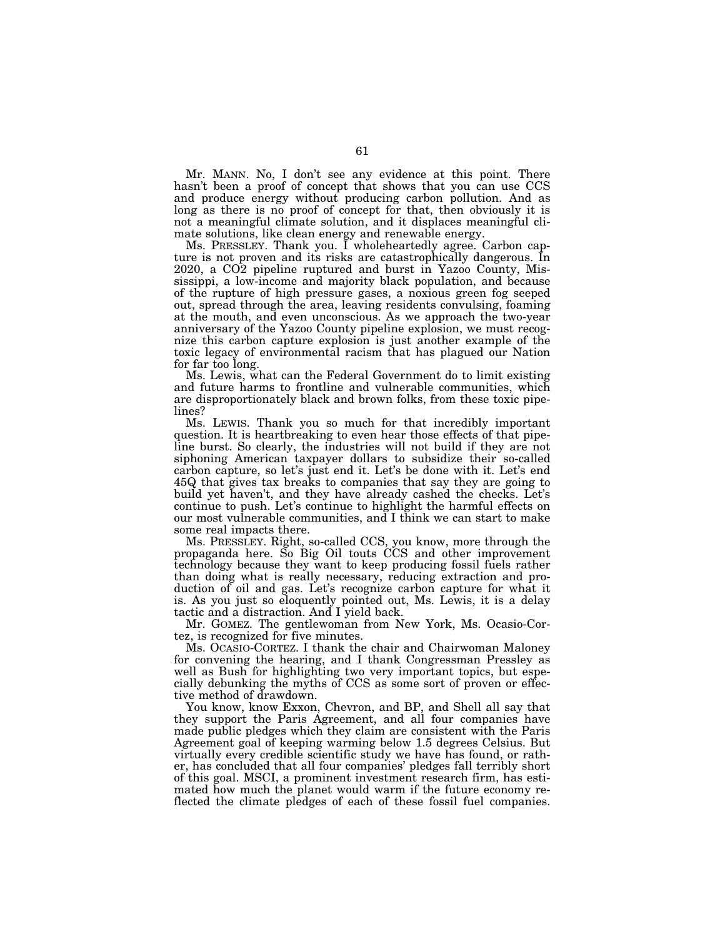Mr. MANN. No, I don't see any evidence at this point. There hasn't been a proof of concept that shows that you can use CCS and produce energy without producing carbon pollution. And as long as there is no proof of concept for that, then obviously it is not a meaningful climate solution, and it displaces meaningful climate solutions, like clean energy and renewable energy.

Ms. PRESSLEY. Thank you. I wholeheartedly agree. Carbon capture is not proven and its risks are catastrophically dangerous. In 2020, a CO2 pipeline ruptured and burst in Yazoo County, Mississippi, a low-income and majority black population, and because of the rupture of high pressure gases, a noxious green fog seeped out, spread through the area, leaving residents convulsing, foaming at the mouth, and even unconscious. As we approach the two-year anniversary of the Yazoo County pipeline explosion, we must recognize this carbon capture explosion is just another example of the toxic legacy of environmental racism that has plagued our Nation for far too long.

Ms. Lewis, what can the Federal Government do to limit existing and future harms to frontline and vulnerable communities, which are disproportionately black and brown folks, from these toxic pipelines?

Ms. LEWIS. Thank you so much for that incredibly important question. It is heartbreaking to even hear those effects of that pipeline burst. So clearly, the industries will not build if they are not siphoning American taxpayer dollars to subsidize their so-called carbon capture, so let's just end it. Let's be done with it. Let's end 45Q that gives tax breaks to companies that say they are going to build yet haven't, and they have already cashed the checks. Let's continue to push. Let's continue to highlight the harmful effects on our most vulnerable communities, and I think we can start to make some real impacts there.

Ms. PRESSLEY. Right, so-called CCS, you know, more through the propaganda here. So Big Oil touts CCS and other improvement technology because they want to keep producing fossil fuels rather than doing what is really necessary, reducing extraction and production of oil and gas. Let's recognize carbon capture for what it is. As you just so eloquently pointed out, Ms. Lewis, it is a delay tactic and a distraction. And I yield back.

Mr. GOMEZ. The gentlewoman from New York, Ms. Ocasio-Cortez, is recognized for five minutes.

Ms. OCASIO-CORTEZ. I thank the chair and Chairwoman Maloney for convening the hearing, and I thank Congressman Pressley as well as Bush for highlighting two very important topics, but especially debunking the myths of CCS as some sort of proven or effective method of drawdown.

You know, know Exxon, Chevron, and BP, and Shell all say that they support the Paris Agreement, and all four companies have made public pledges which they claim are consistent with the Paris Agreement goal of keeping warming below 1.5 degrees Celsius. But virtually every credible scientific study we have has found, or rather, has concluded that all four companies' pledges fall terribly short of this goal. MSCI, a prominent investment research firm, has estimated how much the planet would warm if the future economy reflected the climate pledges of each of these fossil fuel companies.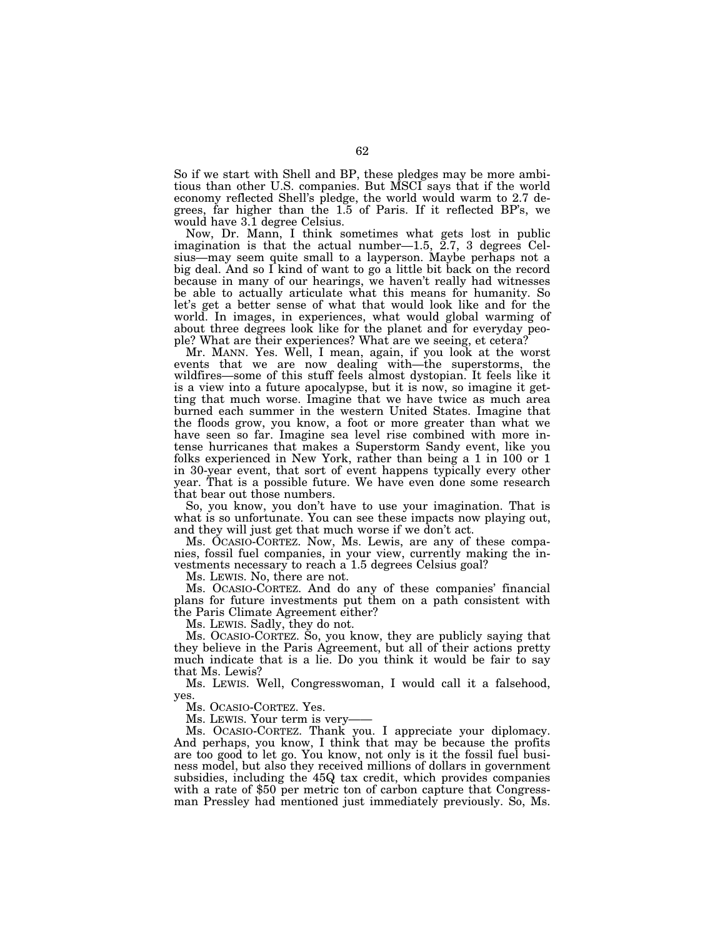So if we start with Shell and BP, these pledges may be more ambitious than other U.S. companies. But MSCI says that if the world economy reflected Shell's pledge, the world would warm to 2.7 degrees, far higher than the 1.5 of Paris. If it reflected BP's, we would have 3.1 degree Celsius.

Now, Dr. Mann, I think sometimes what gets lost in public imagination is that the actual number—1.5,  $\overline{2}$ .7, 3 degrees Celsius—may seem quite small to a layperson. Maybe perhaps not a big deal. And so I kind of want to go a little bit back on the record because in many of our hearings, we haven't really had witnesses be able to actually articulate what this means for humanity. So let's get a better sense of what that would look like and for the world. In images, in experiences, what would global warming of about three degrees look like for the planet and for everyday people? What are their experiences? What are we seeing, et cetera?

Mr. MANN. Yes. Well, I mean, again, if you look at the worst events that we are now dealing with—the superstorms, the wildfires—some of this stuff feels almost dystopian. It feels like it is a view into a future apocalypse, but it is now, so imagine it getting that much worse. Imagine that we have twice as much area burned each summer in the western United States. Imagine that the floods grow, you know, a foot or more greater than what we have seen so far. Imagine sea level rise combined with more intense hurricanes that makes a Superstorm Sandy event, like you folks experienced in New York, rather than being a 1 in 100 or 1 in 30-year event, that sort of event happens typically every other year. That is a possible future. We have even done some research that bear out those numbers.

So, you know, you don't have to use your imagination. That is what is so unfortunate. You can see these impacts now playing out, and they will just get that much worse if we don't act.

Ms. OCASIO-CORTEZ. Now, Ms. Lewis, are any of these companies, fossil fuel companies, in your view, currently making the investments necessary to reach a 1.5 degrees Celsius goal?

Ms. LEWIS. No, there are not.

Ms. OCASIO-CORTEZ. And do any of these companies' financial plans for future investments put them on a path consistent with the Paris Climate Agreement either?

Ms. LEWIS. Sadly, they do not.

Ms. OCASIO-CORTEZ. So, you know, they are publicly saying that they believe in the Paris Agreement, but all of their actions pretty much indicate that is a lie. Do you think it would be fair to say that Ms. Lewis?

Ms. LEWIS. Well, Congresswoman, I would call it a falsehood, yes.

Ms. OCASIO-CORTEZ. Yes.

Ms. LEWIS. Your term is very-

Ms. OCASIO-CORTEZ. Thank you. I appreciate your diplomacy. And perhaps, you know, I think that may be because the profits are too good to let go. You know, not only is it the fossil fuel business model, but also they received millions of dollars in government subsidies, including the 45Q tax credit, which provides companies with a rate of \$50 per metric ton of carbon capture that Congressman Pressley had mentioned just immediately previously. So, Ms.